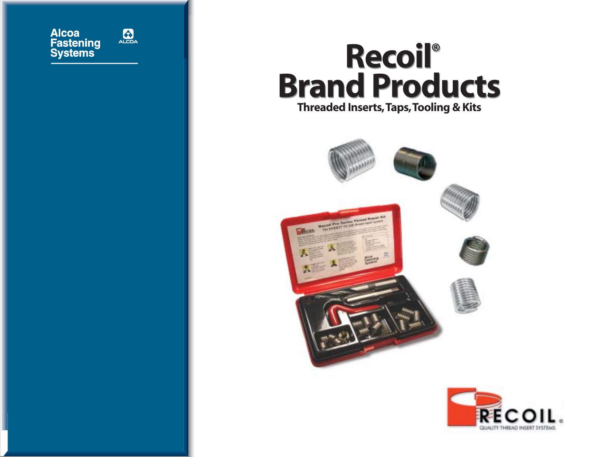

## **Recoil® Recoil® Brand Products Brand Products Threaded Inserts,Taps,Tooling & Kits**



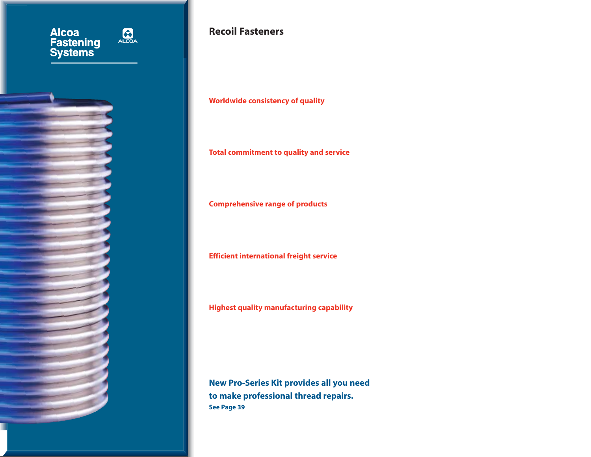

I

### **Recoil Fasteners**

**Worldwide consistency of quality**

**Total commitment to quality and service**

**Comprehensive range of products**

**Efficient international freight service**

**Highest quality manufacturing capability** 

**New Pro-Series Kit provides all you need to make professional thread repairs. See Page 39**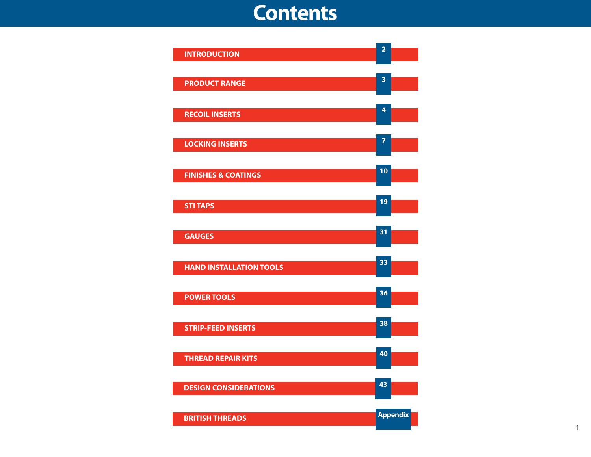### **Contents**

| <b>INTRODUCTION</b>            | $\overline{2}$  |
|--------------------------------|-----------------|
| <b>PRODUCT RANGE</b>           | 3               |
| <b>RECOIL INSERTS</b>          | 4               |
| <b>LOCKING INSERTS</b>         | $\overline{z}$  |
| <b>FINISHES &amp; COATINGS</b> | 10              |
| <b>STI TAPS</b>                | 19              |
| <b>GAUGES</b>                  | 31              |
| <b>HAND INSTALLATION TOOLS</b> | 33              |
| <b>POWER TOOLS</b>             | 36              |
| <b>STRIP-FEED INSERTS</b>      | 38              |
| <b>THREAD REPAIR KITS</b>      | 40              |
| <b>DESIGN CONSIDERATIONS</b>   | 43              |
| <b>BRITISH THREADS</b>         | <b>Appendix</b> |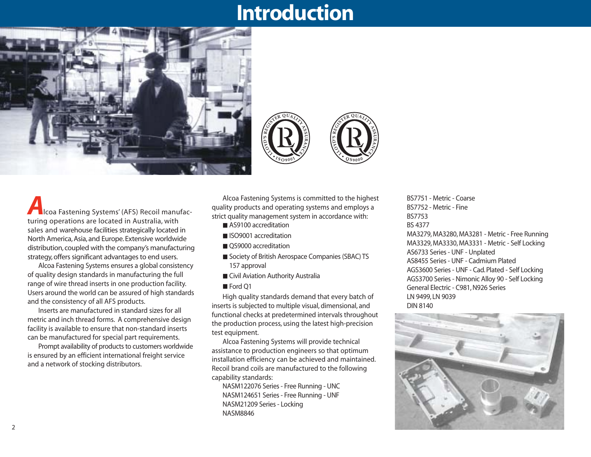### **Introduction**





**U R ANCE**

**Alcoa Fastening Systems' (AFS) Recoil manufac**turing operations are located in Australia, with sales and warehouse facilities strategically located in North America, Asia, and Europe. Extensive worldwide distribution, coupled with the company's manufacturing strategy, offers significant advantages to end users.

Alcoa Fastening Systems ensures a global consistency of quality design standards in manufacturing the full range of wire thread inserts in one production facility. Users around the world can be assured of high standards and the consistency of all AFS products.

Inserts are manufactured in standard sizes for all metric and inch thread forms. A comprehensive design facility is available to ensure that non-standard inserts can be manufactured for special part requirements.

Prompt availability of products to customers worldwide is ensured by an efficient international freight service and a network of stocking distributors.

Alcoa Fastening Systems is committed to the highest quality products and operating systems and employs a strict quality management system in accordance with:

■ AS9100 accreditation

**S '**

- ISO9001 accreditation
- OS9000 accreditation
- Society of British Aerospace Companies (SBAC) TS 157 approval
- Civil Aviation Authority Australia
- Ford O1

High quality standards demand that every batch of inserts is subjected to multiple visual, dimensional, and functional checks at predetermined intervals throughout the production process, using the latest high-precision test equipment.

Alcoa Fastening Systems will provide technical assistance to production engineers so that optimum installation efficiency can be achieved and maintained. Recoil brand coils are manufactured to the following capability standards:

NASM122076 Series - Free Running - UNC NASM124651 Series - Free Running - UNF NASM21209 Series - Locking NASM8846

BS7751 - Metric - Coarse BS7752 - Metric - Fine BS7753 BS 4377

MA3279, MA3280, MA3281 - Metric - Free Running MA3329, MA3330, MA3331 - Metric - Self Locking AS6733 Series - UNF - Unplated AS8455 Series - UNF - Cadmium Plated AGS3600 Series - UNF - Cad. Plated - Self Locking AGS3700 Series - Nimonic Alloy 90 - Self Locking General Electric - C981, N926 Series LN 9499, LN 9039 DIN 8140

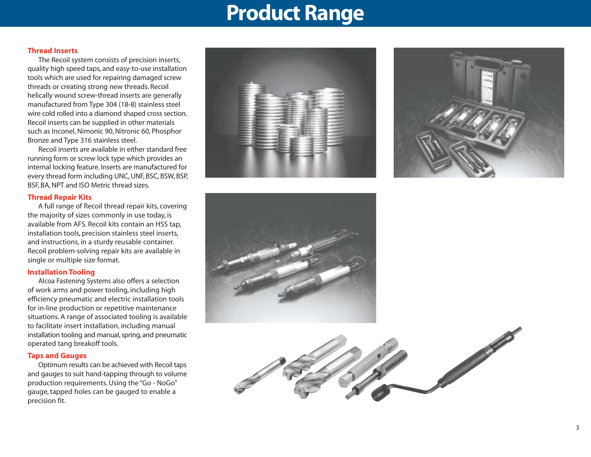### **Product Range**

#### **Thread Inserts**

The Recoil system consists of precision inserts, quality high speed taps, and easy-to-use installation tools which are used for repairing damaged screw threads or creating strong new threads. Recoil helically wound screw-thread inserts are generally manufactured from Type 304 (18-8) stainless steel wire cold rolled into a diamond shaped cross section. Recoil inserts can be supplied in other materials such as Inconel, Nimonic 90, Nitronic 60, Phosphor Bronze and Type 316 stainless steel.

Recoil inserts are available in either standard free running form or screw lock type which provides an internal locking feature. Inserts are manufactured for every thread form including UNC, UNF, BSC, BSW, BSP, BSF, BA, NPT and ISO Metric thread sizes.

#### **Thread Repair Kits**

A full range of Recoil thread repair kits, covering the majority of sizes commonly in use today, is available from AFS. Recoil kits contain an HSS tap, installation tools, precision stainless steel inserts, and instructions, in a sturdy reusable container. Recoil problem-solving repair kits are available in single or multiple size format.

#### **Installation Tooling**

Alcoa Fastening Systems also offers a selection of work arms and power tooling, including high efficiency pneumatic and electric installation tools for in-line production or repetitive maintenance situations. A range of associated tooling is available to facilitate insert installation, including manual installation tooling and manual, spring, and pneumatic operated tang breakoff tools.

#### **Taps and Gauges**

Optimum results can be achieved with Recoil taps and gauges to suit hand-tapping through to volume production requirements. Using the "Go - NoGo" gauge, tapped holes can be gauged to enable a precision fit.







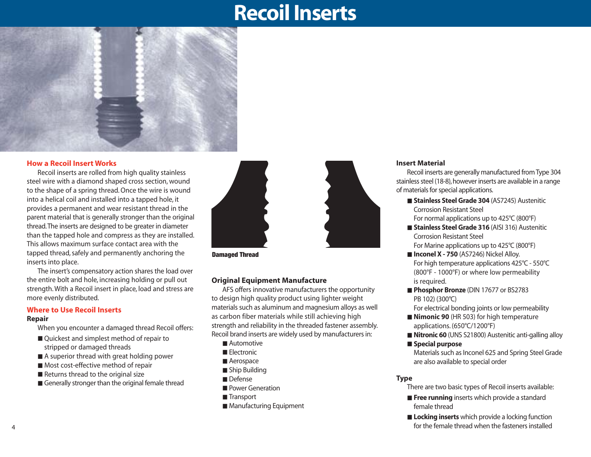### **Recoil Inserts**



#### **How a Recoil Insert Works**

Recoil inserts are rolled from high quality stainless steel wire with a diamond shaped cross section, wound to the shape of a spring thread. Once the wire is wound into a helical coil and installed into a tapped hole, it provides a permanent and wear resistant thread in the parent material that is generally stronger than the original thread.The inserts are designed to be greater in diameter than the tapped hole and compress as they are installed. This allows maximum surface contact area with the tapped thread, safely and permanently anchoring the inserts into place.

The insert's compensatory action shares the load over the entire bolt and hole, increasing holding or pull out strength. With a Recoil insert in place, load and stress are more evenly distributed.

### **Where to Use Recoil Inserts**

#### **Repair**

When you encounter a damaged thread Recoil offers:

- Quickest and simplest method of repair to stripped or damaged threads
- A superior thread with great holding power
- Most cost-effective method of repair
- Returns thread to the original size
- Generally stronger than the original female thread



**Damaged Thread**

#### **Original Equipment Manufacture**

AFS offers innovative manufacturers the opportunity to design high quality product using lighter weight materials such as aluminum and magnesium alloys as well as carbon fiber materials while still achieving high strength and reliability in the threaded fastener assembly. Recoil brand inserts are widely used by manufacturers in:

- Automotive
- Electronic
- Aerospace
- Ship Building
- Defense
- Power Generation
- Transport
- Manufacturing Equipment

#### **Insert Material**

Recoil inserts are generally manufactured from Type 304 stainless steel (18-8), however inserts are available in a range of materials for special applications.

- **Stainless Steel Grade 304** (AS7245) Austenitic Corrosion Resistant Steel For normal applications up to 425°C (800°F)
- **Stainless Steel Grade 316** (AISI 316) Austenitic Corrosion Resistant Steel For Marine applications up to 425°C (800°F)
- **Inconel X 750** (AS7246) Nickel Alloy. For high temperature applications 425°C - 550°C (800°F - 1000°F) or where low permeability is required.
- **Phosphor Bronze** (DIN 17677 or BS2783 PB 102) (300°C)

For electrical bonding joints or low permeability

- **Nimonic 90** (HR 503) for high temperature applications. (650°C/1200°F)
- **Nitronic 60** (UNS S21800) Austenitic anti-galling alloy
- **Special purpose**

Materials such as Inconel 625 and Spring Steel Grade are also available to special order

#### **Type**

There are two basic types of Recoil inserts available:

- **Free running** inserts which provide a standard female thread
- **Locking inserts** which provide a locking function for the female thread when the fasteners installed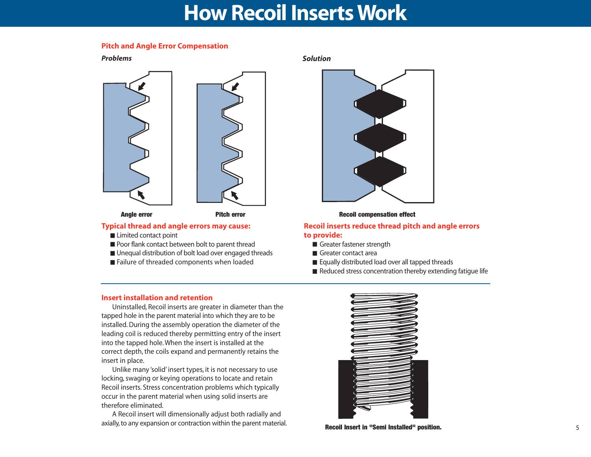### **How Recoil Inserts Work**

#### **Pitch and Angle Error Compensation**

*Problems*



#### **Typical thread and angle errors may cause:**

- Limited contact point
- Poor flank contact between bolt to parent thread
- Unequal distribution of bolt load over engaged threads
- Failure of threaded components when loaded

*Solution*



#### **Recoil inserts reduce thread pitch and angle errors to provide:**

- Greater fastener strength
- Greater contact area
- Equally distributed load over all tapped threads
- Reduced stress concentration thereby extending fatigue life

#### **Insert installation and retention**

Uninstalled, Recoil inserts are greater in diameter than the tapped hole in the parent material into which they are to be installed. During the assembly operation the diameter of the leading coil is reduced thereby permitting entry of the insert into the tapped hole. When the insert is installed at the correct depth, the coils expand and permanently retains the insert in place.

Unlike many 'solid' insert types, it is not necessary to use locking, swaging or keying operations to locate and retain Recoil inserts. Stress concentration problems which typically occur in the parent material when using solid inserts are therefore eliminated.

A Recoil insert will dimensionally adjust both radially and axially, to any expansion or contraction within the parent material. **Recoil Insert in "Semi Installed" position.**

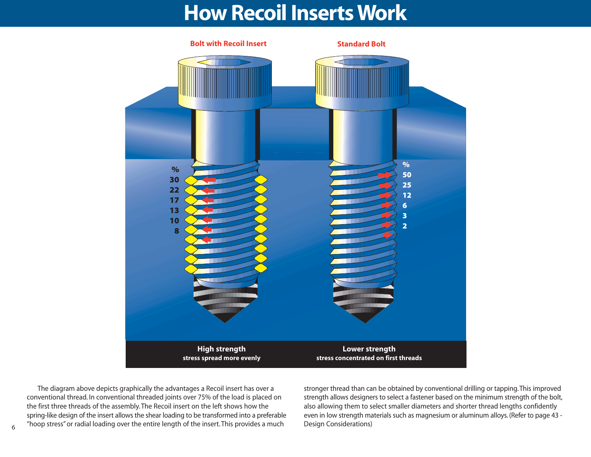### **How Recoil Inserts Work**



The diagram above depicts graphically the advantages a Recoil insert has over a conventional thread. In conventional threaded joints over 75% of the load is placed on the first three threads of the assembly. The Recoil insert on the left shows how the spring-like design of the insert allows the shear loading to be transformed into a preferable "hoop stress" or radial loading over the entire length of the insert. This provides a much

stronger thread than can be obtained by conventional drilling or tapping. This improved strength allows designers to select a fastener based on the minimum strength of the bolt, also allowing them to select smaller diameters and shorter thread lengths confidently even in low strength materials such as magnesium or aluminum alloys. (Refer to page 43 - Design Considerations)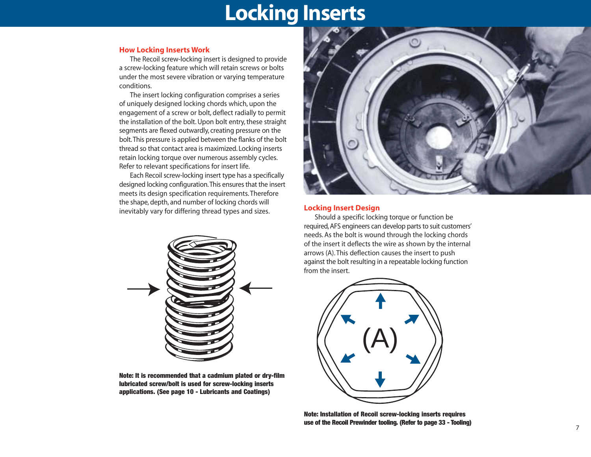### **Locking Inserts**

#### **How Locking Inserts Work**

The Recoil screw-locking insert is designed to provide a screw-locking feature which will retain screws or bolts under the most severe vibration or varying temperature conditions.

The insert locking configuration comprises a series of uniquely designed locking chords which, upon the engagement of a screw or bolt, deflect radially to permit the installation of the bolt. Upon bolt entry, these straight segments are flexed outwardly, creating pressure on the bolt.This pressure is applied between the flanks of the bolt thread so that contact area is maximized. Locking inserts retain locking torque over numerous assembly cycles. Refer to relevant specifications for insert life.

Each Recoil screw-locking insert type has a specifically designed locking configuration.This ensures that the insert meets its design specification requirements. Therefore the shape, depth, and number of locking chords will inevitably vary for differing thread types and sizes.



**Note: It is recommended that a cadmium plated or dry-film lubricated screw/bolt is used for screw-locking inserts applications. (See page 10 - Lubricants and Coatings)**



#### **Locking Insert Design**

Should a specific locking torque or function be required, AFS engineers can develop parts to suit customers' needs. As the bolt is wound through the locking chords of the insert it deflects the wire as shown by the internal arrows (A). This deflection causes the insert to push against the bolt resulting in a repeatable locking function from the insert.



**Note: Installation of Recoil screw-locking inserts requires use of the Recoil Prewinder tooling. (Refer to page 33 - Tooling)**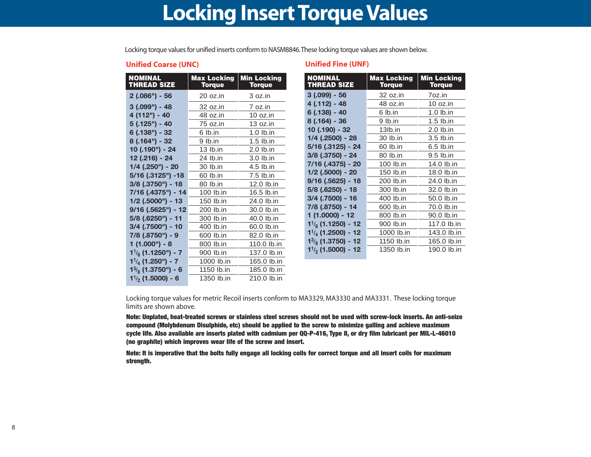### **Locking Insert Torque Values**

Locking torque values for unified inserts conform to NASM8846.These locking torque values are shown below.

#### **Unified Coarse (UNC)**

| <b>NOMINAL</b><br><b>THREAD SIZE</b> | <b>Max Locking</b><br><b>Torque</b> | <b>Min Locking</b><br><b>Torque</b> |
|--------------------------------------|-------------------------------------|-------------------------------------|
| $2(.086") - 56$                      | 20 oz.in                            | 3 oz.in                             |
| $3(.099") - 48$                      | 32 oz.in                            | 7 oz.in                             |
| 4 (112") - 40                        | 48 oz.in                            | 10 oz.in                            |
| $5(.125") - 40$                      | 75 oz.in                            | 13 oz.in                            |
| $6(.138") - 32$                      | 6 lb.in                             | 1.0 lb.in                           |
| $8(.164") - 32$                      | 9 lb.in                             | $1.5$ lb.in                         |
| 10 (.190") - 24                      | $13$ lb.in                          | $2.0$ lb.in                         |
| 12 (.216) - 24                       | 24 lb.in                            | 3.0 lb.in                           |
| $1/4$ (.250") - 20                   | 30 lb.in                            | 4.5 lb.in                           |
| 5/16 (.3125") -18                    | 60 lb.in                            | 7.5 lb.in                           |
| $3/8$ (.3750") - 18                  | 80 lb.in                            | 12.0 lb.in                          |
| 7/16 (.4375") - 14                   | 100 lb.in                           | 16.5 lb.in                          |
| 1/2 (.5000") - 13                    | 150 lb.in                           | 24.0 lb.in                          |
| $9/16$ (.5625") - 12                 | 200 lb.in                           | 30.0 lb.in                          |
| 5/8 (.6250") - 11                    | 300 lb.in                           | 40.0 lb.in                          |
| 3/4 (.7500") - 10                    | 400 lb.in                           | 60.0 lb.in                          |
| 7/8 (.8750") - 9                     | 600 lb.in                           | 82.0 lb.in                          |
| $1(1.000") - 8$                      | 800 lb.in                           | 110.0 lb.in                         |
| $1\frac{1}{8}$ (1.1250") - 7         | 900 lb.in                           | 137.0 lb.in                         |
| $1\frac{1}{4}$ (1.250") - 7          | 1000 lb.in                          | 165.0 lb.in                         |
| $1\frac{3}{8}$ (1.3750") - 6         | 1150 lb.in                          | 185.0 lb.in                         |
| $1\frac{1}{2}$ (1.5000) - 6          | 1350 lb.in                          | 210.0 lb.in                         |

#### **Unified Fine (UNF)**

| <b>NOMINAL</b><br><b>THREAD SIZE</b> | <b>Max Locking</b><br><b>Torque</b> | <b>Min Locking</b><br><b>Torque</b> |  |  |  |  |
|--------------------------------------|-------------------------------------|-------------------------------------|--|--|--|--|
| $3(.099) - 56$                       | 32 oz.in                            | 7oz.in                              |  |  |  |  |
| $4(.112) - 48$                       | 48 oz.in                            | 10 oz.in                            |  |  |  |  |
| 6 (.138) - 40                        | 6 lb.in                             | $1.0$ lb.in                         |  |  |  |  |
| 8 (.164) - 36                        | 9 lb.in                             | $1.5$ lb.in                         |  |  |  |  |
| 10 (.190) - 32                       | 13lb.in                             | 2.0 lb.in                           |  |  |  |  |
| 1/4 (.2500) - 28                     | 30 lb.in                            | 3.5 lb.in                           |  |  |  |  |
| 5/16 (.3125) - 24                    | 60 lb.in                            | 6.5 lb.in                           |  |  |  |  |
| 3/8 (.3750) - 24                     | 80 lb.in                            | 9.5 lb.in                           |  |  |  |  |
| 7/16 (.4375) - 20                    | 100 lb.in                           | 14.0 lb.in                          |  |  |  |  |
| 1/2 (.5000) - 20                     | 150 lb.in                           | 18.0 lb.in                          |  |  |  |  |
| $9/16$ (.5625) - 18                  | 200 lb.in                           | 24.0 lb.in                          |  |  |  |  |
| 5/8 (.6250) - 18                     | 300 lb.in                           | 32.0 lb.in                          |  |  |  |  |
| 3/4 (.7500) - 16                     | 400 lb.in                           | 50.0 lb.in                          |  |  |  |  |
| 7/8 (.8750) - 14                     | 600 lb.in                           | 70.0 lb.in                          |  |  |  |  |
| 1 (1.0000) - 12                      | 800 lb.in                           | 90.0 lb.in                          |  |  |  |  |
| $1\frac{1}{8}$ (1.1250) - 12         | 900 lb.in                           | 117.0 lb.in                         |  |  |  |  |
| $1^{1/4}$ (1.2500) - 12              | 1000 lb.in                          | 143.0 lb.in                         |  |  |  |  |
| $1^{3}/_{8}$ (1.3750) - 12           | 1150 lb.in                          | 165.0 lb.in                         |  |  |  |  |
| $1\frac{1}{2}$ (1.5000) - 12         | 1350 lb.in                          | 190.0 lb.in                         |  |  |  |  |

Locking torque values for metric Recoil inserts conform to MA3329, MA3330 and MA3331. These locking torque limits are shown above.

**Note: Unplated, heat-treated screws or stainless steel screws should not be used with screw-lock inserts. An anti-seize compound (Molybdenum Disulphide, etc) should be applied to the screw to minimize galling and achieve maximum cycle life. Also available are inserts plated with cadmium per QQ-P-416, Type II, or dry film lubricant per MIL-L-46010 (no graphite) which improves wear life of the screw and insert.**

**Note: It is imperative that the bolts fully engage all locking coils for correct torque and all insert coils for maximum strength.**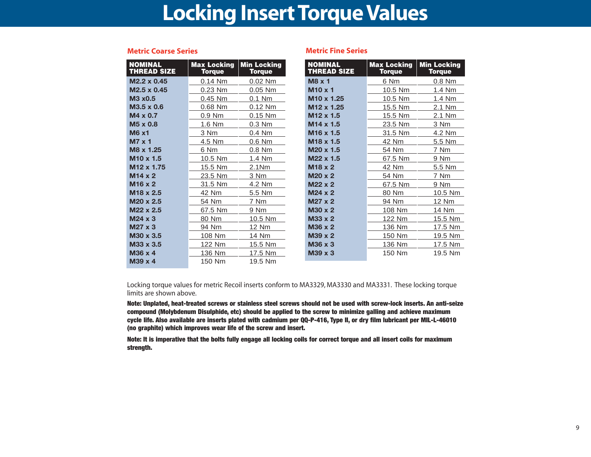### **Locking Insert Torque Values**

| <b>NOMINAL</b><br><b>THREAD SIZE</b> | <b>Max Locking</b><br><b>Torque</b> | <b>Min Locking</b><br><b>Torque</b> | <b>NOMINAL</b><br><b>THREAD SIZE</b> | <b>Max Locking</b><br><b>Torque</b> | <b>Min Locking</b><br><b>Torque</b> |
|--------------------------------------|-------------------------------------|-------------------------------------|--------------------------------------|-------------------------------------|-------------------------------------|
| M2.2 x 0.45                          | $0.14$ Nm                           | $0.02$ Nm                           | $M8 \times 1$                        | 6 Nm                                | 0.8 Nm                              |
| M2.5 x 0.45                          | 0.23 Nm                             | 0.05 Nm                             | $M10 \times 1$                       | 10.5 Nm                             | 1.4 Nm                              |
| M3 x0.5                              | 0.45 Nm                             | $0.1$ Nm                            | M <sub>10</sub> x 1.25               | 10.5 Nm                             | 1.4 Nm                              |
| M3.5 x 0.6                           | 0.68 Nm                             | 0.12 Nm                             | M12 x 1.25                           | 15.5 Nm                             | 2.1 Nm                              |
| $M4 \times 0.7$                      | $0.9$ Nm                            | $0.15$ Nm                           | M <sub>12</sub> x 1.5                | 15.5 Nm                             | 2.1 Nm                              |
| M <sub>5</sub> x 0.8                 | 1.6 Nm                              | $0.3$ Nm                            | M <sub>14</sub> x 1.5                | 23.5 Nm                             | 3 Nm                                |
| <b>M6 x1</b>                         | 3 Nm                                | 0.4 Nm                              | M <sub>16</sub> x 1.5                | 31.5 Nm                             | 4.2 Nm                              |
| $M7 \times 1$                        | 4.5 Nm                              | 0.6 Nm                              | M <sub>18</sub> x 1.5                | 42 Nm                               | 5.5 Nm                              |
| M8 x 1.25                            | 6 Nm                                | 0.8 Nm                              | M <sub>20</sub> x 1.5                | 54 Nm                               | 7 Nm                                |
| M <sub>10</sub> x 1.5                | 10.5 Nm                             | 1.4 Nm                              | M22 x 1.5                            | 67.5 Nm                             | 9 Nm                                |
| M <sub>12</sub> x 1.75               | 15.5 Nm                             | 2.1 <sub>Nm</sub>                   | $M18 \times 2$                       | 42 Nm                               | 5.5 Nm                              |
| $M14 \times 2$                       | 23.5 Nm                             | 3 Nm                                | $M20 \times 2$                       | 54 Nm                               | 7 Nm                                |
| M16 x 2                              | 31.5 Nm                             | 4.2 Nm                              | $M22 \times 2$                       | 67.5 Nm                             | 9 Nm                                |
| M <sub>18</sub> x 2.5                | 42 Nm                               | 5.5 Nm                              | $M24 \times 2$                       | 80 Nm                               | 10.5 Nm                             |
| M20 x 2.5                            | 54 Nm                               | 7 Nm                                | $M27 \times 2$                       | 94 Nm                               | 12 Nm                               |
| M22 x 2.5                            | 67.5 Nm                             | 9 Nm                                | M30 x 2                              | 108 Nm                              | 14 Nm                               |
| $M24 \times 3$                       | 80 Nm                               | 10.5 Nm                             | $M33 \times 2$                       | 122 Nm                              | 15.5 Nm                             |
| M27 x 3                              | 94 Nm                               | <b>12 Nm</b>                        | M36 x 2                              | 136 Nm                              | 17.5 Nm                             |
| M30 x 3.5                            | 108 Nm                              | 14 Nm                               | M39 x 2                              | 150 Nm                              | 19.5 Nm                             |
| M33 x 3.5                            | 122 Nm                              | 15.5 Nm                             | M36 x 3                              | 136 Nm                              | 17.5 Nm                             |
| M36 x 4                              | 136 Nm                              | 17.5 Nm                             | M39 x 3                              | 150 Nm                              | 19.5 Nm                             |
| M39 x 4                              | 150 Nm                              | 19.5 Nm                             |                                      |                                     |                                     |

#### **Metric Coarse Series Metric Fine Series**

Locking torque values for metric Recoil inserts conform to MA3329, MA3330 and MA3331. These locking torque limits are shown above.

**Note: Unplated, heat-treated screws or stainless steel screws should not be used with screw-lock inserts. An anti-seize compound (Molybdenum Disulphide, etc) should be applied to the screw to minimize galling and achieve maximum cycle life. Also available are inserts plated with cadmium per QQ-P-416, Type II, or dry film lubricant per MIL-L-46010 (no graphite) which improves wear life of the screw and insert.**

**Note: It is imperative that the bolts fully engage all locking coils for correct torque and all insert coils for maximum strength.**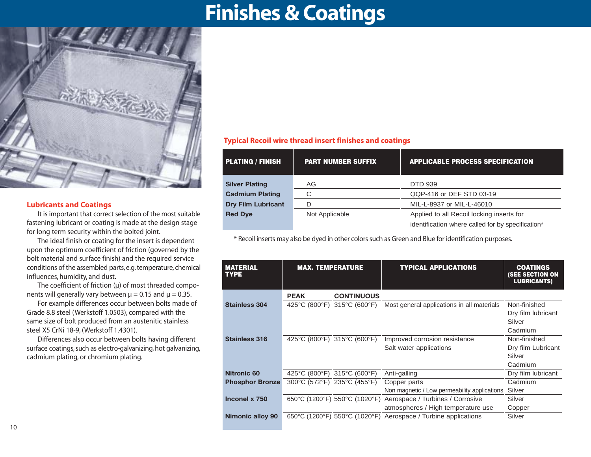### **Finishes & Coatings**



#### **Lubricants and Coatings**

It is important that correct selection of the most suitable fastening lubricant or coating is made at the design stage for long term security within the bolted joint.

The ideal finish or coating for the insert is dependent upon the optimum coefficient of friction (governed by the bolt material and surface finish) and the required service conditions of the assembled parts, e.g. temperature, chemical influences, humidity, and dust.

The coefficient of friction  $(\mu)$  of most threaded components will generally vary between  $\mu$  = 0.15 and  $\mu$  = 0.35.

For example differences occur between bolts made of Grade 8.8 steel (Werkstoff 1.0503), compared with the same size of bolt produced from an austenitic stainless steel X5 CrNi 18-9, (Werkstoff 1.4301).

Differences also occur between bolts having different surface coatings, such as electro-galvanizing, hot galvanizing, cadmium plating, or chromium plating.

#### **Typical Recoil wire thread insert finishes and coatings**

| <b>PLATING / FINISH</b>   | <b>PART NUMBER SUFFIX</b> | <b>APPLICABLE PROCESS SPECIFICATION</b>           |
|---------------------------|---------------------------|---------------------------------------------------|
| <b>Silver Plating</b>     | AG                        | <b>DTD 939</b>                                    |
| <b>Cadmium Plating</b>    | ⌒                         | QQP-416 or DEF STD 03-19                          |
| <b>Dry Film Lubricant</b> |                           | MIL-L-8937 or MIL-L-46010                         |
| <b>Red Dye</b>            | Not Applicable            | Applied to all Recoil locking inserts for         |
|                           |                           | identification where called for by specification* |

\* Recoil inserts may also be dyed in other colors such as Green and Blue for identification purposes.

| <b>MATERIAL</b><br><b>TYPE</b> | <b>MAX. TEMPERATURE</b>     |                               | TYPICAL APPLICATIONS                         | <b>COATINGS</b><br><b>(SEE SECTION ON</b><br><b>LUBRICANTS)</b> |  |  |  |
|--------------------------------|-----------------------------|-------------------------------|----------------------------------------------|-----------------------------------------------------------------|--|--|--|
|                                | <b>PEAK</b>                 | <b>CONTINUOUS</b>             |                                              |                                                                 |  |  |  |
| <b>Stainless 304</b>           | 425°C (800°F) 315°C (600°F) |                               | Most general applications in all materials   | Non-finished                                                    |  |  |  |
|                                |                             |                               |                                              | Dry film lubricant                                              |  |  |  |
|                                |                             |                               |                                              | Silver                                                          |  |  |  |
|                                |                             |                               |                                              | Cadmium                                                         |  |  |  |
| <b>Stainless 316</b>           |                             | 425°C (800°F) 315°C (600°F)   | Improved corrosion resistance                | Non-finished                                                    |  |  |  |
|                                |                             |                               | Salt water applications                      | Dry film Lubricant                                              |  |  |  |
|                                |                             |                               |                                              | Silver                                                          |  |  |  |
|                                |                             |                               |                                              | Cadmium                                                         |  |  |  |
| Nitronic 60                    |                             | 425°C (800°F) 315°C (600°F)   | Anti-galling                                 | Dry film lubricant                                              |  |  |  |
| <b>Phosphor Bronze</b>         |                             | 300°C (572°F) 235°C (455°F)   | Copper parts                                 | Cadmium                                                         |  |  |  |
|                                |                             |                               | Non magnetic / Low permeability applications | Silver                                                          |  |  |  |
| Inconel x 750                  |                             | 650°C (1200°F) 550°C (1020°F) | Aerospace / Turbines / Corrosive             | Silver                                                          |  |  |  |
|                                |                             |                               | atmospheres / High temperature use           | Copper                                                          |  |  |  |
| Nimonic alloy 90               |                             | 650°C (1200°F) 550°C (1020°F) | Aerospace / Turbine applications             | Silver                                                          |  |  |  |
|                                |                             |                               |                                              |                                                                 |  |  |  |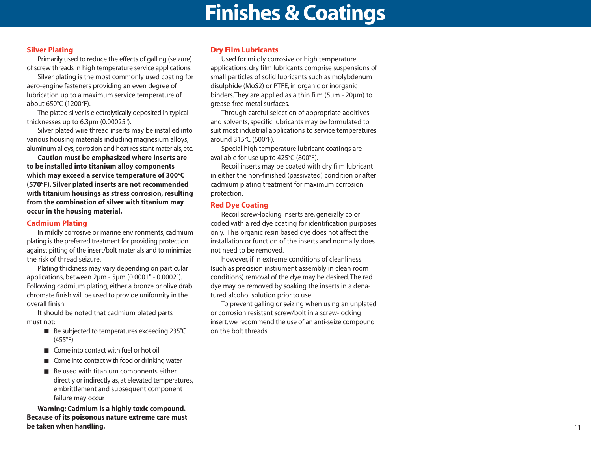### **Finishes & Coatings**

#### **Silver Plating**

Primarily used to reduce the effects of galling (seizure) of screw threads in high temperature service applications.

Silver plating is the most commonly used coating for aero-engine fasteners providing an even degree of lubrication up to a maximum service temperature of about 650°C (1200°F).

The plated silver is electrolytically deposited in typical thicknesses up to 6.3µm (0.00025").

Silver plated wire thread inserts may be installed into various housing materials including magnesium alloys, aluminum alloys, corrosion and heat resistant materials, etc.

**Caution must be emphasized where inserts are to be installed into titanium alloy components which may exceed a service temperature of 300°C (570°F). Silver plated inserts are not recommended with titanium housings as stress corrosion, resulting from the combination of silver with titanium may occur in the housing material.**

#### **Cadmium Plating**

In mildly corrosive or marine environments, cadmium plating is the preferred treatment for providing protection against pitting of the insert/bolt materials and to minimize the risk of thread seizure.

Plating thickness may vary depending on particular applications, between 2µm - 5µm (0.0001" - 0.0002"). Following cadmium plating, either a bronze or olive drab chromate finish will be used to provide uniformity in the overall finish.

It should be noted that cadmium plated parts must not:

- Be subjected to temperatures exceeding 235°C (455°F)
- Come into contact with fuel or hot oil
- Come into contact with food or drinking water
- Be used with titanium components either directly or indirectly as, at elevated temperatures, embrittlement and subsequent component failure may occur

**Warning: Cadmium is a highly toxic compound. Because of its poisonous nature extreme care must be taken when handling.**

#### **Dry Film Lubricants**

Used for mildly corrosive or high temperature applications, dry film lubricants comprise suspensions of small particles of solid lubricants such as molybdenum disulphide (MoS2) or PTFE, in organic or inorganic binders.They are applied as a thin film (5µm - 20µm) to grease-free metal surfaces.

Through careful selection of appropriate additives and solvents, specific lubricants may be formulated to suit most industrial applications to service temperatures around 315°C (600°F).

Special high temperature lubricant coatings are available for use up to 425°C (800°F).

Recoil inserts may be coated with dry film lubricant in either the non-finished (passivated) condition or after cadmium plating treatment for maximum corrosion protection.

#### **Red Dye Coating**

Recoil screw-locking inserts are, generally color coded with a red dye coating for identification purposes only. This organic resin based dye does not affect the installation or function of the inserts and normally does not need to be removed.

However, if in extreme conditions of cleanliness (such as precision instrument assembly in clean room conditions) removal of the dye may be desired. The red dye may be removed by soaking the inserts in a denatured alcohol solution prior to use.

To prevent galling or seizing when using an unplated or corrosion resistant screw/bolt in a screw-locking insert, we recommend the use of an anti-seize compound on the bolt threads.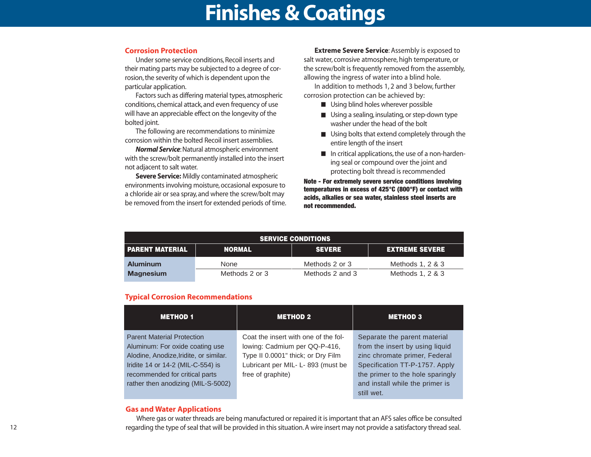### **Finishes & Coatings**

#### **Corrosion Protection**

Under some service conditions, Recoil inserts and their mating parts may be subjected to a degree of corrosion, the severity of which is dependent upon the particular application.

Factors such as differing material types, atmospheric conditions, chemical attack, and even frequency of use will have an appreciable effect on the longevity of the bolted joint.

The following are recommendations to minimize corrosion within the bolted Recoil insert assemblies.

*Normal Service*: Natural atmospheric environment with the screw/bolt permanently installed into the insert not adjacent to salt water.

**Severe Service:** Mildly contaminated atmospheric environments involving moisture, occasional exposure to a chloride air or sea spray, and where the screw/bolt may be removed from the insert for extended periods of time.

**Extreme Severe Service**: Assembly is exposed to salt water, corrosive atmosphere, high temperature, or the screw/bolt is frequently removed from the assembly, allowing the ingress of water into a blind hole.

In addition to methods 1, 2 and 3 below, further corrosion protection can be achieved by:

- Using blind holes wherever possible
- Using a sealing, insulating, or step-down type washer under the head of the bolt
- Using bolts that extend completely through the entire length of the insert
- In critical applications, the use of a non-hardening seal or compound over the joint and protecting bolt thread is recommended

**Note - For extremely severe service conditions involving temperatures in excess of 425°C (800°F) or contact with acids, alkalies or sea water, stainless steel inserts are not recommended.**

| <b>SERVICE CONDITIONS</b> |                |                 |                       |  |  |  |  |  |  |  |  |  |  |
|---------------------------|----------------|-----------------|-----------------------|--|--|--|--|--|--|--|--|--|--|
| <b>I PARENT MATERIAL</b>  | <b>NORMAL</b>  | <b>SEVERE</b>   | <b>EXTREME SEVERE</b> |  |  |  |  |  |  |  |  |  |  |
| <b>Aluminum</b>           | None           | Methods 2 or 3  | Methods 1, 2 & 3      |  |  |  |  |  |  |  |  |  |  |
| <b>Magnesium</b>          | Methods 2 or 3 | Methods 2 and 3 | Methods 1, 2 & 3      |  |  |  |  |  |  |  |  |  |  |

#### **Typical Corrosion Recommendations**

| <b>METHOD 1</b>                        | <b>METHOD 2</b>                      | <b>METHOD 3</b>                  |
|----------------------------------------|--------------------------------------|----------------------------------|
| <b>Parent Material Protection</b>      | Coat the insert with one of the fol- | Separate the parent material     |
| Aluminum: For oxide coating use        | lowing: Cadmium per QQ-P-416,        | from the insert by using liquid  |
| Alodine, Anodize, Iridite, or similar. | Type II 0.0001" thick; or Dry Film   | zinc chromate primer, Federal    |
| Iridite 14 or 14-2 (MIL-C-554) is      | Lubricant per MIL- L- 893 (must be   | Specification TT-P-1757. Apply   |
| recommended for critical parts         | free of graphite)                    | the primer to the hole sparingly |
| rather then anodizing (MIL-S-5002)     |                                      | and install while the primer is  |
|                                        |                                      | still wet.                       |

#### **Gas and Water Applications**

Where gas or water threads are being manufactured or repaired it is important that an AFS sales office be consulted regarding the type of seal that will be provided in this situation. A wire insert may not provide a satisfactory thread seal.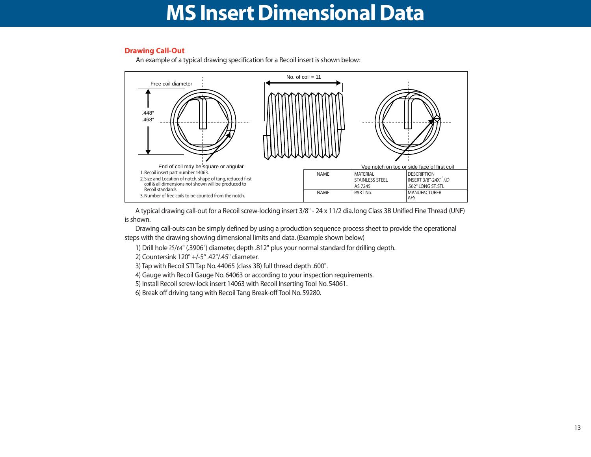### **MS Insert Dimensional Data**

#### **Drawing Call-Out**

An example of a typical drawing specification for a Recoil insert is shown below:



A typical drawing call-out for a Recoil screw-locking insert 3/8" - 24 x 11/2 dia. long Class 3B Unified Fine Thread (UNF) is shown.

Drawing call-outs can be simply defined by using a production sequence process sheet to provide the operational steps with the drawing showing dimensional limits and data. (Example shown below)

1) Drill hole 25/64" (.3906") diameter, depth .812" plus your normal standard for drilling depth.

2) Countersink 120° +/-5° .42"/.45" diameter.

- 3) Tap with Recoil STI Tap No. 44065 (class 3B) full thread depth .600".
- 4) Gauge with Recoil Gauge No. 64063 or according to your inspection requirements.
- 5) Install Recoil screw-lock insert 14063 with Recoil Inserting Tool No. 54061.
- 6) Break off driving tang with Recoil Tang Break-off Tool No. 59280.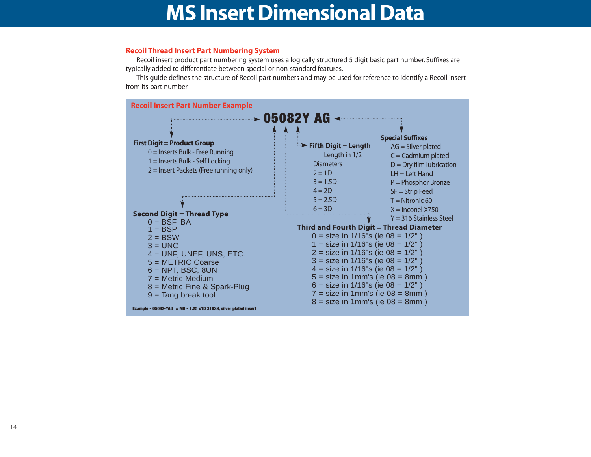### **MS Insert Dimensional Data**

#### **Recoil Thread Insert Part Numbering System**

Recoil insert product part numbering system uses a logically structured 5 digit basic part number. Suffixes are typically added to differentiate between special or non-standard features.

This guide defines the structure of Recoil part numbers and may be used for reference to identify a Recoil insert from its part number.

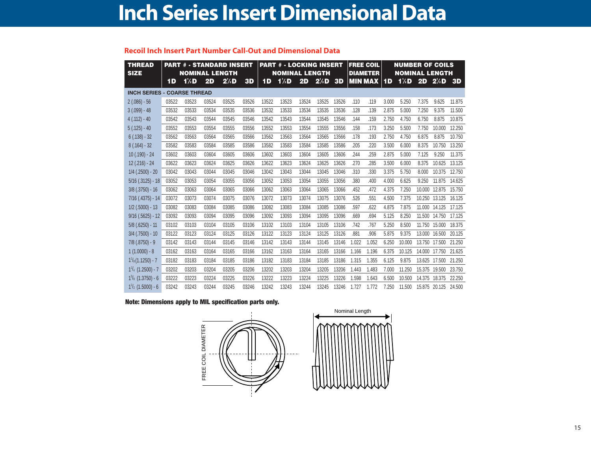### **Inch Series Insert Dimensional Data**

#### **Recoil Inch Insert Part Number Call-Out and Dimensional Data**

| <b>THREAD</b><br><b>SIZE</b>       |       | <b>NOMINAL LENGTH</b> |       | <b>PART # - STANDARD INSERT</b> |       | <b>PART # - LOCKING INSERT</b><br><b>NOMINAL LENGTH</b> |         |       |         |       | <b>FREE COIL</b><br><b>DIAMETER</b> |                |           |         | <b>NUMBER OF COILS</b><br><b>NOMINAL LENGTH</b> |               |           |  |
|------------------------------------|-------|-----------------------|-------|---------------------------------|-------|---------------------------------------------------------|---------|-------|---------|-------|-------------------------------------|----------------|-----------|---------|-------------------------------------------------|---------------|-----------|--|
|                                    | 1D    | $1/2$ D               | 2D    | $2/2$ D                         | 3D    | 1D                                                      | $1/2$ D | 2D    | $2/2$ D | 3D    |                                     | <b>MIN MAX</b> | <b>1D</b> | $1/2$ D | 2D                                              | 2/2           | <b>3D</b> |  |
| <b>INCH SERIES - COARSE THREAD</b> |       |                       |       |                                 |       |                                                         |         |       |         |       |                                     |                |           |         |                                                 |               |           |  |
| $2(.086) - 56$                     | 03522 | 03523                 | 03524 | 03525                           | 03526 | 13522                                                   | 13523   | 13524 | 13525   | 13526 | .110                                | .119           | 3.000     | 5.250   | 7.375                                           | 9.625         | 11.875    |  |
| $3(.099) - 48$                     | 03532 | 03533                 | 03534 | 03535                           | 03536 | 13532                                                   | 13533   | 13534 | 13535   | 13536 | .128                                | .139           | 2.875     | 5.000   | 7.250                                           | 9.375         | 11.500    |  |
| $4(.112) - 40$                     | 03542 | 03543                 | 03544 | 03545                           | 03546 | 13542                                                   | 13543   | 13544 | 13545   | 13546 | .144                                | .159           | 2.750     | 4.750   | 6.750                                           | 8.875         | 10.875    |  |
| $5(.125) - 40$                     | 03552 | 03553                 | 03554 | 03555                           | 03556 | 13552                                                   | 13553   | 13554 | 13555   | 13556 | .158                                | .173           | 3.250     | 5.500   | 7.750                                           | 10.000        | 12.250    |  |
| $6(.138) - 32$                     | 03562 | 03563                 | 03564 | 03565                           | 03566 | 13562                                                   | 13563   | 13564 | 13565   | 13566 | .178                                | .193           | 2.750     | 4.750   | 6.875                                           | 8.875         | 10.750    |  |
| $8(.164) - 32$                     | 03582 | 03583                 | 03584 | 03585                           | 03586 | 13582                                                   | 13583   | 13584 | 13585   | 13586 | .205                                | .220           | 3.500     | 6.000   | 8.375                                           | 10.750        | 13.250    |  |
| $10(.190) - 24$                    | 03602 | 03603                 | 03604 | 03605                           | 03606 | 13602                                                   | 13603   | 13604 | 13605   | 13606 | .244                                | .259           | 2.875     | 5.000   | 7.125                                           | 9.250         | 11.375    |  |
| 12 (.216) - 24                     | 03622 | 03623                 | 03624 | 03625                           | 03626 | 13622                                                   | 13623   | 13624 | 13625   | 13626 | .270                                | .285           | 3.500     | 6.000   | 8.375                                           | 10.625        | 13.125    |  |
| $1/4$ (.2500) - 20                 | 03042 | 03043                 | 03044 | 03045                           | 03046 | 13042                                                   | 13043   | 13044 | 13045   | 13046 | .310                                | .330           | 3.375     | 5.750   | 8.000                                           | 10.375        | 12.750    |  |
| $5/16$ $(.3125) - 18$              | 03052 | 03053                 | 03054 | 03055                           | 03056 | 13052                                                   | 13053   | 13054 | 13055   | 13056 | .380                                | .400           | 4.000     | 6.625   | 9.250                                           | 11.875        | 14.625    |  |
| $3/8$ $(.3750) - 16$               | 03062 | 03063                 | 03064 | 03065                           | 03066 | 13062                                                   | 13063   | 13064 | 13065   | 13066 | .452                                | .472           | 4.375     | 7.250   | 10.000                                          | 12.875        | 15.750    |  |
| $7/16$ $(.4375) - 14$              | 03072 | 03073                 | 03074 | 03075                           | 03076 | 13072                                                   | 13073   | 13074 | 13075   | 13076 | .526                                | .551           | 4.500     | 7.375   | 10.250                                          | 13.125        | 16.125    |  |
| $1/2$ (.5000) - 13                 | 03082 | 03083                 | 03084 | 03085                           | 03086 | 13082                                                   | 13083   | 13084 | 13085   | 13086 | .597                                | .622           | 4.875     | 7.875   | 11.000                                          | 14.125        | 17.125    |  |
| $9/16$ $(.5625) - 12$              | 03092 | 03093                 | 03094 | 03095                           | 03096 | 13092                                                   | 13093   | 13094 | 13095   | 13096 | .669                                | .694           | 5.125     | 8.250   | 11.500                                          | 14.750        | 17.125    |  |
| $5/8$ (.6250) - 11                 | 03102 | 03103                 | 03104 | 03105                           | 03106 | 13102                                                   | 13103   | 13104 | 13105   | 13106 | .742                                | .767           | 5.250     | 8.500   | 11.750                                          | 15.000        | 18.375    |  |
| $3/4$ $(.7500) - 10$               | 03122 | 03123                 | 03124 | 03125                           | 03126 | 13122                                                   | 13123   | 13124 | 13125   | 13126 | .881                                | .906           | 5.875     | 9.375   | 13.000                                          | 16.500        | 20.125    |  |
| $7/8$ $(.8750) - 9$                | 03142 | 03143                 | 03144 | 03145                           | 03146 | 13142                                                   | 13143   | 13144 | 13145   | 13146 | 1.022                               | 1.052          | 6.250     | 10.000  | 13.750                                          | 17.500        | 21.250    |  |
| $1(1.0000) - 8$                    | 03162 | 03163                 | 03164 | 03165                           | 03166 | 13162                                                   | 13163   | 13164 | 13165   | 13166 | 1.166                               | 1.196          | 6.375     | 10.125  | 14.000                                          | 17.750        | 21.625    |  |
| $1\frac{1}{8}(1.1250) - 7$         | 03182 | 03183                 | 03184 | 03185                           | 03186 | 13182                                                   | 13183   | 13184 | 13185   | 13186 | 1.315                               | 1.355          | 6.125     | 9.875   | 13.625                                          | 17.500        | 21.250    |  |
| $1\frac{1}{4}$ (1.2500) - 7        | 03202 | 03203                 | 03204 | 03205                           | 03206 | 13202                                                   | 13203   | 13204 | 13205   | 13206 | 1.443                               | 1.483          | 7.000     | 11.250  | 15.375                                          | 19.500        | 23.750    |  |
| $1\frac{3}{8}$ (1.3750) - 6        | 03222 | 03223                 | 03224 | 03225                           | 03226 | 13222                                                   | 13223   | 13224 | 13225   | 13226 | 1.598                               | 1.643          | 6.500     | 10.500  | 14.375                                          | 18.375        | 22.250    |  |
| $1\frac{1}{2}$ (1.5000) - 6        | 03242 | 03243                 | 03244 | 03245                           | 03246 | 13242                                                   | 13243   | 13244 | 13245   | 13246 | 1.727                               | 1.772          | 7.250     | 11.500  |                                                 | 15.875 20.125 | 24.500    |  |

#### **Note: Dimensions apply to MIL specification parts only.**

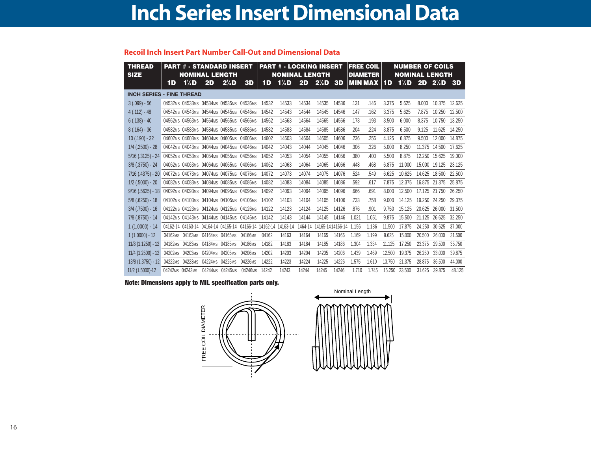### **Inch Series Insert Dimensional Data**

#### **Recoil Inch Insert Part Number Call-Out and Dimensional Data**

| <b>THREAD</b><br><b>SIZE</b>     |                 |         | <b>NOMINAL LENGTH</b>           | <b>PART # - STANDARD INSERT</b>         |                                                       | <b>PART # - LOCKING INSERT</b><br><b>NOMINAL LENGTH</b> |          |         |                  |                        | <b>FREE COIL</b><br><b>DIAMETER</b> |                |        |        | <b>NUMBER OF COILS</b><br><b>NOMINAL LENGTH</b> |                      |        |  |
|----------------------------------|-----------------|---------|---------------------------------|-----------------------------------------|-------------------------------------------------------|---------------------------------------------------------|----------|---------|------------------|------------------------|-------------------------------------|----------------|--------|--------|-------------------------------------------------|----------------------|--------|--|
|                                  | 1D              | $1/2$ D | 2D                              | $2/2$ D                                 | 3D                                                    | 1D                                                      | 1/2D     | 2D      | $2\frac{1}{2}$ D | 3D                     |                                     | <b>MIN MAX</b> | 1D     | 1/2D   | 2D                                              | $2/2$ D              | -3D    |  |
| <b>INCH SERIES - FINE THREAD</b> |                 |         |                                 |                                         |                                                       |                                                         |          |         |                  |                        |                                     |                |        |        |                                                 |                      |        |  |
| $3(.099) - 56$                   |                 |         |                                 | 04532MS 04533MS 04534MS 04535MS 04536MS |                                                       | 14532                                                   | 14533    | 14534   | 14535            | 14536                  | .131                                | .146           | 3.375  | 5.625  | 8.000                                           | 10.375               | 12.625 |  |
| $4(.112) - 48$                   |                 |         |                                 | 04542MS 04543MS 04544MS 04545MS 04546MS |                                                       | 14542                                                   | 14543    | 14544   | 14545            | 14546                  | .147                                | .162           | 3.375  | 5.625  | 7.875                                           | 10.250               | 12.500 |  |
| $6(.138) - 40$                   |                 |         |                                 | 04562MS 04563MS 04564MS 04565MS 04566MS |                                                       | 14562                                                   | 14563    | 14564   | 14565            | 14566                  | .173                                | .193           | 3.500  | 6.000  | 8.375                                           | 10.750               | 13.250 |  |
| $8(.164) - 36$                   |                 |         |                                 | 04582MS 04583MS 04584MS 04585MS 04586MS |                                                       | 14582                                                   | 14583    | 14584   | 14585            | 14586                  | .204                                | .224           | 3.875  | 6.500  | 9.125                                           | 11.625               | 14.250 |  |
| $10(.190) - 32$                  |                 |         |                                 | 04602MS 04603MS 04604MS 04605MS 04606MS |                                                       | 14602                                                   | 14603    | 14604   | 14605            | 14606                  | .236                                | .256           | 4.125  | 6.875  | 9.500                                           | 12.000               | 14.875 |  |
| $1/4$ (.2500) - 28               |                 |         |                                 | 04042MS 04043MS 04044MS 04045MS 04046MS |                                                       | 14042                                                   | 14043    | 14044   | 14045            | 14046                  | .306                                | .326           | 5.000  | 8.250  | 11.375                                          | 14.500               | 17.625 |  |
| $5/16$ (.3125) - 24              |                 |         |                                 | 04052MS 04053MS 04054MS 04055MS 04056MS |                                                       | 14052                                                   | 14053    | 14054   | 14055            | 14056                  | .380                                | .400           | 5.500  | 8.875  |                                                 | 12.250 15.625        | 19.000 |  |
| $3/8$ $(.3750) - 24$             |                 |         |                                 | 04062MS 04063MS 04064MS 04065MS 04066MS |                                                       | 14062                                                   | 14063    | 14064   | 14065            | 14066                  | .448                                | .468           | 6.875  | 11.000 | 15.000                                          | 19.125               | 23.125 |  |
| $7/16$ (.4375) - 20              |                 |         |                                 | 04072MS 04073MS 04074MS 04075MS 04076MS |                                                       | 14072                                                   | 14073    | 14074   | 14075            | 14076                  | .524                                | .549           | 6.625  | 10.625 |                                                 | 14.625 18.500 22.500 |        |  |
| $1/2$ (.5000) - 20               |                 |         |                                 | 04082MS 04083MS 04084MS 04085MS 04086MS |                                                       | 14082                                                   | 14083    | 14084   | 14085            | 14086                  | .592                                | .617           | 7.875  | 12.375 |                                                 | 16.875 21.375 25.875 |        |  |
| $9/16$ (.5625) - 18              |                 |         |                                 | 04092MS 04093MS 04094MS 04095MS 04096MS |                                                       | 14092                                                   | 14093    | 14094   | 14095            | 14096                  | .666                                | .691           | 8.000  | 12.500 |                                                 | 17.125 21.750        | 26.250 |  |
| $5/8$ (.6250) - 18               |                 |         |                                 | 04102MS 04103MS 04104MS 04105MS 04106MS |                                                       | 14102                                                   | 14103    | 14104   | 14105            | 14106                  | .733                                | .758           | 9.000  | 14.125 |                                                 | 19.250 24.250        | 29.375 |  |
| $3/4$ (.7500) - 16               |                 |         |                                 | 04122MS 04123MS 04124MS 04125MS 04126MS |                                                       | 14122                                                   | 14123    | 14124   | 14125            | 14126                  | .876                                | .901           | 9.750  | 15.125 |                                                 | 20.625 26.000        | 31.500 |  |
| $7/8$ $(.8750) - 14$             |                 |         |                                 | 04142MS 04143MS 04144MS 04145MS 04146MS |                                                       | 14142                                                   | 14143    | 14144   | 14145            | 14146                  | 1.021                               | 1.051          | 9.875  | 15.500 | 21.125                                          | 26.625               | 32.250 |  |
| $1(1.0000) - 14$                 |                 |         |                                 |                                         | 04162-14 04163-14 04164-14 04165-14 04166-14 14162-14 |                                                         | 14163-14 | 1464-14 |                  | 14165-1414166-14 1.156 |                                     | 1.186          | 11.500 | 17.875 | 24.250                                          | 30.625               | 37.000 |  |
| $1(1.0000) - 12$                 |                 |         | 04162MS 04163MS 04164MS 04165MS |                                         | 04166MS                                               | 04162                                                   | 14163    | 14164   | 14165            | 14166                  | 1.169                               | 1.199          | 9.625  | 15,000 | 20.500                                          | 26,000               | 31.500 |  |
| $11/8$ (1.1250) - 12             |                 |         | 04182MS 04183MS 04184MS 04185MS |                                         | 04186MS                                               | 14182                                                   | 14183    | 14184   | 14185            | 14186                  | 1.304                               | 1.334          | 11.125 | 17.250 | 23.375                                          | 29,500               | 35.750 |  |
| $11/4$ (1.2500) - 12             |                 |         | 04202MS 04203MS 04204MS 04205MS |                                         | 04206MS                                               | 14202                                                   | 14203    | 14204   | 14205            | 14206                  | 1.439                               | 1.469          | 12.500 | 19.375 | 26.250                                          | 33.000               | 39.875 |  |
| 13/8 (1.3750) - 12               |                 |         | 04222MS 04223MS 04224MS 04225MS |                                         | 04226MS                                               | 14222                                                   | 14223    | 14224   | 14225            | 14226                  | 1.575                               | 1.610          | 13.750 | 21.375 | 28.875                                          | 36,500               | 44.000 |  |
| 11/2 (1.5000)-12                 | 04242MS 04243MS |         | 04244MS 04245MS                 |                                         | 04246MS                                               | 14242                                                   | 14243    | 14244   | 14245            | 14246                  | 1.710                               | 1.745          | 15.250 | 23.500 | 31.625                                          | 39.875               | 48.125 |  |

#### **Note: Dimensions apply to MIL specification parts only.**

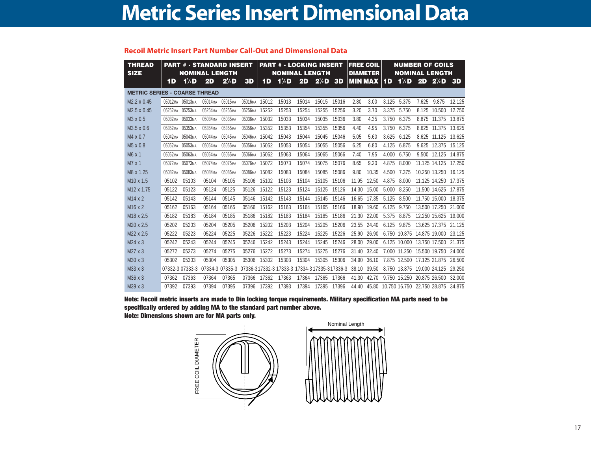|  |  |  |  | Recoil Metric Insert Part Number Call-Out and Dimensional Data |
|--|--|--|--|----------------------------------------------------------------|
|--|--|--|--|----------------------------------------------------------------|

| <b>THREAD</b><br><b>SIZE</b>         |                     | <b>PART # - STANDARD INSERT</b><br><b>NOMINAL LENGTH</b> |                     |                     |                |       | <b>PART # - LOCKING INSERT</b><br><b>NOMINAL LENGTH</b> |                                               |                  |           |                | <b>FREE COIL</b><br><b>DIAMETER</b> |            | <b>NUMBER OF COILS</b><br><b>NOMINAL LENGTH</b> |       |                      |           |  |
|--------------------------------------|---------------------|----------------------------------------------------------|---------------------|---------------------|----------------|-------|---------------------------------------------------------|-----------------------------------------------|------------------|-----------|----------------|-------------------------------------|------------|-------------------------------------------------|-------|----------------------|-----------|--|
|                                      | 1D                  | $1/2$ D                                                  | 2D                  | $2/2$ D             | 3D             | 1D    | 1/2D                                                    | 2D                                            | $2^{\prime}/2$ D | <b>3D</b> | <b>MIN MAX</b> |                                     | 1 <b>D</b> | $1/2$ D                                         | 2D    | $2/2$ D              | <b>3D</b> |  |
| <b>METRIC SERIES - COARSE THREAD</b> |                     |                                                          |                     |                     |                |       |                                                         |                                               |                  |           |                |                                     |            |                                                 |       |                      |           |  |
| M2.2 x 0.45                          | 05012ма 05013ма     |                                                          | 05014 <sub>MA</sub> | 05015ма             | 05016ма        | 15012 | 15013                                                   | 15014                                         | 15015            | 15016     | 2.80           | 3.00                                | 3.125      | 5.375                                           | 7.625 | 9.875                | 12.125    |  |
| M2.5 x 0.45                          | 05252 <sub>MA</sub> | 05253 <sub>MA</sub>                                      | 05254 <sub>MA</sub> | 05255 <sub>MA</sub> | 05256мА        | 15252 | 15253                                                   | 15254                                         | 15255            | 15256     | 3.20           | 3.70                                | 3.375      | 5.750                                           | 8.125 | 10.500               | 12.750    |  |
| M <sub>3</sub> x 0.5                 | 05032 <sub>MA</sub> | 05033мд                                                  | 05034 <sub>MA</sub> | 05035мА             | 05036мА        | 15032 | 15033                                                   | 15034                                         | 15035            | 15036     | 3.80           | 4.35                                | 3.750      | 6.375                                           | 8.875 | 11.375               | 13.875    |  |
| M3.5 x 0.6                           | 05352 <sub>MA</sub> | 05353 <sub>MA</sub>                                      | 05354 <sub>MA</sub> | 05355мд             | 05356мА        | 15352 | 15353                                                   | 15354                                         | 15355            | 15356     | 4.40           | 4.95                                | 3.750      | 6.375                                           |       | 8.625 11.375         | 13.625    |  |
| M4 x 0.7                             | 05042мА             | 05043 <sub>MA</sub>                                      | 05044мА             | 05045мА             | 05046мА        | 15042 | 15043                                                   | 15044                                         | 15045            | 15046     | 5.05           | 5.60                                | 3.625      | 6.125                                           | 8.625 | 11.125               | 13.625    |  |
| $M5 \times 0.8$                      | 05052 <sub>MA</sub> | 05053мА                                                  | 05054 <sub>MA</sub> | 05055мд             | 05056мА        | 15052 | 15053                                                   | 15054                                         | 15055            | 15056     | 6.25           | 6.80                                | 4.125      | 6.875                                           | 9.625 | 12.375               | 15.125    |  |
| $M6 \times 1$                        | 05062мА             | 05063 <sub>MA</sub>                                      | 05064мА             | 05065мА             | <b>05066мд</b> | 15062 | 15063                                                   | 15064                                         | 15065            | 15066     | 7.40           | 7.95                                | 4.000      | 6.750                                           | 9.500 | 12.125               | 14.875    |  |
| M7 x 1                               | 05072 <sub>MA</sub> | 05073ма                                                  | 05074 <sub>MA</sub> | 05075мА             | 05076мА        | 15072 | 15073                                                   | 15074                                         | 15075            | 15076     | 8.65           | 9.20                                | 4.875      | 8.000                                           |       | 11.125 14.125        | 17.250    |  |
| M8 x 1.25                            | 05082 <sub>MA</sub> | 05083 <sub>MA</sub>                                      | 05084 <sub>MA</sub> | 05085мА             | <b>05086мA</b> | 15082 | 15083                                                   | 15084                                         | 15085            | 15086     | 9.80           | 10.35                               | 4.500      | 7.375                                           |       | 10.250 13.250        | 16.125    |  |
| M <sub>10</sub> x 1.5                | 05102               | 05103                                                    | 05104               | 05105               | 05106          | 15102 | 15103                                                   | 15104                                         | 15105            | 15106     | 11.95          | 12.50                               | 4.875      | 8.000                                           |       | 11.125 14.250        | 17.375    |  |
| M <sub>12</sub> x 1.75               | 05122               | 05123                                                    | 05124               | 05125               | 05126          | 15122 | 15123                                                   | 15124                                         | 15125            | 15126     | 14.30          | 15.00                               | 5.000      | 8.250                                           |       | 11.500 14.625        | 17.875    |  |
| M <sub>14</sub> x 2                  | 05142               | 05143                                                    | 05144               | 05145               | 05146          | 15142 | 15143                                                   | 15144                                         | 15145            | 15146     | 16.65          | 17.35                               | 5.125      | 8.500                                           |       | 11.750 15.000        | 18.375    |  |
| M <sub>16</sub> x 2                  | 05162               | 05163                                                    | 05164               | 05165               | 05166          | 15162 | 15163                                                   | 15164                                         | 15165            | 15166     | 18.90          | 19.60                               | 6.125      | 9.750                                           |       | 13.500 17.250        | 21.000    |  |
| M <sub>18</sub> x 2.5                | 05182               | 05183                                                    | 05184               | 05185               | 05186          | 15182 | 15183                                                   | 15184                                         | 15185            | 15186     | 21.30          | 22.00                               | 5.375      | 8.875                                           |       | 12.250 15.625        | 19.000    |  |
| M20 x 2.5                            | 05202               | 05203                                                    | 05204               | 05205               | 05206          | 15202 | 15203                                                   | 15204                                         | 15205            | 15206     | 23.55          | 24.40                               | 6.125      | 9.875                                           |       | 13.625 17.375 21.125 |           |  |
| M22 x 2.5                            | 05222               | 05223                                                    | 05224               | 05225               | 05226          | 15222 | 15223                                                   | 15224                                         | 15225            | 15226     | 25.90          | 26.90                               |            | 6.750 10.875                                    |       | 14.875 19.000        | 23.125    |  |
| M24 x 3                              | 05242               | 05243                                                    | 05244               | 05245               | 05246          | 15242 | 15243                                                   | 15244                                         | 15245            | 15246     | 28.00          | 29.00                               |            | 6.125 10.000                                    |       | 13.750 17.500        | 21.375    |  |
| M27 x 3                              | 05272               | 05273                                                    | 05274               | 05275               | 05276          | 15272 | 15273                                                   | 15274                                         | 15275            | 15276     | 31.40          | 32.40                               |            | 7.000 11.250                                    |       | 15,500 19.750        | 24,000    |  |
| M30 x 3                              | 05302               | 05303                                                    | 05304               | 05305               | 05306          | 15302 | 15303                                                   | 15304                                         | 15305            | 15306     | 34.90          | 36.10                               |            | 7.875 12.500                                    |       | 17.125 21.875        | 26,500    |  |
| M33 x 3                              |                     | 07332-3 07333-3                                          |                     | 07334-3 07335-3     |                |       |                                                         | 07336-317332-3 17333-3 17334-3 17335-317336-3 |                  |           | 38.10          | 39.50                               |            | 8.750 13.875                                    |       | 19.000 24.125        | 29.250    |  |
| M36 x 3                              | 07362               | 07363                                                    | 07364               | 07365               | 07366          | 17362 | 17363                                                   | 17364                                         | 17365            | 17366     | 41.30          | 42.70                               |            | 9.750 15.250                                    |       | 20.875 26.500        | 32.000    |  |
| M39 x 3                              | 07392               | 07393                                                    | 07394               | 07395               | 07396          | 17392 | 17393                                                   | 17394                                         | 17395            | 17396     | 44.40          | 45.80                               |            | 10.750 16.750 22.750 28.875                     |       |                      | 34.875    |  |

**Note: Recoil metric inserts are made to Din locking torque requirements. Military specification MA parts need to be specifically ordered by adding MA to the standard part number above. Note: Dimensions shown are for MA parts only.**

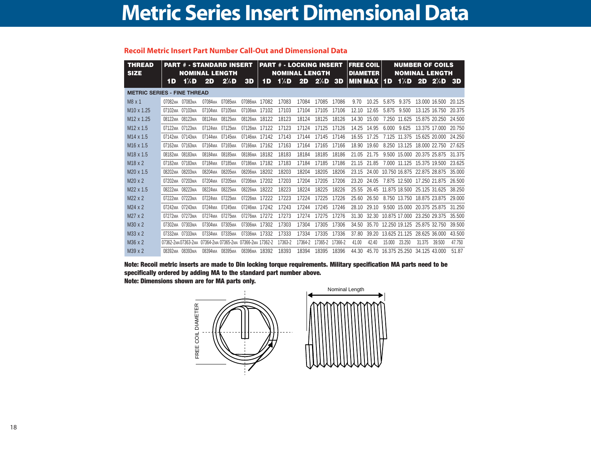|  | <b>Recoil Metric Insert Part Number Call-Out and Dimensional Data</b> |  |  |
|--|-----------------------------------------------------------------------|--|--|
|--|-----------------------------------------------------------------------|--|--|

| <b>THREAD</b><br><b>SIZE</b>       | <b>PART # - STANDARD INSERT</b><br><b>NOMINAL LENGTH</b> |                     |                     |                     |                     |       | <b>PART # - LOCKING INSERT</b><br><b>FREE COIL</b><br><b>NOMINAL LENGTH</b><br><b>DIAMETER</b> |         |         |         |                |       |        | <b>NUMBER OF COILS</b><br><b>NOMINAL LENGTH</b> |               |                      |           |
|------------------------------------|----------------------------------------------------------|---------------------|---------------------|---------------------|---------------------|-------|------------------------------------------------------------------------------------------------|---------|---------|---------|----------------|-------|--------|-------------------------------------------------|---------------|----------------------|-----------|
|                                    | 1D                                                       | 1/2D                | 2D                  | $2/2$ D             | 3D                  | 1D    | 1/2D                                                                                           | 2D      | $2/2$ D | 3D      | <b>MIN MAX</b> |       | 1D     | 1/2D                                            | 2D            | $2/2$ D              | <b>3D</b> |
| <b>METRIC SERIES - FINE THREAD</b> |                                                          |                     |                     |                     |                     |       |                                                                                                |         |         |         |                |       |        |                                                 |               |                      |           |
| $M8 \times 1$                      | 07082 <sub>MA</sub>                                      | 07083ма             | 07084 <sub>MA</sub> | 07085 <sub>MA</sub> | 07086MA             | 17082 | 17083                                                                                          | 17084   | 17085   | 17086   | 9.70           | 10.25 | 5.875  | 9.375                                           |               | 13.000 16.500        | 20.125    |
| M <sub>10</sub> x 1.25             | 07102ма                                                  | 07103 <sub>MA</sub> | 07104мА             | 07105 <sub>MA</sub> | <b>07106мА</b>      | 17102 | 17103                                                                                          | 17104   | 17105   | 17106   | 12.10          | 12.65 | 5.875  | 9.500                                           |               | 13.125 16.750        | 20.375    |
| M <sub>12</sub> x 1.25             | 08122MA 08123MA                                          |                     | 08124 <sub>MA</sub> | 08125 <sub>MA</sub> | 08126MA             | 18122 | 18123                                                                                          | 18124   | 18125   | 18126   | 14.30          | 15.00 | 7.250  | 11.625                                          |               | 15.875 20.250        | 24.500    |
| M <sub>12</sub> x 1.5              | 07122 <sub>MA</sub>                                      | 07123 <sub>MA</sub> | 07124 <sub>MA</sub> | 07125MA             | 07126MA             | 17122 | 17123                                                                                          | 17124   | 17125   | 17126   | 14.25          | 14.95 | 6.000  | 9.625                                           |               | 13.375 17.000        | 20.750    |
| M <sub>14</sub> x 1.5              | 07142 <sub>MA</sub>                                      | 07143 <sub>MA</sub> | 07144MA             | 07145 <sub>MA</sub> | 07146мA             | 17142 | 17143                                                                                          | 17144   | 17145   | 17146   | 16.55          | 17.25 | 7.125  | 11.375                                          |               | 15.625 20.000        | 24.250    |
| M <sub>16</sub> x 1.5              | 07162мд                                                  | 07163ма             | 07164 <sub>MA</sub> | 07165 <sub>MA</sub> | 07166мA             | 17162 | 17163                                                                                          | 17164   | 17165   | 17166   | 18.90          | 19.60 | 8.250  | 13.125                                          |               | 18,000 22.750        | 27.625    |
| M <sub>18</sub> x 1.5              | 08182 <sub>MA</sub>                                      | 08183MA             | 08184 <sub>MA</sub> | 08185MA             | 08186MA             | 18182 | 18183                                                                                          | 18184   | 18185   | 18186   | 21.05          | 21.75 | 9.500  | 15.000                                          |               | 20.375 25.875 31.375 |           |
| M <sub>18</sub> x 2                | 07182ма                                                  | 07183MA             | 07184 <sub>MA</sub> | 07185MA             | 07186MA             | 17182 | 17183                                                                                          | 17184   | 17185   | 17186   | 21.15          | 21.85 | 7.000  | 11.125                                          |               | 15.375 19.500        | 23.625    |
| M <sub>20</sub> x 1.5              | 08202мд                                                  | 08203MA             | 08204 <sub>MA</sub> | 08205 <sub>MA</sub> | 08206MA             | 18202 | 18203                                                                                          | 18204   | 18205   | 18206   | 23.15          | 24.00 |        | 10.750 16.875                                   | 22.875 28.875 |                      | 35,000    |
| M20 x 2                            | 07202ма                                                  | 07203 <sub>MA</sub> | 07204 <sub>MA</sub> | 07205 <sub>MA</sub> | 07206MA             | 17202 | 17203                                                                                          | 17204   | 17205   | 17206   | 23.20          | 24.05 |        | 7.875 12.500                                    |               | 17.250 21.875        | 26,500    |
| M22 x 1.5                          | 08222 <sub>MA</sub>                                      | 08223MA             | 08224 <sub>MA</sub> | 08225MA             | 08226MA             | 18222 | 18223                                                                                          | 18224   | 18225   | 18226   | 25.55          | 26.45 |        | 11.875 18.500                                   | 25.125 31.625 |                      | 38.250    |
| M22 x 2                            | 07222 <sub>MA</sub>                                      | 07223 <sub>MA</sub> | 07224 <sub>MA</sub> | 07225MA             | 07226MA             | 17222 | 17223                                                                                          | 17224   | 17225   | 17226   | 25.60          | 26.50 |        | 8.750 13.750                                    |               | 18.875 23.875        | 29.000    |
| M24 x 2                            | 07242 <sub>MA</sub>                                      | 07243MA             | 07244MA             | 07245MA             | 07246MA             | 17242 | 17243                                                                                          | 17244   | 17245   | 17246   | 28.10          | 29.10 |        | 9.500 15.000                                    |               | 20.375 25.875        | 31.250    |
| M27 x 2                            | 07272 <sub>MA</sub>                                      | 07273MA             | 07274MA             | 07275 <sub>MA</sub> | 07276MA             | 17272 | 17273                                                                                          | 17274   | 17275   | 17276   | 31.30          | 32.30 |        | 10.875 17.000                                   | 23.250 29.375 |                      | 35.500    |
| M30 x 2                            | 07302 <sub>MA</sub>                                      | 07303MA             | 07304 <sub>MA</sub> | 07305 <sub>MA</sub> | 07306 <sub>MA</sub> | 17302 | 17303                                                                                          | 17304   | 17305   | 17306   | 34.50          | 35.70 |        | 12.250 19.125                                   |               | 25.875 32.750        | 39.500    |
| M33 x 2                            | 07332 <sub>MA</sub>                                      | 07333MA             | 07334 <sub>MA</sub> | 07335 <sub>MA</sub> | 07336MA             | 17332 | 17333                                                                                          | 17334   | 17335   | 17336   | 37.80          | 39.20 |        | 13.625 21.125                                   | 28.625 36.000 |                      | 43.500    |
| M36 x 2                            | 07362-2мд 07363-2мд                                      |                     | 07364-2мд 07365-2мд |                     | 07366-2мд 17362-2   |       | 17363-2                                                                                        | 17364-2 | 17365-2 | 17366-2 | 41.00          | 42.40 | 15.000 | 23.250                                          | 31.375        | 39.500               | 47.750    |
| M39 x 2                            | 08392мд 08393мд                                          |                     | 08394 <sub>MA</sub> | 08395 <sub>MA</sub> | 08396мА 18392       |       | 18393                                                                                          | 18394   | 18395   | 18396   | 44.30          | 45.70 |        | 16.375 25.250                                   | 34.125 43.000 |                      | 51.87     |

**Note: Recoil metric inserts are made to Din locking torque requirements. Military specification MA parts need to be specifically ordered by adding MA to the standard part number above. Note: Dimensions shown are for MA parts only.**

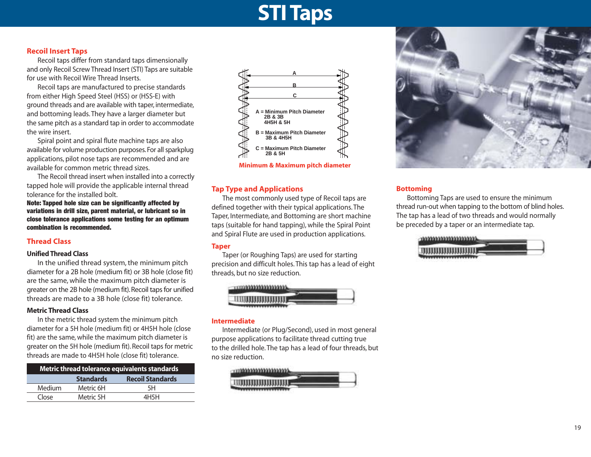## **STI Taps**

#### **Recoil Insert Taps**

Recoil taps differ from standard taps dimensionally and only Recoil Screw Thread Insert (STI) Taps are suitable for use with Recoil Wire Thread Inserts.

Recoil taps are manufactured to precise standards from either High Speed Steel (HSS) or (HSS-E) with ground threads and are available with taper, intermediate, and bottoming leads. They have a larger diameter but the same pitch as a standard tap in order to accommodate the wire insert.

Spiral point and spiral flute machine taps are also available for volume production purposes. For all sparkplug applications, pilot nose taps are recommended and are available for common metric thread sizes.

The Recoil thread insert when installed into a correctly tapped hole will provide the applicable internal thread tolerance for the installed bolt.

**Note: Tapped hole size can be significantly affected by variations in drill size, parent material, or lubricant so in close tolerance applications some testing for an optimum combination is recommended.**

#### **Thread Class**

#### **Unified Thread Class**

In the unified thread system, the minimum pitch diameter for a 2B hole (medium fit) or 3B hole (close fit) are the same, while the maximum pitch diameter is greater on the 2B hole (medium fit).Recoil taps for unified threads are made to a 3B hole (close fit) tolerance.

#### **Metric Thread Class**

In the metric thread system the minimum pitch diameter for a 5H hole (medium fit) or 4H5H hole (close fit) are the same, while the maximum pitch diameter is greater on the 5H hole (medium fit). Recoil taps for metric threads are made to 4H5H hole (close fit) tolerance.

| Metric thread tolerance equivalents standards |                  |                         |  |  |  |  |  |  |  |  |  |
|-----------------------------------------------|------------------|-------------------------|--|--|--|--|--|--|--|--|--|
|                                               | <b>Standards</b> | <b>Recoil Standards</b> |  |  |  |  |  |  |  |  |  |
| Medium                                        | Metric 6H        | 5H                      |  |  |  |  |  |  |  |  |  |
| Close                                         | Metric 5H        | 4H <sub>5</sub> H       |  |  |  |  |  |  |  |  |  |



#### **Tap Type and Applications**

The most commonly used type of Recoil taps are defined together with their typical applications. The Taper, Intermediate, and Bottoming are short machine taps (suitable for hand tapping), while the Spiral Point and Spiral Flute are used in production applications.

#### **Taper**

Taper (or Roughing Taps) are used for starting precision and difficult holes. This tap has a lead of eight threads, but no size reduction.



#### **Intermediate**

Intermediate (or Plug/Second), used in most general purpose applications to facilitate thread cutting true to the drilled hole. The tap has a lead of four threads, but no size reduction.





#### **Bottoming**

Bottoming Taps are used to ensure the minimum thread run-out when tapping to the bottom of blind holes. The tap has a lead of two threads and would normally be preceded by a taper or an intermediate tap.

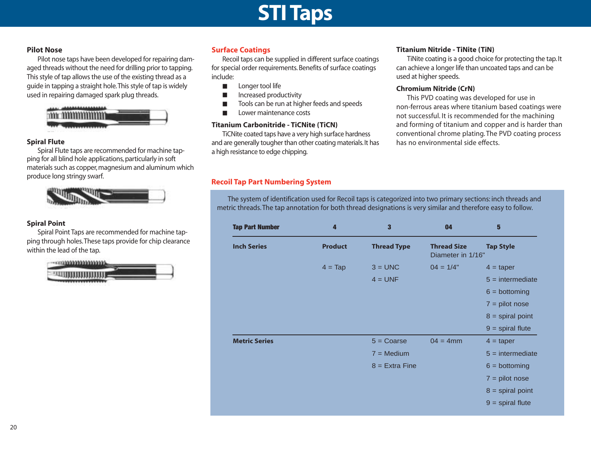### **STI Taps**

#### **Pilot Nose**

Pilot nose taps have been developed for repairing damaged threads without the need for drilling prior to tapping. This style of tap allows the use of the existing thread as a guide in tapping a straight hole.This style of tap is widely used in repairing damaged spark plug threads.



#### **Spiral Flute**

Spiral Flute taps are recommended for machine tapping for all blind hole applications, particularly in soft materials such as copper, magnesium and aluminum which produce long stringy swarf.



#### **Spiral Point**

Spiral Point Taps are recommended for machine tapping through holes.These taps provide for chip clearance within the lead of the tap.



#### **Surface Coatings**

Recoil taps can be supplied in different surface coatings for special order requirements. Benefits of surface coatings include:

- Longer tool life
- Increased productivity
- Tools can be run at higher feeds and speeds
- Lower maintenance costs

#### **Titanium Carbonitride - TiCNite (TiCN)**

TiCNite coated taps have a very high surface hardness and are generally tougher than other coating materials.It has a high resistance to edge chipping.

#### **Titanium Nitride - TiNite (TiN)**

TiNite coating is a good choice for protecting the tap. It can achieve a longer life than uncoated taps and can be used at higher speeds.

#### **Chromium Nitride (CrN)**

This PVD coating was developed for use in non-ferrous areas where titanium based coatings were not successful. It is recommended for the machining and forming of titanium and copper and is harder than conventional chrome plating. The PVD coating process has no environmental side effects.

#### **Recoil Tap Part Numbering System**

The system of identification used for Recoil taps is categorized into two primary sections: inch threads and metric threads. The tap annotation for both thread designations is very similar and therefore easy to follow.

| <b>Tap Part Number</b> | 4                | 3                   | 04                                      | 5                  |
|------------------------|------------------|---------------------|-----------------------------------------|--------------------|
| <b>Inch Series</b>     | <b>Product</b>   | <b>Thread Type</b>  | <b>Thread Size</b><br>Diameter in 1/16" | <b>Tap Style</b>   |
|                        | $4 = \text{Tap}$ | $3 = UNC$           | $04 = 1/4"$                             | $4 = \text{taper}$ |
|                        |                  | $4 = UNF$           |                                         | $5 =$ intermediate |
|                        |                  |                     |                                         | $6 = bottoming$    |
|                        |                  |                     |                                         | $7 = pilot nose$   |
|                        |                  |                     |                                         | $8 =$ spiral point |
|                        |                  |                     |                                         | $9$ = spiral flute |
| <b>Metric Series</b>   |                  | $5 = \text{Coarse}$ | $04 = 4$ mm                             | $4 = \text{taper}$ |
|                        |                  | $7 = \text{Median}$ |                                         | $5 =$ intermediate |
|                        |                  | $8 =$ Extra Fine    |                                         | $6 = bottoming$    |
|                        |                  |                     |                                         | $7 = pilot$ nose   |
|                        |                  |                     |                                         | $8 =$ spiral point |
|                        |                  |                     |                                         | $9$ = spiral flute |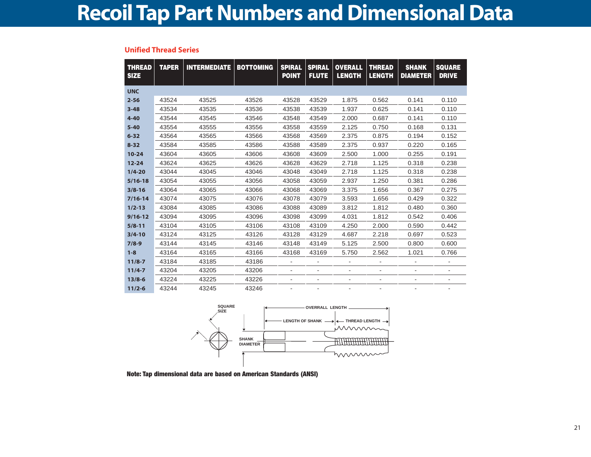#### **Unified Thread Series**

| <b>THREAD</b><br><b>SIZE</b> | <b>TAPER</b> | <b>INTERMEDIATE</b> | <b>BOTTOMING</b> | <b>SPIRAL</b><br><b>POINT</b> | <b>SPIRAL</b><br><b>FLUTE</b> | <b>OVERALL</b><br><b>LENGTH</b> | <b>THREAD</b><br><b>LENGTH</b> | <b>SHANK</b><br><b>DIAMETER</b> | <b>SQUARE</b><br><b>DRIVE</b> |
|------------------------------|--------------|---------------------|------------------|-------------------------------|-------------------------------|---------------------------------|--------------------------------|---------------------------------|-------------------------------|
| <b>UNC</b>                   |              |                     |                  |                               |                               |                                 |                                |                                 |                               |
| $2 - 56$                     | 43524        | 43525               | 43526            | 43528                         | 43529                         | 1.875                           | 0.562                          | 0.141                           | 0.110                         |
| $3 - 48$                     | 43534        | 43535               | 43536            | 43538                         | 43539                         | 1.937                           | 0.625                          | 0.141                           | 0.110                         |
| $4 - 40$                     | 43544        | 43545               | 43546            | 43548                         | 43549                         | 2.000                           | 0.687                          | 0.141                           | 0.110                         |
| $5 - 40$                     | 43554        | 43555               | 43556            | 43558                         | 43559                         | 2.125                           | 0.750                          | 0.168                           | 0.131                         |
| $6 - 32$                     | 43564        | 43565               | 43566            | 43568                         | 43569                         | 2.375                           | 0.875                          | 0.194                           | 0.152                         |
| $8 - 32$                     | 43584        | 43585               | 43586            | 43588                         | 43589                         | 2.375                           | 0.937                          | 0.220                           | 0.165                         |
| $10 - 24$                    | 43604        | 43605               | 43606            | 43608                         | 43609                         | 2.500                           | 1.000                          | 0.255                           | 0.191                         |
| $12 - 24$                    | 43624        | 43625               | 43626            | 43628                         | 43629                         | 2.718                           | 1.125                          | 0.318                           | 0.238                         |
| $1/4 - 20$                   | 43044        | 43045               | 43046            | 43048                         | 43049                         | 2.718                           | 1.125                          | 0.318                           | 0.238                         |
| $5/16 - 18$                  | 43054        | 43055               | 43056            | 43058                         | 43059                         | 2.937                           | 1.250                          | 0.381                           | 0.286                         |
| $3/8 - 16$                   | 43064        | 43065               | 43066            | 43068                         | 43069                         | 3.375                           | 1.656                          | 0.367                           | 0.275                         |
| $7/16 - 14$                  | 43074        | 43075               | 43076            | 43078                         | 43079                         | 3.593                           | 1.656                          | 0.429                           | 0.322                         |
| $1/2 - 13$                   | 43084        | 43085               | 43086            | 43088                         | 43089                         | 3.812                           | 1.812                          | 0.480                           | 0.360                         |
| $9/16 - 12$                  | 43094        | 43095               | 43096            | 43098                         | 43099                         | 4.031                           | 1.812                          | 0.542                           | 0.406                         |
| $5/8 - 11$                   | 43104        | 43105               | 43106            | 43108                         | 43109                         | 4.250                           | 2.000                          | 0.590                           | 0.442                         |
| $3/4 - 10$                   | 43124        | 43125               | 43126            | 43128                         | 43129                         | 4.687                           | 2.218                          | 0.697                           | 0.523                         |
| $7/8-9$                      | 43144        | 43145               | 43146            | 43148                         | 43149                         | 5.125                           | 2.500                          | 0.800                           | 0.600                         |
| $1 - 8$                      | 43164        | 43165               | 43166            | 43168                         | 43169                         | 5.750                           | 2.562                          | 1.021                           | 0.766                         |
| $11/8 - 7$                   | 43184        | 43185               | 43186            | $\overline{a}$                | ۰                             |                                 |                                |                                 |                               |
| $11/4 - 7$                   | 43204        | 43205               | 43206            | $\overline{a}$                |                               | ۰                               |                                |                                 |                               |
| $13/8 - 6$                   | 43224        | 43225               | 43226            |                               |                               |                                 |                                |                                 |                               |
| $11/2 - 6$                   | 43244        | 43245               | 43246            |                               |                               |                                 |                                |                                 |                               |



**Note: Tap dimensional data are based on American Standards (ANSI)**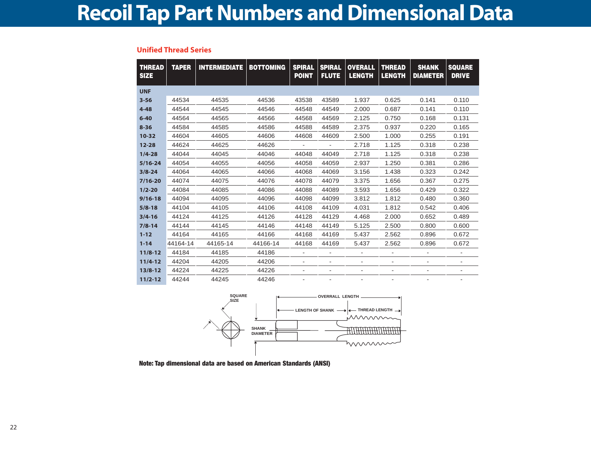#### **Unified Thread Series**

| <b>THREAD</b><br><b>SIZE</b> | <b>TAPER</b> | <b>INTERMEDIATE   BOTTOMING</b> |          | <b>SPIRAL</b><br><b>POINT</b> | <b>SPIRAL</b><br><b>FLUTE</b> | <b>OVERALL</b><br><b>LENGTH</b> | <b>THREAD</b><br><b>LENGTH</b> | <b>SHANK</b><br><b>DIAMETER</b> | <b>SQUARE</b><br><b>DRIVE</b> |
|------------------------------|--------------|---------------------------------|----------|-------------------------------|-------------------------------|---------------------------------|--------------------------------|---------------------------------|-------------------------------|
| <b>UNF</b>                   |              |                                 |          |                               |                               |                                 |                                |                                 |                               |
| $3 - 56$                     | 44534        | 44535                           | 44536    | 43538                         | 43589                         | 1.937                           | 0.625                          | 0.141                           | 0.110                         |
| $4 - 48$                     | 44544        | 44545                           | 44546    | 44548                         | 44549                         | 2.000                           | 0.687                          | 0.141                           | 0.110                         |
| $6 - 40$                     | 44564        | 44565                           | 44566    | 44568                         | 44569                         | 2.125                           | 0.750                          | 0.168                           | 0.131                         |
| $8 - 36$                     | 44584        | 44585                           | 44586    | 44588                         | 44589                         | 2.375                           | 0.937                          | 0.220                           | 0.165                         |
| $10 - 32$                    | 44604        | 44605                           | 44606    | 44608                         | 44609                         | 2.500                           | 1.000                          | 0.255                           | 0.191                         |
| $12 - 28$                    | 44624        | 44625                           | 44626    |                               |                               | 2.718                           | 1.125                          | 0.318                           | 0.238                         |
| $1/4 - 28$                   | 44044        | 44045                           | 44046    | 44048                         | 44049                         | 2.718                           | 1.125                          | 0.318                           | 0.238                         |
| $5/16 - 24$                  | 44054        | 44055                           | 44056    | 44058                         | 44059                         | 2.937                           | 1.250                          | 0.381                           | 0.286                         |
| $3/8 - 24$                   | 44064        | 44065                           | 44066    | 44068                         | 44069                         | 3.156                           | 1.438                          | 0.323                           | 0.242                         |
| $7/16 - 20$                  | 44074        | 44075                           | 44076    | 44078                         | 44079                         | 3.375                           | 1.656                          | 0.367                           | 0.275                         |
| $1/2 - 20$                   | 44084        | 44085                           | 44086    | 44088                         | 44089                         | 3.593                           | 1.656                          | 0.429                           | 0.322                         |
| $9/16 - 18$                  | 44094        | 44095                           | 44096    | 44098                         | 44099                         | 3.812                           | 1.812                          | 0.480                           | 0.360                         |
| $5/8 - 18$                   | 44104        | 44105                           | 44106    | 44108                         | 44109                         | 4.031                           | 1.812                          | 0.542                           | 0.406                         |
| $3/4 - 16$                   | 44124        | 44125                           | 44126    | 44128                         | 44129                         | 4.468                           | 2.000                          | 0.652                           | 0.489                         |
| $7/8 - 14$                   | 44144        | 44145                           | 44146    | 44148                         | 44149                         | 5.125                           | 2.500                          | 0.800                           | 0.600                         |
| $1 - 12$                     | 44164        | 44165                           | 44166    | 44168                         | 44169                         | 5.437                           | 2.562                          | 0.896                           | 0.672                         |
| $1 - 14$                     | 44164-14     | 44165-14                        | 44166-14 | 44168                         | 44169                         | 5.437                           | 2.562                          | 0.896                           | 0.672                         |
| $11/8 - 12$                  | 44184        | 44185                           | 44186    | ۰                             | $\overline{a}$                |                                 |                                |                                 |                               |
| $11/4 - 12$                  | 44204        | 44205                           | 44206    | ٠                             | ۰                             |                                 |                                |                                 |                               |
| $13/8 - 12$                  | 44224        | 44225                           | 44226    | ٠                             | -                             | ٠                               | -                              | ۰                               | ۰                             |
| $11/2 - 12$                  | 44244        | 44245                           | 44246    |                               | $\overline{a}$                |                                 |                                |                                 |                               |



**Note: Tap dimensional data are based on American Standards (ANSI)**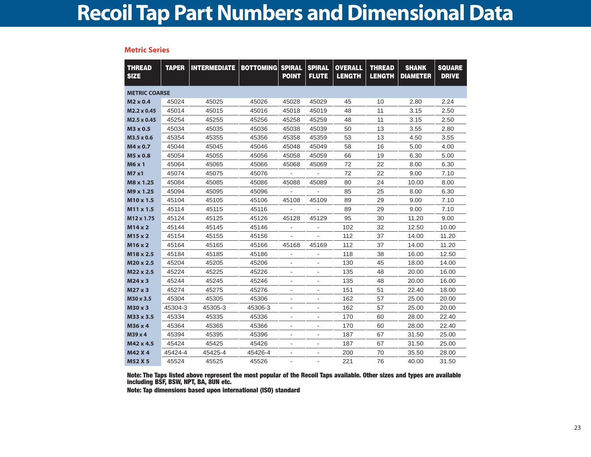**Metric Series**

| <b>THREAD</b><br><b>SIZE</b> | <b>TAPER</b> | <b>INTERMEDIATE</b> | <b>BOTTOMING</b> | <b>SPIRAL</b><br><b>POINT</b> | <b>SPIRAL</b><br><b>FLUTE</b> | <b>OVERALL</b><br><b>LENGTH</b> | <b>THREAD</b><br><b>LENGTH</b> | <b>SHANK</b><br><b>DIAMETER</b> | <b>SQUARE</b><br><b>DRIVE</b> |
|------------------------------|--------------|---------------------|------------------|-------------------------------|-------------------------------|---------------------------------|--------------------------------|---------------------------------|-------------------------------|
| <b>METRIC COARSE</b>         |              |                     |                  |                               |                               |                                 |                                |                                 |                               |
| $M2 \times 0.4$              | 45024        | 45025               | 45026            | 45028                         | 45029                         | 45                              | 10                             | 2.80                            | 2.24                          |
| M2.2 x 0.45                  | 45014        | 45015               | 45016            | 45018                         | 45019                         | 48                              | 11                             | 3.15                            | 2.50                          |
| M2.5 x 0.45                  | 45254        | 45255               | 45256            | 45258                         | 45259                         | 48                              | 11                             | 3.15                            | 2.50                          |
| M3 x 0.5                     | 45034        | 45035               | 45036            | 45038                         | 45039                         | 50                              | 13                             | 3.55                            | 2.80                          |
| M3.5 x 0.6                   | 45354        | 45355               | 45356            | 45358                         | 45359                         | 53                              | 13                             | 4.50                            | 3.55                          |
| M4 x 0.7                     | 45044        | 45045               | 45046            | 45048                         | 45049                         | 58                              | 16                             | 5.00                            | 4.00                          |
| M5 x 0.8                     | 45054        | 45055               | 45056            | 45058                         | 45059                         | 66                              | 19                             | 6.30                            | 5.00                          |
| M6 x 1                       | 45064        | 45065               | 45066            | 45068                         | 45069                         | 72                              | 22                             | 8.00                            | 6.30                          |
| <b>M7 x1</b>                 | 45074        | 45075               | 45076            |                               |                               | 72                              | 22                             | 9.00                            | 7.10                          |
| M8 x 1.25                    | 45084        | 45085               | 45086            | 45088                         | 45089                         | 80                              | 24                             | 10.00                           | 8.00                          |
| M9 x 1.25                    | 45094        | 45095               | 45096            |                               |                               | 85                              | 25                             | 8.00                            | 6.30                          |
| M <sub>10</sub> x 1.5        | 45104        | 45105               | 45106            | 45108                         | 45109                         | 89                              | 29                             | 9.00                            | 7.10                          |
| M <sub>11</sub> x 1.5        | 45114        | 45115               | 45116            |                               |                               | 89                              | 29                             | 9.00                            | 7.10                          |
| M12 x 1.75                   | 45124        | 45125               | 45126            | 45128                         | 45129                         | 95                              | 30                             | 11.20                           | 9.00                          |
| $M14 \times 2$               | 45144        | 45145               | 45146            | $\overline{\phantom{a}}$      | $\overline{\phantom{a}}$      | 102                             | 32                             | 12.50                           | 10.00                         |
| M15 x 2                      | 45154        | 45155               | 45156            |                               |                               | 112                             | 37                             | 14.00                           | 11.20                         |
| M16 x 2                      | 45164        | 45165               | 45166            | 45168                         | 45169                         | 112                             | 37                             | 14.00                           | 11.20                         |
| M18 x 2.5                    | 45184        | 45185               | 45186            |                               |                               | 118                             | 38                             | 16.00                           | 12.50                         |
| M20 x 2.5                    | 45204        | 45205               | 45206            | ä,                            |                               | 130                             | 45                             | 18.00                           | 14.00                         |
| M22 x 2.5                    | 45224        | 45225               | 45226            | $\overline{\phantom{a}}$      | $\overline{\phantom{a}}$      | 135                             | 48                             | 20.00                           | 16.00                         |
| $M24 \times 3$               | 45244        | 45245               | 45246            | $\overline{\phantom{a}}$      | $\overline{\phantom{a}}$      | 135                             | 48                             | 20.00                           | 16.00                         |
| $M27 \times 3$               | 45274        | 45275               | 45276            |                               |                               | 151                             | 51                             | 22.40                           | 18.00                         |
| M30 x 3.5                    | 45304        | 45305               | 45306            |                               |                               | 162                             | 57                             | 25.00                           | 20.00                         |
| M30 x 3                      | 45304-3      | 45305-3             | 45306-3          | $\overline{\phantom{a}}$      | $\blacksquare$                | 162                             | 57                             | 25.00                           | 20.00                         |
| M33 x 3.5                    | 45334        | 45335               | 45336            | $\overline{\phantom{a}}$      |                               | 170                             | 60                             | 28.00                           | 22.40                         |
| M36 x 4                      | 45364        | 45365               | 45366            | $\overline{\phantom{a}}$      | $\overline{\phantom{a}}$      | 170                             | 60                             | 28.00                           | 22.40                         |
| M39 x 4                      | 45394        | 45395               | 45396            | $\overline{\phantom{a}}$      | $\overline{a}$                | 187                             | 67                             | 31.50                           | 25.00                         |
| M42 x 4.5                    | 45424        | 45425               | 45426            |                               |                               | 187                             | 67                             | 31.50                           | 25.00                         |
| M42 X 4                      | 45424-4      | 45425-4             | 45426-4          | $\qquad \qquad \blacksquare$  |                               | 200                             | 70                             | 35.50                           | 28.00                         |
| <b>M52 X 5</b>               | 45524        | 45525               | 45526            |                               |                               | 221                             | 76                             | 40.00                           | 31.50                         |

**Note: The Taps listed above represent the most popular of the Recoil Taps available. Other sizes and types are available including BSF, BSW, NPT, BA, 8UN etc.**

**Note: Tap dimensions based upon international (ISO) standard**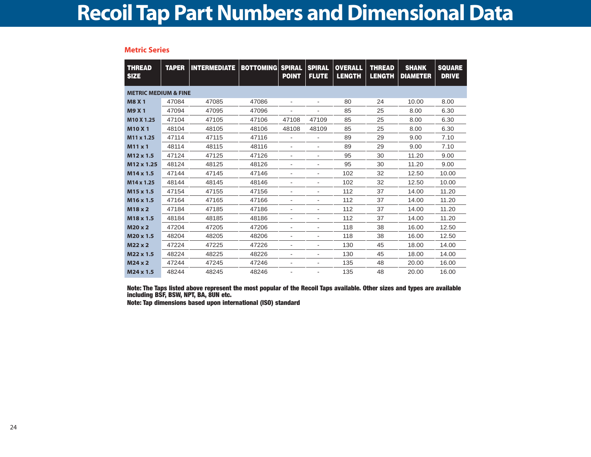| <b>Metric Series</b> |  |  |  |
|----------------------|--|--|--|
|                      |  |  |  |

| <b>THREAD</b><br><b>SIZE</b>    | <b>TAPER</b> | <b>INTERMEDIATE   BOTTOMING </b> |       | <b>SPIRAL</b><br><b>POINT</b> | <b>SPIRAL</b><br><b>FLUTE</b> | <b>OVERALL</b><br><b>LENGTH</b> | <b>THREAD</b><br><b>LENGTH</b> | <b>SHANK</b><br><b>DIAMETER</b> | <b>SQUARE</b><br><b>DRIVE</b> |
|---------------------------------|--------------|----------------------------------|-------|-------------------------------|-------------------------------|---------------------------------|--------------------------------|---------------------------------|-------------------------------|
| <b>METRIC MEDIUM &amp; FINE</b> |              |                                  |       |                               |                               |                                 |                                |                                 |                               |
| <b>M8 X 1</b>                   | 47084        | 47085                            | 47086 | $\overline{\phantom{a}}$      | $\overline{\phantom{a}}$      | 80                              | 24                             | 10.00                           | 8.00                          |
| <b>M9 X1</b>                    | 47094        | 47095                            | 47096 |                               |                               | 85                              | 25                             | 8.00                            | 6.30                          |
| M <sub>10</sub> X 1.25          | 47104        | 47105                            | 47106 | 47108                         | 47109                         | 85                              | 25                             | 8.00                            | 6.30                          |
| <b>M10 X1</b>                   | 48104        | 48105                            | 48106 | 48108                         | 48109                         | 85                              | 25                             | 8.00                            | 6.30                          |
| M <sub>11</sub> x 1.25          | 47114        | 47115                            | 47116 | $\overline{a}$                | -                             | 89                              | 29                             | 9.00                            | 7.10                          |
| $M11 \times 1$                  | 48114        | 48115                            | 48116 | $\overline{\phantom{a}}$      | -                             | 89                              | 29                             | 9.00                            | 7.10                          |
| M12 x 1.5                       | 47124        | 47125                            | 47126 | ٠                             | $\overline{\phantom{a}}$      | 95                              | 30                             | 11.20                           | 9.00                          |
| M12 x 1.25                      | 48124        | 48125                            | 48126 | $\overline{\phantom{a}}$      | $\qquad \qquad \blacksquare$  | 95                              | 30                             | 11.20                           | 9.00                          |
| M14 x 1.5                       | 47144        | 47145                            | 47146 | ٠                             | ٠                             | 102                             | 32                             | 12.50                           | 10.00                         |
| M14 x 1.25                      | 48144        | 48145                            | 48146 | ٠                             | $\qquad \qquad \blacksquare$  | 102                             | 32                             | 12.50                           | 10.00                         |
| M <sub>15</sub> x 1.5           | 47154        | 47155                            | 47156 | ٠                             | ٠                             | 112                             | 37                             | 14.00                           | 11.20                         |
| M <sub>16</sub> x 1.5           | 47164        | 47165                            | 47166 | $\blacksquare$                | $\blacksquare$                | 112                             | 37                             | 14.00                           | 11.20                         |
| M18 x 2                         | 47184        | 47185                            | 47186 |                               | $\blacksquare$                | 112                             | 37                             | 14.00                           | 11.20                         |
| M <sub>18</sub> x 1.5           | 48184        | 48185                            | 48186 | ٠                             | ٠                             | 112                             | 37                             | 14.00                           | 11.20                         |
| M20 x 2                         | 47204        | 47205                            | 47206 | ٠                             | ۰                             | 118                             | 38                             | 16.00                           | 12.50                         |
| M <sub>20</sub> x 1.5           | 48204        | 48205                            | 48206 | ٠                             | ٠                             | 118                             | 38                             | 16.00                           | 12.50                         |
| $M22 \times 2$                  | 47224        | 47225                            | 47226 | $\overline{a}$                | $\overline{a}$                | 130                             | 45                             | 18.00                           | 14.00                         |
| M22 x 1.5                       | 48224        | 48225                            | 48226 | $\overline{a}$                | ٠                             | 130                             | 45                             | 18.00                           | 14.00                         |
| $M24 \times 2$                  | 47244        | 47245                            | 47246 | $\overline{\phantom{a}}$      | $\qquad \qquad \blacksquare$  | 135                             | 48                             | 20.00                           | 16.00                         |
| M24 x 1.5                       | 48244        | 48245                            | 48246 | $\overline{a}$                | $\overline{a}$                | 135                             | 48                             | 20.00                           | 16.00                         |

**Note: The Taps listed above represent the most popular of the Recoil Taps available. Other sizes and types are available including BSF, BSW, NPT, BA, 8UN etc.**

**Note: Tap dimensions based upon international (ISO) standard**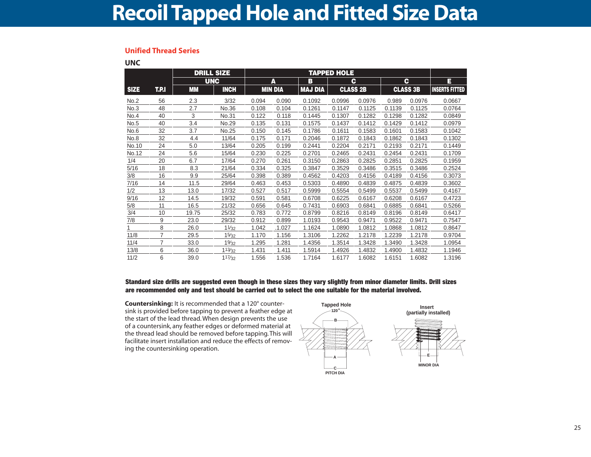### **Recoil Tapped Hole and Fitted Size Data**

#### **Unified Thread Series**

**UNC**

|             |                | <b>DRILL SIZE</b> |             |       |                 |                |                  |        |        |                 |                       |
|-------------|----------------|-------------------|-------------|-------|-----------------|----------------|------------------|--------|--------|-----------------|-----------------------|
|             |                | <b>UNC</b>        |             |       | A               | в              |                  | C      |        | C               | E                     |
| <b>SIZE</b> | T.P.I          | <b>MM</b>         | <b>INCH</b> |       | <b>MIN DIA</b>  | <b>MAJ DIA</b> | <b>CLASS 2B</b>  |        |        | <b>CLASS 3B</b> | <b>INSERTS FITTED</b> |
| No.2        | 56             | 2.3               | 3/32        | 0.094 | 0.090           | 0.1092         | 0.0996           | 0.0976 | 0.989  | 0.0976          | 0.0667                |
| No.3        | 48             | 2.7               | No.36       | 0.108 | 0.104           | 0.1261         | 0.1147           | 0.1125 | 0.1139 | 0.1125          | 0.0764                |
| No.4        | 40             | 3                 | No.31       | 0.122 | 0.118           | 0.1445         | 0.1307           | 0.1282 | 0.1298 | 0.1282          | 0.0849                |
| No.5        | 40             | 3.4               | No.29       | 0.135 | 0.131           | 0.1575         | 0.1437           | 0.1412 | 0.1429 | 0.1412          | 0.0979                |
| No.6        | 32             | 3.7               | No.25       | 0.150 | 0.145           | 0.1786         | 0.1611           | 0.1583 | 0.1601 | 0.1583          | 0.1042                |
| No.8        | 32             | 4.4               | 11/64       | 0.175 | 0.171           | 0.2046         | 0.1872           | 0.1843 | 0.1862 | 0.1843          | 0.1302                |
| No.10       | 24             | 5.0               | 13/64       | 0.205 | 0.199<br>0.2441 |                | 0.2204<br>0.2171 |        | 0.2193 | 0.2171          | 0.1449                |
| No.12       | 24             | 5.6               | 15/64       | 0.230 | 0.225<br>0.2701 |                | 0.2465           | 0.2431 | 0.2454 | 0.2431          | 0.1709                |
| 1/4         | 20             | 6.7               | 17/64       | 0.270 | 0.261<br>0.3150 |                | 0.2863           | 0.2825 | 0.2851 | 0.2825          | 0.1959                |
| 5/16        | 18             | 8.3               | 21/64       | 0.334 | 0.325           | 0.3847         | 0.3529           | 0.3486 | 0.3515 | 0.3486          | 0.2524                |
| 3/8         | 16             | 9.9               | 25/64       | 0.398 | 0.389           | 0.4562         | 0.4203           | 0.4156 | 0.4189 | 0.4156          | 0.3073                |
| 7/16        | 14             | 11.5              | 29/64       | 0.463 | 0.453           | 0.5303         | 0.4890           | 0.4839 | 0.4875 | 0.4839          | 0.3602                |
| 1/2         | 13             | 13.0              | 17/32       | 0.527 | 0.517           | 0.5999         | 0.5554           | 0.5499 | 0.5537 | 0.5499          | 0.4167                |
| 9/16        | 12             | 14.5              | 19/32       | 0.591 | 0.581           | 0.6708         | 0.6225           | 0.6167 | 0.6208 | 0.6167          | 0.4723                |
| 5/8         | 11             | 16.5              | 21/32       | 0.656 | 0.645           | 0.7431         | 0.6903           | 0.6841 | 0.6885 | 0.6841          | 0.5266                |
| 3/4         | 10             | 19.75             | 25/32       | 0.783 | 0.772           | 0.8799         | 0.8216           | 0.8149 | 0.8196 | 0.8149          | 0.6417                |
| 7/8         | 9              | 23.0              | 29/32       | 0.912 | 0.899           | 1.0193         | 0.9543           | 0.9471 | 0.9522 | 0.9471          | 0.7547                |
|             | 8              | 26.0              | 11/32       | 1.042 | .1.027          | 1.1624         | 1.0890           | 1.0812 | 1.0868 | 1.0812          | 0.8647                |
| 11/8        | $\overline{7}$ | 29.5              | 15/32       | 1.170 | 1.156           | 1.3106         | 1.2262           | 1.2178 | 1.2239 | 1.2178          | 0.9704                |
| 11/4        | 7              | 33.0              | 19/32       | 1.295 | 1.281           | 1.4356         | 1.3514           | 1.3428 | 1.3490 | 1.3428          | 1.0954                |
| 13/8        | 6              | 36.0              | 113/32      | 1.431 | 1.411           | 1.5914         | 1.4926           | 1.4832 | 1.4900 | 1.4832          | 1.1946                |
| 11/2        | 6              | 39.0              | 117/32      | 1.556 | 1.536<br>1.7164 |                | 1.6177           | 1.6082 | 1.6151 | 1.6082          | 1.3196                |

**Standard size drills are suggested even though in these sizes they vary slightly from minor diameter limits. Drill sizes are recommended only and test should be carried out to select the one suitable for the material involved.**

**Countersinking:** It is recommended that a 120° countersink is provided before tapping to prevent a feather edge at the start of the lead thread. When design prevents the use of a countersink, any feather edges or deformed material at the thread lead should be removed before tapping. This will facilitate insert installation and reduce the effects of removing the countersinking operation.

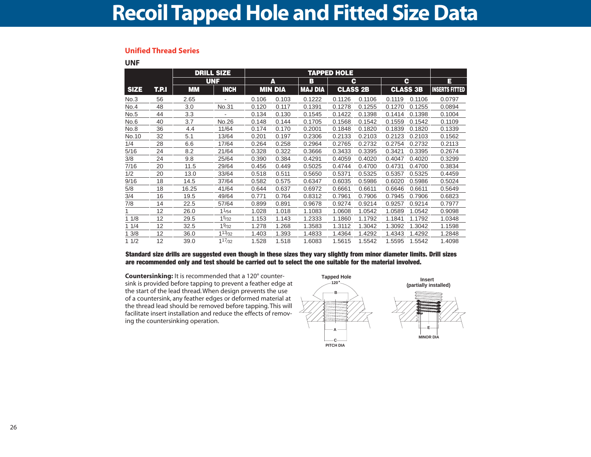### **Recoil Tapped Hole and Fitted Size Data**

#### **Unified Thread Series**

**UNF**

|             |       |           | <b>DRILL SIZE</b>      |       |                |                | <b>TAPPED HOLE</b> |        |        |                 |                       |
|-------------|-------|-----------|------------------------|-------|----------------|----------------|--------------------|--------|--------|-----------------|-----------------------|
|             |       |           | <b>UNF</b>             |       | A              | B              | c                  |        |        | C.              | Е                     |
| <b>SIZE</b> | T.P.I | <b>MM</b> | <b>INCH</b>            |       | <b>MIN DIA</b> | <b>MAJ DIA</b> | <b>CLASS 2B</b>    |        |        | <b>CLASS 3B</b> | <b>INSERTS FITTED</b> |
| No.3        | 56    | 2.65      |                        | 0.106 | 0.103          | 0.1222         | 0.1126             | 0.1106 | 0.1119 | 0.1106          | 0.0797                |
| No.4        | 48    | 3.0       | No.31                  | 0.120 | 0.117          | 0.1391         | 0.1278             | 0.1255 | 0.1270 | 0.1255          | 0.0894                |
| No.5        | 44    | 3.3       |                        | 0.134 | 0.130          | 0.1545         | 0.1422             | 0.1398 | 0.1414 | 0.1398          | 0.1004                |
| No.6        | 40    | 3.7       | No.26                  | 0.148 | 0.144          | 0.1705         | 0.1568             | 0.1542 | 0.1559 | 0.1542          | 0.1109                |
| No.8        | 36    | 4.4       | 11/64                  | 0.174 | 0.170          | 0.2001         | 0.1848             | 0.1820 | 0.1839 | 0.1820          | 0.1339                |
| No.10       | 32    | 5.1       | 13/64                  | 0.201 | 0.197          | 0.2306         | 0.2133             | 0.2103 | 0.2123 | 0.2103          | 0.1562                |
| 1/4         | 28    | 6.6       | 17/64                  | 0.264 | 0.258          | 0.2964         | 0.2765             | 0.2732 | 0.2754 | 0.2732          | 0.2113                |
| 5/16        | 24    | 8.2       | 21/64                  | 0.328 | 0.322          | 0.3666         | 0.3433             | 0.3395 | 0.3421 | 0.3395          | 0.2674                |
| 3/8         | 24    | 9.8       | 25/64                  | 0.390 | 0.384          | 0.4291         | 0.4059             | 0.4020 | 0.4047 | 0.4020          | 0.3299                |
| 7/16        | 20    | 11.5      | 29/64                  | 0.456 | 0.449          | 0.5025         | 0.4744             | 0.4700 | 0.4731 | 0.4700          | 0.3834                |
| 1/2         | 20    | 13.0      | 33/64                  | 0.518 | 0.511          | 0.5650         | 0.5371             | 0.5325 | 0.5357 | 0.5325          | 0.4459                |
| 9/16        | 18    | 14.5      | 37/64                  | 0.582 | 0.575          | 0.6347         | 0.6035             | 0.5986 | 0.6020 | 0.5986          | 0.5024                |
| 5/8         | 18    | 16.25     | 41/64                  | 0.644 | 0.637          | 0.6972         | 0.6661             | 0.6611 | 0.6646 | 0.6611          | 0.5649                |
| 3/4         | 16    | 19.5      | 49/64                  | 0.771 | 0.764          | 0.8312         | 0.7961             | 0.7906 | 0.7945 | 0.7906          | 0.6823                |
| 7/8         | 14    | 22.5      | 57/64                  | 0.899 | 0.891          | 0.9678         | 0.9274             | 0.9214 | 0.9257 | 0.9214          | 0.7977                |
|             | 12    | 26.0      | 11/54                  | 1.028 | 1.018          | 1.1083         | 1.0608             | 1.0542 | 1.0589 | 1.0542          | 0.9098                |
| 11/8        | 12    | 29.5      | 15/32                  | 1.153 | 1.143          | 1.2333         | 1.1860             | 1.1792 | 1.1841 | 1.1792          | 1.0348                |
| 11/4        | 12    | 32.5      | $19$ /32               | 1.278 | 1.268          | 1.3583         | 1.3112             | 1.3042 | 1.3092 | 1.3042          | 1.1598                |
| 3/8         | 12    | 36.0      | $1^{13}/32$            | 1.403 | 1.393          | 1.4833         | 1.4364             | 1.4292 | 1.4343 | 1.4292          | 1.2848                |
| 11/2        | 12    | 39.0      | $1^{17}$ <sub>32</sub> | 1.528 | 1.518          | 1.6083         | 1.5615             | 1.5542 | 1.5595 | 1.5542          | 1.4098                |

**Standard size drills are suggested even though in these sizes they vary slightly from minor diameter limits. Drill sizes are recommended only and test should be carried out to select the one suitable for the material involved.**

**Countersinking:** It is recommended that a 120° countersink is provided before tapping to prevent a feather edge at the start of the lead thread. When design prevents the use of a countersink, any feather edges or deformed material at the thread lead should be removed before tapping. This will facilitate insert installation and reduce the effects of removing the countersinking operation.

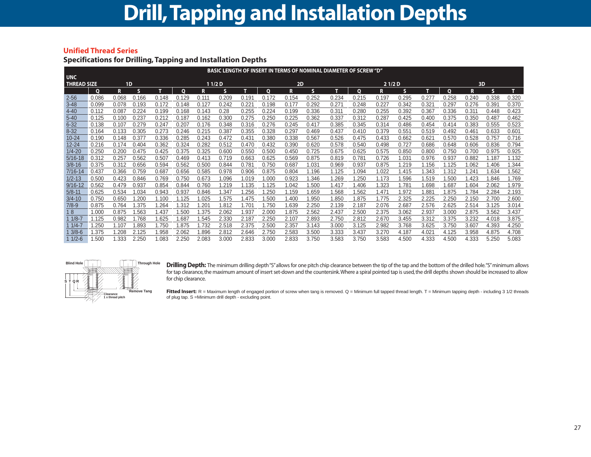#### **Unified Thread Series**

#### **Specifications for Drilling, Tapping and Installation Depths**

|                    | <b>BASIC LENGTH OF INSERT IN TERMS OF NOMINAL DIAMETER OF SCREW "D"</b> |       |       |       |          |       |        |       |       |       |       |       |              |       |       |       |              |       |       |       |
|--------------------|-------------------------------------------------------------------------|-------|-------|-------|----------|-------|--------|-------|-------|-------|-------|-------|--------------|-------|-------|-------|--------------|-------|-------|-------|
| <b>UNC</b>         |                                                                         |       |       |       |          |       |        |       |       |       |       |       |              |       |       |       |              |       |       |       |
| <b>THREAD SIZE</b> |                                                                         | 1D    |       |       |          |       | 11/2D  |       |       | 2D    |       |       |              | 21/2D |       |       |              | 3D    |       |       |
|                    | $\mathbf{o}$                                                            | R.    | s     |       | $\Omega$ | R     | s      |       | 0     | R     | s     | т     | $\mathbf{o}$ | R.    | s     | т     | $\mathbf{o}$ | R     | S     | т     |
| $2 - 56$           | 0.086                                                                   | 0.068 | 0.166 | 0.148 | 0.129    | 0.111 | 0.209  | 0.191 | 0.172 | 0.154 | 0.252 | 0.234 | 0.215        | 0.197 | 0.295 | 0.277 | 0.258        | 0.240 | 0.338 | 0.320 |
| $3 - 48$           | 0.099                                                                   | 0.078 | 0.193 | 0.172 | 0.148    | 0.127 | 0.242  | 0.221 | 0.198 | 0.177 | 0.292 | 0.271 | 0.248        | 0.227 | 0.342 | 0.321 | 0.297        | 0.276 | 0.391 | 0.370 |
| $4 - 40$           | 0.112                                                                   | 0.087 | 0.224 | 0.199 | 0.168    | 0.143 | 0.28   | 0.255 | 0.224 | 0.199 | 0.336 | 0.311 | 0.280        | 0.255 | 0.392 | 0.367 | 0.336        | 0.311 | 0.448 | 0.423 |
| $5 - 40$           | 0.125                                                                   | 0.100 | 0.237 | 0.212 | 0.187    | 0.162 | 0.300  | 0.275 | 0.250 | 0.225 | 0.362 | 0.337 | 0.312        | 0.287 | 0.425 | 0.400 | 0.375        | 0.350 | 0.487 | 0.462 |
| $6 - 32$           | 0.138                                                                   | 0.107 | 0.279 | 0.247 | 0.207    | 0.176 | 0.348  | 0.316 | 0.276 | 0.245 | 0.417 | 0.385 | 0.345        | 0.314 | 0.486 | 0.454 | 0.414        | 0.383 | 0.555 | 0.523 |
| $8 - 32$           | 0.164                                                                   | 0.133 | 0.305 | 0.273 | 0.246    | 0.215 | 0.387  | 0.355 | 0.328 | 0.297 | 0.469 | 0.437 | 0.410        | 0.379 | 0.551 | 0.519 | 0.492        | 0.461 | 0.633 | 0.601 |
| $10 - 24$          | 0.190                                                                   | 0.148 | 0.377 | 0.336 | 0.285    | 0.243 | 0.472  | 0.431 | 0.380 | 0.338 | 0.567 | 0.526 | 0.475        | 0.433 | 0.662 | 0.621 | 0.570        | 0.528 | 0.757 | 0.716 |
| $12 - 24$          | 0.216                                                                   | 0.174 | 0.404 | 0.362 | 0.324    | 0.282 | 0.512  | 0.470 | 0.432 | 0.390 | 0.620 | 0.578 | 0.540        | 0.498 | 0.727 | 0.686 | 0.648        | 0.606 | 0.836 | 0.794 |
| $1/4 - 20$         | 0.250                                                                   | 0.200 | 0.475 | 0.425 | 0.375    | 0.325 | 0.600  | 0.550 | 0.500 | 0.450 | 0.725 | 0.675 | 0.625        | 0.575 | 0.850 | 0.800 | 0.750        | 0.700 | 0.975 | 0.925 |
| $5/16 - 18$        | 0.312                                                                   | 0.257 | 0.562 | 0.507 | 0.469    | 0.413 | 0.719  | 0.663 | 0.625 | 0.569 | 0.875 | 0.819 | 0.781        | 0.726 | 1.031 | 0.976 | 0.937        | 0.882 | 1.187 | 1.132 |
| $3/8 - 16$         | 0.375                                                                   | 0.312 | 0.656 | 0.594 | 0.562    | 0.500 | 0.844  | 0.781 | 0.750 | 0.687 | 1.031 | 0.969 | 0.937        | 0.875 | 1.219 | 1.156 | 1.125        | 1.062 | 1.406 | 1.344 |
| $7/16 - 14$        | 0.437                                                                   | 0.366 | 0.759 | 0.687 | 0.656    | 0.585 | 0.978  | 0.906 | 0.875 | 0.804 | 1.196 | 1.125 | 1.094        | 1.022 | 1.415 | 1.343 | 1.312        | .241  | 1.634 | 1.562 |
| $1/2 - 13$         | 0.500                                                                   | 0.423 | 0.846 | 0.769 | 0.750    | 0.673 | 1.096  | 1.019 | 1.000 | 0.923 | 1.346 | .269  | 1.250        | 1.173 | 1.596 | 1.519 | 1.500        | .423  | 1.846 | 1.769 |
| $9/16 - 12$        | 0.562                                                                   | 0.479 | 0.937 | 0.854 | 0.844    | 0.760 | .219   | 1.135 | 1.125 | 1.042 | 1.500 | 1.417 | 1.406        | 1.323 | 1.781 | 1.698 | 1.687        | 1.604 | 2.062 | 1.979 |
| $5/8 - 11$         | 0.625                                                                   | 0.534 | 1.034 | 0.943 | 0.937    | 0.846 | 347. ا | 1.256 | 1.250 | 1.159 | 1.659 | .568  | 1.562        | 1.471 | 1.972 | 1.881 | 1.875        | 1.784 | 2.284 | 2.193 |
| $3/4 - 10$         | 0.750                                                                   | 0.650 | .200  | 1.100 | 1.125    | 1.025 | .575   | 1.475 | 1.500 | 1.400 | 1.950 | .850  | 1.875        | 1.775 | 2.325 | 2.225 | 2.250        | 2.150 | 2.700 | 2.600 |
| $7/8 - 9$          | 0.875                                                                   | 0.764 | 1.375 | 1.264 | 1.312    | 1.201 | 1.812  | 1.701 | 1.750 | 1.639 | 2.250 | 2.139 | 2.187        | 2.076 | 2.687 | 2.576 | 2.625        | 2.514 | 3.125 | 3.014 |
| 18                 | 1.000                                                                   | 0.875 | .563  | 1.437 | 1.500    | 1.375 | 2.062  | 1.937 | 2.000 | 1.875 | 2.562 | 2.437 | 2.500        | 2.375 | 3.062 | 2.937 | 3.000        | 2.875 | 3.562 | 3.437 |
| $11/8-7$           | 1.125                                                                   | 0.982 | 1.768 | 1.625 | 1.687    | 1.545 | 2.330  | 2.187 | 2.250 | 2.107 | 2.893 | 2.750 | 2.812        | 2.670 | 3.455 | 3.312 | 3.375        | 3.232 | 4.018 | 3.875 |
| $11/4-7$           | 1.250                                                                   | 1.107 | .893  | 1.750 | 1.875    | 1.732 | 2.518  | 2.375 | 2.500 | 2.357 | 3.143 | 3.000 | 3.125        | 2.982 | 3.768 | 3.625 | 3.750        | 3.607 | 4.393 | 4.250 |
| $3/8 - 6$          | 1.375                                                                   | 1.208 | 2.125 | 1.958 | 2.062    | 1.896 | 2.812  | 2.646 | 2.750 | 2.583 | 3.500 | 3.333 | 3.437        | 3.270 | 4.187 | 4.021 | 4.125        | 3.958 | 4.875 | 4.708 |
| $11/2-6$           | 1.500                                                                   | 1.333 | 2.250 | 1.083 | 2.250    | 2.083 | 3.000  | 2.833 | 3.000 | 2.833 | 3.750 | 3.583 | 3.750        | 3.583 | 4.500 | 4.333 | 4.500        | 4.333 | 5.250 | 5.083 |



**Drilling Depth:** The minimum drilling depth "S" allows for one pitch chip clearance between the tip of the tap and the bottom of the drilled hole. "S" minimum allows for tap clearance, the maximum amount of insert set-down and the countersink. Where a spiral pointed tap is used, the drill depths shown should be increased to allow for chip clearance.

Fitted Insert: R = Maximum length of engaged portion of screw when tang is removed. Q = Minimum full tapped thread length. T = Minimum tapping depth - including 3 1/2 threads of plug tap. S =Minimum drill depth - excluding point.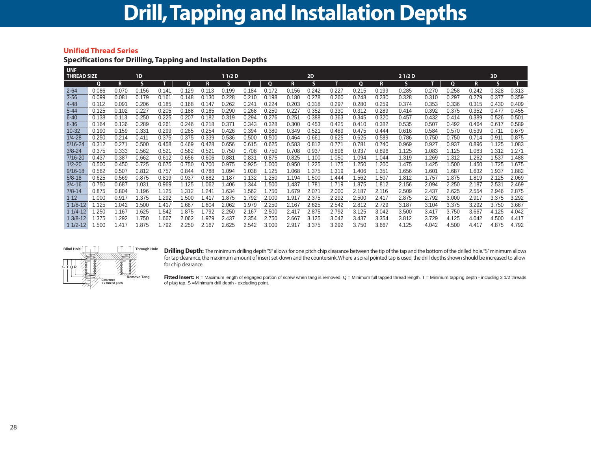### **Drill,Tapping and Installation Depths**

#### **Unified Thread Series**

#### **Specifications for Drilling, Tapping and Installation Depths**

| <b>UNF</b>         |       |       |                |                   |       |       |                   |       |       |       |                  |       |       |       |       |       |       |              |       |       |
|--------------------|-------|-------|----------------|-------------------|-------|-------|-------------------|-------|-------|-------|------------------|-------|-------|-------|-------|-------|-------|--------------|-------|-------|
| <b>THREAD SIZE</b> |       |       | 1 <sub>D</sub> |                   |       |       | 11/2 <sub>D</sub> |       |       |       | 2D               |       |       |       | 21/2D |       |       |              | 3D    |       |
|                    | Ο     | R.    | S.             |                   | 0     | R     | s                 |       | O     | R     | s                |       | O     | R     | s     |       | O     | R            | s     | т.    |
| $2 - 64$           | 0.086 | 0.070 | 0.156          | 0.14              | 0.129 | 0.113 | 0.199             | 0.184 | 0.172 | 0.156 | 0.242            | 0.227 | 0.215 | 0.199 | 0.285 | 0.270 | 0.258 | 0.242        | 0.328 | 0.313 |
| $3 - 56$           | 0.099 | 0.081 | 0.179          | 0.161             | 0.148 | 0.130 | 0.228             | 0.210 | 0.198 | 0.180 | 0.278            | 0.260 | 0.248 | 0.230 | 0.328 | 0.310 | 0.297 | 0.279        | 0.377 | 0.359 |
| $4 - 48$           | 0.112 | 0.091 | 0.206          | 0.185             | 0.168 | 0.147 | 0.262             | 0.241 | 0.224 | 0.203 | 0.318            | 0.297 | 0.280 | 0.259 | 0.374 | 0.353 | 0.336 | 0.315        | 0.430 | 0.409 |
| $5 - 44$           | 0.125 | 0.102 | 0.227          | 0.205             | 0.188 | 0.165 | 0.290             | 0.268 | 0.250 | 0.227 | 0.352            | 0.330 | 0.312 | 0.289 | 0.414 | 0.392 | 0.375 | 0.352        | 0.477 | 0.455 |
| $6 - 40$           | 0.138 | 0.113 | 0.250          | 0.225             | 0.207 | 0.182 | 0.319             | 0.294 | 0.276 | 0.251 | 0.388            | 0.363 | 0.345 | 0.320 | 0.457 | 0.432 | 0.414 | 0.389        | 0.526 | 0.501 |
| $8 - 36$           | 0.164 | 0.136 | 0.289          | 0.261             | 0.246 | 0.218 | 0.371             | 0.343 | 0.328 | 0.300 | 0.453            | 0.425 | 0.410 | 0.382 | 0.535 | 0.507 | 0.492 | 0.464        | 0.617 | 0.589 |
| $10 - 32$          | 0.190 | 0.159 | 0.331          | 0.299             | 0.285 | 0.254 | 0.426             | 0.394 | 0.380 | 0.349 | 0.521            | 0.489 | 0.475 | 0.444 | 0.616 | 0.584 | 0.570 | 0.539        | 0.711 | 0.679 |
| $1/4 - 28$         | 0.250 | 0.214 | 0.411          | 0.375             | 0.375 | 0.339 | 0.536             | 0.500 | 0.500 | 0.464 | 0.661            | 0.625 | 0.625 | 0.589 | 0.786 | 0.750 | 0.750 | 0.714        | 0.911 | 0.875 |
| $5/16 - 24$        | 0.312 | 0.27' | 0.500          | 0.458             | 0.469 | 0.428 | 0.656             | 0.615 | 0.625 | 0.583 | 0.812            | 0.771 | 0.781 | 0.740 | 0.969 | 0.927 | 0.937 | 0.896        | 1.125 | 1.083 |
| $3/8 - 24$         | 0.375 | 0.333 | 0.562          | 0.52 <sup>′</sup> | 0.562 | 0.521 | 0.750             | 0.708 | 0.750 | 0.708 | 0.937            | 0.896 | 0.937 | 0.896 | 1.125 | 1.083 | 1.125 | 1.083        | 1.312 | 1.271 |
| 7/16-20            | 0.437 | 0.387 | 0.662          | 0.612             | 0.656 | 0.606 | 0.881             | 0.831 | 0.875 | 0.825 | 1.100            | 1.050 | 1.094 | 1.044 | 1.319 | 1.269 | 1.312 | .262         | 1.537 | 1.488 |
| $1/2 - 20$         | 0.500 | 0.450 | 0.725          | 0.675             | 0.750 | 0.700 | 0.975             | 0.925 | 1.000 | 0.950 | .225             | 1.175 | .250  | 1.200 | 1.475 | 1.425 | 1.500 | l.450        | 1.725 | 1.675 |
| $9/16 - 18$        | 0.562 | 0.507 | 0.812          | 0.757             | 0.844 | 0.788 | .094              | 1.038 | 1.125 | 1.068 | .375             | .319  | 1.406 | 1.351 | 1.656 | 1.601 | 1.687 | 1.632        | 1.937 | .882  |
| $5/8 - 18$         | 0.625 | 0.569 | 0.875          | 0.819             | 0.937 | 0.882 | .187              | 1.132 | .250  | 1.194 | .500             | 1.444 | .562  | 1.507 | 1.812 | 1.757 | 1.875 | <b>1.819</b> | 2.125 | 2.069 |
| $3/4 - 16$         | 0.750 | 0.687 | 1.031          | 0.969             | 1.125 | .062  | 1.406             | .344  | .500  | 1.437 | .78 <sup>1</sup> | 1.719 | 1.875 | 1.812 | 2.156 | 2.094 | 2.250 | 2.187        | 2.531 | 2.469 |
| $7/8 - 14$         | 0.875 | 0.804 | 1.196          | 1.125             | 1.312 | .241  | .634              | 1.562 | 1.750 | 1.679 | 2.07'            | 2.000 | 2.187 | 2.116 | 2.509 | 2.437 | 2.625 | 2.554        | 2.946 | 2.875 |
| 112                | 1.000 | 0.917 | 1.375          | .292              | 1.500 | 1.41. | .875              | 1.792 | 2.000 | 1.917 | 2.375            | 2.292 | 2.500 | 2.417 | 2.875 | 2.792 | 3.000 | 2.917        | 3.375 | 3.292 |
| 1 1/8-12           | .125  | 1.042 | 1.500          | 1.417             | 1.687 | 1.604 | 2.062             | 1.979 | 2.250 | 2.167 | 2.625            | 2.542 | 2.812 | 2.729 | 3.187 | 3.104 | 3.375 | 3.292        | 3.750 | 3.667 |
| 1 1/4-12           | .250  | 1.167 | 1.625          | .542              | 1.875 | 1.792 | 2.250             | 2.167 | 2.500 | 2.417 | 2.875            | 2.792 | 3.125 | 3.042 | 3.500 | 3.417 | 3.750 | 3.667        | 4.125 | 4.042 |
| $3/8 - 12$         | .375  | .292  | 1.750          | .667              | 2.062 | 1.979 | 2.437             | 2.354 | 2.750 | 2.667 | 3.125            | 3.042 | 3.437 | 3.354 | 3.812 | 3.729 | 4.125 | 4.042        | 4.500 | 4.417 |
| $11/2-12$          | .500  | 1.417 | 1.875          | .792              | 2.250 | 2.167 | 2.625             | 2.542 | 3.000 | 2.917 | 3.375            | 3.292 | 3.750 | 3.667 | 4.125 | 4.042 | 4.500 | 4.417        | 4.875 | 4.792 |



**Drilling Depth:** The minimum drilling depth "S"allows for one pitch chip clearance between the tip of the tap and the bottom of the drilled hole."S"minimum allows for tap clearance, the maximum amount of insert set-down and the countersink. Where a spiral pointed tap is used, the drill depths shown should be increased to allow for chip clearance.

Fitted Insert: R = Maximum length of engaged portion of screw when tang is removed. Q = Minimum full tapped thread length. T = Minimum tapping depth - including 3 1/2 threads of plug tap. S =Minimum drill depth - excluding point.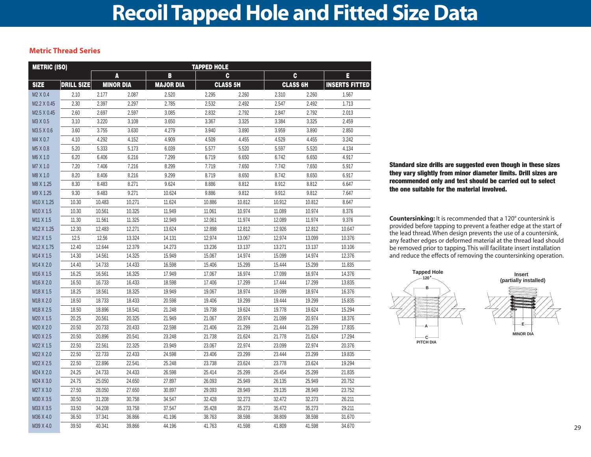#### **Metric Thread Series**

| <b>METRIC (ISO)</b>              |                   |        |                  |                  | <b>TAPPED HOLE</b> |                 |                 |        |                       |
|----------------------------------|-------------------|--------|------------------|------------------|--------------------|-----------------|-----------------|--------|-----------------------|
|                                  |                   |        | A                | B                |                    | C               |                 | C      | E                     |
| <b>SIZE</b>                      | <b>DRILL SIZE</b> |        | <b>MINOR DIA</b> | <b>MAJOR DIA</b> |                    | <b>CLASS 5H</b> | <b>CLASS 6H</b> |        | <b>INSERTS FITTED</b> |
| M2 X 0.4                         | 2.10              | 2.177  | 2.087            | 2.520            | 2.295              | 2.260           | 2.310           | 2.260  | 1.567                 |
| M2.2 X 0.45                      | 2.30              | 2.397  | 2.297            | 2.785            | 2.532              | 2.492           | 2.547           | 2.492  | 1.713                 |
| M2.5 X 0.45                      | 2.60              | 2.697  | 2.597            | 3.085            | 2.832              | 2.792           | 2.847           | 2.792  | 2.013                 |
| M3 X 0.5                         | 3.10              | 3.220  | 3.108            | 3.650            | 3.367              | 3.325           | 3.384           | 3.325  | 2.459                 |
| M3.5 X 0.6                       | 3.60              | 3.755  | 3.630            | 4.279            | 3.940              | 3.890           | 3.959           | 3.890  | 2.850                 |
| M4 X 0.7                         | 4.10              | 4.292  | 4.152            | 4.909            | 4.509              | 4.455           | 4.529           | 4.455  | 3.242                 |
| M5 X 0.8                         | 5.20              | 5.333  | 5.173            | 6.039            | 5.577              | 5.520           | 5.597           | 5.520  | 4.134                 |
| M6 X 1.0                         | 6.20              | 6.406  | 6.216            | 7.299            | 6.719              | 6.650           | 6.742           | 6.650  | 4.917                 |
| M7 X 1.0                         | 7.20              | 7.406  | 7.216            | 8.299            | 7.719              | 7.650           | 7.742           | 7.650  | 5.917                 |
| M8 X 1.0                         | 8.20              | 8.406  | 8.216            | 9.299            | 8.719              | 8.650           | 8.742           | 8.650  | 6.917                 |
| M8 X 1.25                        | 8.30              | 8.483  | 8.271            | 9.624            | 8.886              | 8.812           | 8.912           | 8.812  | 6.647                 |
| M9 X 1.25                        | 9.30              | 9.483  | 9.271            | 10.624           | 9.886              | 9.812           | 9.912           | 9.812  | 7.647                 |
| M <sub>10</sub> X 1.25           | 10.30             | 10.483 | 10.271           | 11.624           | 10.886             | 10.812          | 10.912          | 10.812 | 8.647                 |
| M <sub>10</sub> X 1.5            | 10.30             | 10.561 | 10.325           | 11.949           | 11.061             | 10.974          | 11.089          | 10.974 | 8.376                 |
| M <sub>11</sub> X <sub>1.5</sub> | 11.30             | 11.561 | 11.325           | 12.949           | 12.061             | 11.974          | 12.089          | 11.974 | 9.376                 |
| M12 X 1.25                       | 12.30             | 12.483 | 12.271           | 13.624           | 12.898             | 12.812          | 12.926          | 12.812 | 10.647                |
| M <sub>12</sub> X <sub>1.5</sub> | 12.5              | 12.56  | 13.324           | 14.131           | 12.974             | 13.067          | 12.974          | 13.099 | 10.376                |
| M <sub>12</sub> X 1.75           | 12.40             | 12.644 | 12.379           | 14.273           | 13.236             | 13.137          | 13.271          | 13.137 | 10.106                |
| M14 X 1.5                        | 14.30             | 14.561 | 14.325           | 15.949           | 15.067             | 14.974          | 15.099          | 14.974 | 12.376                |
| M14 X 2.0                        | 14.40             | 14.733 | 14.433           | 16.598           | 15.406             | 15.299          | 15.444          | 15.299 | 11.835                |
| M <sub>16</sub> X 1.5            | 16.25             | 16.561 | 16.325           | 17.949           | 17.067             | 16.974          | 17.099          | 16.974 | 14.376                |
| M <sub>16</sub> X 2.0            | 16.50             | 16.733 | 16.433           | 18.598           | 17.406             | 17.299          | 17.444          | 17.299 | 13.835                |
| M <sub>18</sub> X <sub>1.5</sub> | 18.25             | 18.561 | 18.325           | 19.949           | 19.067             | 18.974          | 19.099          | 18.974 | 16.376                |
| M18 X 2.0                        | 18.50             | 18.733 | 18.433           | 20.598           | 19.406             | 19.299          | 19.444          | 19.299 | 15.835                |
| M18 X 2.5                        | 18.50             | 18.896 | 18.541           | 21.248           | 19.738             | 19.624          | 19.778          | 19.624 | 15.294                |
| M20 X 1.5                        | 20.25             | 20.561 | 20.325           | 21.949           | 21.067             | 20.974          | 21.099          | 20.974 | 18.376                |
| M20 X 2.0                        | 20.50             | 20.733 | 20.433           | 22.598           | 21.406             | 21.299          | 21.444          | 21.299 | 17.835                |
| M20 X 2.5                        | 20.50             | 20.896 | 20.541           | 23.248           | 21.738             | 21.624          | 21.778          | 21.624 | 17.294                |
| M22 X 1.5                        | 22.50             | 22.561 | 22.325           | 23.949           | 23.067             | 22.974          | 23.099          | 22.974 | 20.376                |
| M22 X 2.0                        | 22.50             | 22.733 | 22.433           | 24.598           | 23.406             | 23.299          | 23.444          | 23.299 | 19.835                |
| M22 X 2.5                        | 22.50             | 22.896 | 22.541           | 25.248           | 23.738             | 23.624          | 23.778          | 23.624 | 19.294                |
| M24 X 2.0                        | 24.25             | 24.733 | 24.433           | 26.598           | 25.414             | 25.299          | 25.454          | 25.299 | 21.835                |
| M24 X 3.0                        | 24.75             | 25.050 | 24.650           | 27.897           | 26.093             | 25.949          | 26.135          | 25.949 | 20.752                |
| M27 X 3.0                        | 27.50             | 28.050 | 27.650           | 30.897           | 29.093             | 28.949          | 29.135          | 28.949 | 23.752                |
| M30 X 3.5                        | 30.50             | 31.208 | 30.758           | 34.547           | 32.428             | 32.273          | 32.472          | 32.273 | 26.211                |
| M33 X 3.5                        | 33.50             | 34.208 | 33.758           | 37.547           | 35.428             | 35.273          | 35.472          | 35.273 | 29.211                |
| M36 X 4.0                        | 36.50             | 37.341 | 36.866           | 41.196           | 38.763             | 38.598          | 38.809          | 38.598 | 31.670                |
| M39 X 4.0                        | 39.50             | 40.341 | 39.866           | 44.196           | 41.763             | 41.598          | 41.809          | 41.598 | 34.670                |

**Standard size drills are suggested even though in these sizes they vary slightly from minor diameter limits. Drill sizes are recommended only and test should be carried out to select the one suitable for the material involved.**

**Countersinking:** It is recommended that a 120° countersink is provided before tapping to prevent a feather edge at the start of the lead thread. When design prevents the use of a countersink, any feather edges or deformed material at the thread lead should be removed prior to tapping. This will facilitate insert installation and reduce the effects of removing the countersinking operation.

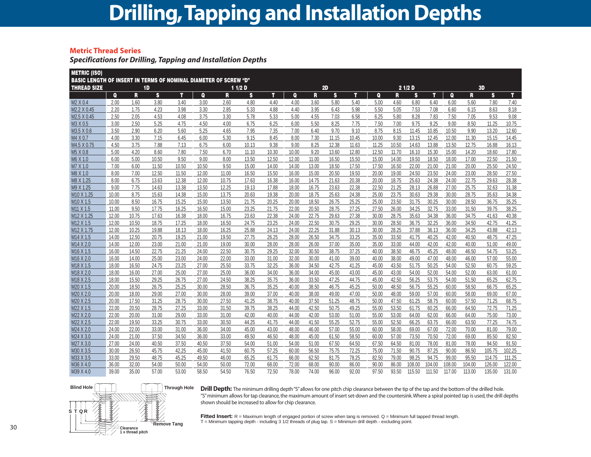### **Drilling,Tapping and Installation Depths**

#### **Metric Thread Series**

*Specifications for Drilling, Tapping and Installation Depths*

| <b>METRIC (ISO)</b>                                                     |                |                |                |                |                |                |                |                |                |                |                |                |                |                |                |                |                |                |                |                |
|-------------------------------------------------------------------------|----------------|----------------|----------------|----------------|----------------|----------------|----------------|----------------|----------------|----------------|----------------|----------------|----------------|----------------|----------------|----------------|----------------|----------------|----------------|----------------|
| <b>BASIC LENGTH OF INSERT IN TERMS OF NOMINAL DIAMETER OF SCREW "D"</b> |                |                |                |                |                |                |                |                |                |                |                |                |                |                |                |                |                |                |                |                |
| <b>THREAD SIZE</b>                                                      |                |                | 1 <sub>D</sub> |                |                |                | 11/2D          |                |                |                | 2D             |                |                |                | 21/2D          |                |                |                | 3D             |                |
|                                                                         | $\bf{Q}$       | R              | S              | T              | $\mathbf{Q}$   | R              | S              | т              | Q              | R              | <b>S</b>       | T.             | $\mathbf{Q}$   | R              | S              | т              | $\mathbf{Q}$   | R              | S              | T.             |
| M2 X 0.4                                                                | 2.00           | 1.60           | 3.80           | 3.40           | 3.00           | 2.60           | 4.80           | 4.40           | 4.00           | 3.60           | 5.80           | 5.40           | 5.00           | 4.60           | 6.80           | 6.40           | 6.00           | 5.60           | 7.80           | 7.40           |
| M2.2 X 0.45                                                             | 2.20           | 1.75           | 4.23           | 3.98           | 3.30           | 2.85           | 5.33           | 4.88           | 4.40           | 3.95           | 6.43           | 5.98           | 5.50           | 5.05           | 7.53           | 7.08           | 6.60           | 6.15           | 8.63           | 8.18           |
| M2.5 X 0.45                                                             | 2.50           | 2.05           | 4.53           | 4.08           | 3.75           | 3.30           | 5.78           | 5.33           | 5.00           | 4.55           | 7.03           | 6.58           | 6.25           | 5.80           | 8.28           | 7.83           | 7.50           | 7.05           | 9.53           | 9.08           |
| M3 X 0.5                                                                | 3.00           | 2.50           | 5.25           | 4.75           | 4.50           | 4.00           | 6.75           | 6.25           | 6.00           | 5.50           | 8.25           | 7.75           | 7.50           | 7.00           | 9.75           | 9.25           | 9.00           | 8.50           | 11.25          | 10.75          |
| M3.5 X 0.6                                                              | 3.50           | 2.90           | 6.20           | 5.60           | 5.25           | 4.65           | 7.95           | 7.35           | 7.00           | 6.40           | 9.70           | 9.10           | 8.75           | 8.15           | 11.45          | 10.85          | 10.50          | 9.90           | 13.20          | 12.60          |
| M4 X 0.7                                                                | 4.00           | 3.30           | 7.15           | 6.45           | 6.00           | 5.30           | 9.15           | 8.45           | 8.00           | 7.30           | 11.15          | 10.45          | 10.00          | 9.30           | 13.15          | 12.45          | 12.00          | 11.30          | 15.15          | 14.45          |
| M4.5 X 0.75                                                             | 4.50           | 3.75           | 7.88           | 7.13           | 6.75           | 6.00           | 10.13          | 9.38           | 9.00           | 8.25           | 12.38          | 11.63          | 11.25          | 10.50          | 14.63          | 13.88          | 13.50          | 12.75          | 16.88          | 16.13          |
| M5 X 0.8                                                                | 5.00           | 4.20           | 8.60           | 7.80           | 7.50           | 6.70           | 11.10          | 10.30          | 10.00          | 9.20           | 13.60          | 12.80          | 12.50          | 11.70          | 16.10          | 15.30          | 15.00          | 14.20          | 18.60          | 17.80          |
| M6 X 1.0                                                                | 6.00           | 5.00           | 10.50          | 9.50           | 9.00           | 8.00           | 13.50          | 12.50          | 12.00          | 11.00          | 16.50          | 15.50          | 15.00          | 14.00          | 19.50          | 18.50          | 18.00          | 17.00          | 22.50          | 21.50          |
| M7 X 1.0                                                                | 7.00           | 6.00           | 11.50          | 10.50          | 10.50          | 9.50           | 15.00          | 14.00          | 14.00          | 13.00          | 18.50          | 17.50          | 17.50          | 16.50          | 22.00          | 21.00          | 21.00          | 20.00          | 25.50          | 24.50          |
| M8 X 1.0                                                                | 8.00           | 7.00           | 12.50          | 11.50          | 12.00          | 11.00          | 16.50          | 15.50          | 16.00          | 15.00          | 20.50          | 19.50          | 20.00          | 19.00          | 24.50          | 23.50          | 24.00          | 23.00          | 28.50          | 27.50          |
| M8 X 1.25                                                               | 8.00           | 6.75           | 13.63          | 12.38          | 12.00          | 10.75          | 17.63          | 16.38          | 16.00          | 14.75          | 21.63          | 20.38          | 20.00          | 18.75          | 25.63          | 24.38          | 24.00          | 22.75          | 29.63          | 28.38          |
| M9 X 1.25                                                               | 9.00           | 7.75           | 14.63          | 13.38          | 13.50          | 12.25          | 19.13          | 17.88          | 18.00          | 16.75          | 23.63          | 22.38          | 22.50          | 21.25          | 28.13          | 26.88          | 27.00          | 25.75          | 32.63          | 31.38          |
| M <sub>10</sub> X 1.25                                                  | 10.00          | 8.75           | 15.63          | 14.38          | 15.00          | 13.75          | 20.63          | 19.38          | 20.00          | 18.75          | 25.63          | 24.38          | 25.00          | 23.75          | 30.63          | 29.38          | 30.00          | 28.75          | 35.63          | 34.38          |
| M10 X 1.5                                                               | 10.00          | 8.50           | 16.75          | 15.25          | 15.00          | 13.50          | 21.75          | 20.25          | 20.00          | 18.50          | 26.75          | 25.25          | 25.00          | 23.50          | 31.75          | 30.25          | 30.00          | 28.50          | 36.75          | 35.25          |
| M11 X 1.5                                                               | 11.00          | 9.50           | 17.75          | 16.25          | 16.50          | 15.00          | 23.25          | 21.75          | 22.00          | 20.50          | 28.75          | 27.25          | 27.50          | 26.00          | 34.25          | 32.75          | 33.00          | 31.50          | 39.75          | 38.25          |
| M12 X 1.25                                                              | 12.00          | 10.75          | 17.63          | 16.38          | 18.00          | 16.75          | 23.63          | 22.38          | 24.00          | 22.75          | 29.63          | 27.38          | 30.00          | 28.75          | 35.63          | 34.38          | 36.00          | 34.75          | 41.63          | 40.38          |
| M12 X 1.5                                                               | 12.00          | 10.50          | 18.75          | 17.25          | 18.00          | 16.50          | 24.75          | 23.25          | 24.00          | 22.50          | 30.75          | 29.25          | 30.00          | 28.50          | 36.75          | 32.25          | 36.00          | 34.50          | 42.75          | 41.25          |
| M12 X 1.75                                                              | 12.00          | 10.25          | 19.88          | 18.13          | 18.00          | 16.25          | 25.88          | 24.13          | 24.00          | 22.25          | 31.88          | 30.13          | 30.00          | 28.25          | 37.88          | 36.13          | 36.00          | 34.25          | 43.88          | 42.13          |
| M14 X 1.5<br>M14 X 2.0                                                  | 14.00<br>14.00 | 12.50<br>12.00 | 20.75<br>23.00 | 19.25<br>21.00 | 21.00<br>21.00 | 19.50<br>19.00 | 27.75<br>30.00 | 26.25<br>28.00 | 28.00<br>28.00 | 26.50<br>26.00 | 34.75<br>37.00 | 33.25<br>35.00 | 35.00<br>35.00 | 33.50<br>33.00 | 41.75<br>44.00 | 40.25<br>42.00 | 42.00<br>42.00 | 40.50<br>40.00 | 48.75<br>51.00 | 47.25<br>49.00 |
| M16 X 1.5                                                               | 16.00          | 14.50          | 22.75          | 21.25          | 24.00          | 22.50          | 30.75          | 29.25          | 32.00          | 30.50          | 38.75          | 37.25          | 40.00          | 38.50          | 46.75          | 45.25          | 48.00          | 46.50          | 54.75          | 53.25          |
| M16 X 2.0                                                               | 16.00          | 14.00          | 25.00          | 23.00          | 24.00          | 22.00          | 33.00          | 31.00          | 32.00          | 30.00          | 41.00          | 39.00          | 40.00          | 38.00          | 49.00          | 47.00          | 48.00          | 46.00          | 57.00          | 55.00          |
| M18 X 1.5                                                               | 18.00          | 16.50          | 24.75          | 23.25          | 27.00          | 25.50          | 33.75          | 32.25          | 36.00          | 34.50          | 42.75          | 41.25          | 45.00          | 43.50          | 51.75          | 50.25          | 54.00          | 52.50          | 60.75          | 59.25          |
| M18 X 2.0                                                               | 18.00          | 16.00          | 27.00          | 25.00          | 27.00          | 25.00          | 36.00          | 34.00          | 36.00          | 34.00          | 45.00          | 43.00          | 45.00          | 43.00          | 54.00          | 52.00          | 54.00          | 52.00          | 63.00          | 61.00          |
| M18 X 2.5                                                               | 18.00          | 15.50          | 29.25          | 26.75          | 27.00          | 24.50          | 38.25          | 35.75          | 36.00          | 33.50          | 47.25          | 44.75          | 45.00          | 42.50          | 56.25          | 53.75          | 54.00          | 51.50          | 65.25          | 62.75          |
| M20 X 1.5                                                               | 20.00          | 18.50          | 26.75          | 25.25          | 30.00          | 28.50          | 36.75          | 35.25          | 40.00          | 38.50          | 46.75          | 45.25          | 50.00          | 48.50          | 56.75          | 55.25          | 60.00          | 58.50          | 66.75          | 65.25          |
| M20 X 2.0                                                               | 20.00          | 18.00          | 29.00          | 27.00          | 30.00          | 28.00          | 39.00          | 37.00          | 40.00          | 38.00          | 49.00          | 47.00          | 50.00          | 48.00          | 59.00          | 57.00          | 60.00          | 58.00          | 69.00          | 67.00          |
| M20 X 2.5                                                               | 20.00          | 17.50          | 31.25          | 28.75          | 30.00          | 27.50          | 41.25          | 38.75          | 40.00          | 37.50          | 51.25          | 48.75          | 50.00          | 47.50          | 61.25          | 58.75          | 60.00          | 57.50          | 71.25          | 68.75          |
| M22 X 1.5                                                               | 22.00          | 20.50          | 28.75          | 27.25          | 33.00          | 31.50          | 39.75          | 38.25          | 44.00          | 42.50          | 50.75          | 49.25          | 55.00          | 53.50          | 61.75          | 60.25          | 66.00          | 64.50          | 72.75          | 71.25          |
| M22 X 2.0                                                               | 22.00          | 20.00          | 31.00          | 29.00          | 33.00          | 31.00          | 42.00          | 40.00          | 44.00          | 42.00          | 53.00          | 51.00          | 55.00          | 53.00          | 64.00          | 62.00          | 66.00          | 64.00          | 75.00          | 73.00          |
| M22 X 2.5                                                               | 22.00          | 19.50          | 33.25          | 30.75          | 33.00          | 30.50          | 44.25          | 41.75          | 44.00          | 41.50          | 55.25          | 52.75          | 55.00          | 52.50          | 66.25          | 63.75          | 66.00          | 63.50          | 77.25          | 74.75          |
| M24 X 2.0                                                               | 24.00          | 22.00          | 33.00          | 31.00          | 36.00          | 34.00          | 45.00          | 43.00          | 48.00          | 46.00          | 57.00          | 55.00          | 60.00          | 58.00          | 69.00          | 67.00          | 72.00          | 70.00          | 81.00          | 79.00          |
| M24 X 3.0                                                               | 24.00          | 21.00          | 37.50          | 34.50          | 36.00          | 33.00          | 49.50          | 46.50          | 48.00          | 45.00          | 61.50          | 58.50          | 60.00          | 57.00          | 73.50          | 70.50          | 72.00          | 69.00          | 85.50          | 82.50          |
| M27 X 3.0                                                               | 27.00          | 24.00          | 40.50          | 37.50          | 40.50          | 37.50          | 54.00          | 51.00          | 54.00          | 51.00          | 67.50          | 64.50          | 67.50          | 64.50          | 81.00          | 78.00          | 81.00          | 78.00          | 94.50          | 91.50          |
| M30 X 3.5                                                               | 30.00          | 26.50          | 45.75          | 42.25          | 45.00          | 41.50          | 60.75          | 57.25          | 60.00          | 56.50          | 75.75          | 72.25          | 75.00          | 71.50          | 90.75          | 87.25          | 90.00          | 86.50          | 105.75         | 102.25         |
| M33 X 3.5                                                               | 33.00          | 29.50          | 48.75          | 45.25          | 49.50          | 46.00          | 65.25          | 61.75          | 66.00          | 62.50          | 81.75          | 78.25          | 82.50          | 79.00          | 98.25          | 94.75          | 99.00          | 95.50          | 114.75         | 111.25         |
| M36 X 4.0                                                               | 36.00          | 32.00          | 54.00          | 50.00          | 54.00          | 50.00          | 72.00          | 68.00          | 72.00          | 68.00          | 90.00          | 86.00          | 90.00          | 86.00          | 108.00         | 104.00         | 108.00         | 104.00         | 126.00         | 122.00         |
| M39 X 4.0                                                               | 39.00          | 35.00          | 57.00          | 53.00          | 58.50          | 54.50          | 76.50          | 72.50          | 78.00          | 74.00          | 96.00          | 92.00          | 97.50          | 93.50          | 115.50         | 111.50         | 117.00         | 113.00         | 135.00         | 131.00         |



**Drill Depth:** The minimum drilling depth "S"allows for one pitch chip clearance between the tip of the tap and the bottom of the drilled hole. "S" minimum allows for tap clearance, the maximum amount of insert set-down and the countersink. Where a spiral pointed tap is used, the drill depths shown should be increased to allow for chip clearance.

Fitted Insert: R = Maximum length of engaged portion of screw when tang is removed. Q = Minimum full tapped thread length.  $T =$  Minimum tapping depth - including 3 1/2 threads of plug tap.  $S =$  Minimum drill depth - excluding point.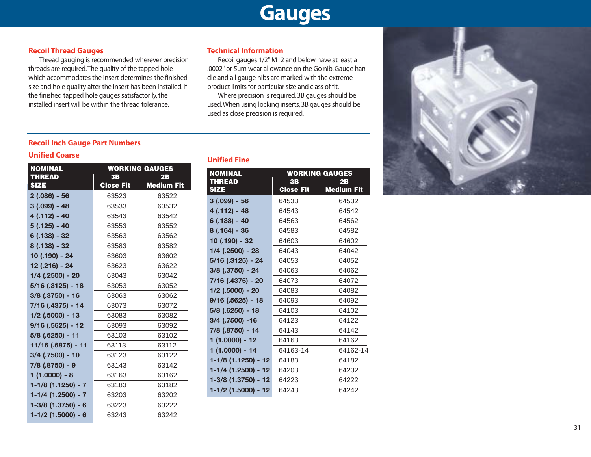### **Gauges**

#### **Recoil Thread Gauges**

Thread gauging is recommended wherever precision threads are required.The quality of the tapped hole which accommodates the insert determines the finished size and hole quality after the insert has been installed. If the finished tapped hole gauges satisfactorily, the installed insert will be within the thread tolerance.

#### **Technical Information**

Recoil gauges 1/2" M12 and below have at least a .0002" or 5um wear allowance on the Go nib. Gauge handle and all gauge nibs are marked with the extreme product limits for particular size and class of fit.

Where precision is required, 3B gauges should be used.When using locking inserts, 3B gauges should be used as close precision is required.

#### **Recoil Inch Gauge Part Numbers**

#### **Unified Coarse**

| <b>NOMINAL</b>       |                  | <b>WORKING GAUGES</b> |
|----------------------|------------------|-----------------------|
| <b>THREAD</b>        | 3B               | 2B                    |
| <b>SIZE</b>          | <b>Close Fit</b> | <b>Medium Fit</b>     |
| $2(.086) - 56$       | 63523            | 63522                 |
| $3(.099) - 48$       | 63533            | 63532                 |
| 4 (.112) - 40        | 63543            | 63542                 |
| $5(.125) - 40$       | 63553            | 63552                 |
| $6(.138) - 32$       | 63563            | 63562                 |
| 8 (.138) - 32        | 63583            | 63582                 |
| 10 (.190) - 24       | 63603            | 63602                 |
| 12 (.216) - 24       | 63623            | 63622                 |
| $1/4$ (.2500) - 20   | 63043            | 63042                 |
| 5/16 (.3125) - 18    | 63053            | 63052                 |
| $3/8$ (.3750) - 16   | 63063            | 63062                 |
| 7/16 (.4375) - 14    | 63073            | 63072                 |
| $1/2$ (.5000) - 13   | 63083            | 63082                 |
| $9/16$ (.5625) - 12  | 63093            | 63092                 |
| $5/8$ (.6250) - 11   | 63103            | 63102                 |
| 11/16 (.6875) - 11   | 63113            | 63112                 |
| 3/4 (.7500) - 10     | 63123            | 63122                 |
| 7/8 (.8750) - 9      | 63143            | 63142                 |
| $1(1.0000) - 8$      | 63163            | 63162                 |
| 1-1/8 (1.1250) - 7   | 63183            | 63182                 |
| $1-1/4$ (1.2500) - 7 | 63203            | 63202                 |
| $1-3/8$ (1.3750) - 6 | 63223            | 63222                 |
| $1-1/2$ (1.5000) - 6 | 63243            | 63242                 |

#### **Unified Fine**

| <b>NOMINAL</b>      |                  | <b>WORKING GAUGES</b> |
|---------------------|------------------|-----------------------|
| <b>THREAD</b>       | 3B               | 2B                    |
| <b>SIZE</b>         | <b>Close Fit</b> | <b>Medium Fit</b>     |
| $3(.099) - 56$      | 64533            | 64532                 |
| 4 (.112) - 48       | 64543            | 64542                 |
| $6(.138) - 40$      | 64563            | 64562                 |
| $8(.164) - 36$      | 64583            | 64582                 |
| 10 (.190) - 32      | 64603            | 64602                 |
| $1/4$ (.2500) - 28  | 64043            | 64042                 |
| 5/16 (.3125) - 24   | 64053            | 64052                 |
| 3/8 (.3750) - 24    | 64063            | 64062                 |
| 7/16 (.4375) - 20   | 64073            | 64072                 |
| $1/2$ (.5000) - 20  | 64083            | 64082                 |
| 9/16 (.5625) - 18   | 64093            | 64092                 |
| $5/8$ (.6250) - 18  | 64103            | 64102                 |
| 3/4 (.7500) -16     | 64123            | 64122                 |
| 7/8 (.8750) - 14    | 64143            | 64142                 |
| 1 (1.0000) - 12     | 64163            | 64162                 |
| $1(1.0000) - 14$    | 64163-14         | 64162-14              |
| 1-1/8 (1.1250) - 12 | 64183            | 64182                 |
| 1-1/4 (1.2500) - 12 | 64203            | 64202                 |
| 1-3/8 (1.3750) - 12 | 64223            | 64222                 |
| 1-1/2 (1.5000) - 12 | 64243            | 64242                 |

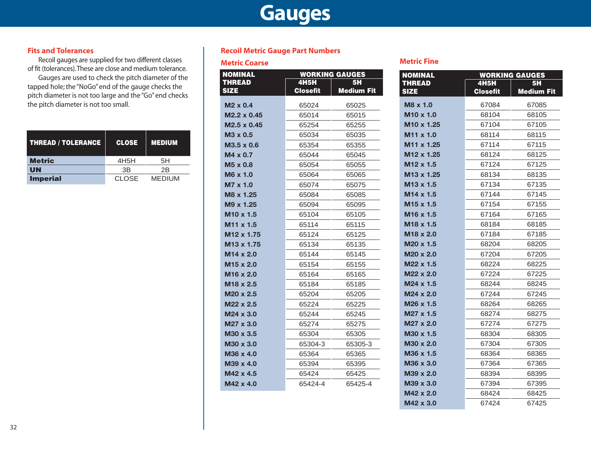### **Gauges**

#### **Fits and Tolerances**

Recoil gauges are supplied for two different classes of fit (tolerances).These are close and medium tolerance.

Gauges are used to check the pitch diameter of the tapped hole; the "NoGo" end of the gauge checks the pitch diameter is not too large and the "Go" end checks the pitch diameter is not too small.

| THREAD / TOLERANCE | <b>CLOSE</b>      | <b>MEDIUM</b>  |
|--------------------|-------------------|----------------|
| <b>Metric</b>      | 4H <sub>5</sub> H | 5H             |
| UN                 | 3B                | 2 <sub>R</sub> |
| <b>Imperial</b>    | <b>CLOSE</b>      | <b>MEDIUM</b>  |

#### **Recoil Metric Gauge Part Numbers**

### **Metric Coarse Metric Fine**

| <b>NOMINAL</b>         |                 | <b>WORKING GAUGES</b> |
|------------------------|-----------------|-----------------------|
| <b>THREAD</b>          | <b>4H5H</b>     | <b>5H</b>             |
| <b>SIZE</b>            | <b>Closefit</b> | Medium Fit            |
| $M2 \times 0.4$        | 65024           | 65025                 |
| M2.2 x 0.45            | 65014           | 65015                 |
| M2.5 x 0.45            | 65254           | 65255                 |
| $M3 \times 0.5$        | 65034           | 65035                 |
| $M3.5 \times 0.6$      | 65354           | 65355                 |
| $M4 \times 0.7$        | 65044           | 65045                 |
| $M5 \times 0.8$        | 65054           | 65055                 |
| M6 x 1.0               | 65064           | 65065                 |
| M7 x 1.0               | 65074           | 65075                 |
| M8 x 1.25              | 65084           | 65085                 |
| M9 x 1.25              | 65094           | 65095                 |
| M <sub>10</sub> x 1.5  | 65104           | 65105                 |
| M <sub>11</sub> x 1.5  | 65114           | 65115                 |
| M <sub>12</sub> x 1.75 | 65124           | 65125                 |
| M <sub>13</sub> x 1.75 | 65134           | 65135                 |
| $M14 \times 2.0$       | 65144           | 65145                 |
| M15 x 2.0              | 65154           | 65155                 |
| M <sub>16</sub> x 2.0  | 65164           | 65165                 |
| M <sub>18</sub> x 2.5  | 65184           | 65185                 |
| $M20 \times 2.5$       | 65204           | 65205                 |
| M22 x 2.5              | 65224           | 65225                 |
| M24 x 3.0              | 65244           | 65245                 |
| M27 x 3.0              | 65274           | 65275                 |
| M30 x 3.5              | 65304           | 65305                 |
| M30 x 3.0              | 65304-3         | 65305-3               |
| M36 x 4.0              | 65364           | 65365                 |
| M39 x 4.0              | 65394           | 65395                 |
| M42 x 4.5              | 65424           | 65425                 |
| M42 x 4.0              | 65424-4         | 65425-4               |

| <b>NOMINAL</b>               |                                | <b>WORKING GAUGES</b>          |
|------------------------------|--------------------------------|--------------------------------|
| <b>THREAD</b><br><b>SIZE</b> | <b>4H5H</b><br><b>Closefit</b> | <b>5H</b><br><b>Medium Fit</b> |
| M8 x 1.0                     | 67084                          | 67085                          |
| M <sub>10</sub> x 1.0        | 68104                          | 68105                          |
| M <sub>10</sub> x 1.25       | 67104                          | 67105                          |
| M <sub>11</sub> x 1.0        | 68114                          | 68115                          |
| M <sub>11</sub> x 1.25       | 67114                          | 67115                          |
| M <sub>12</sub> x 1.25       | 68124                          | 68125                          |
| M12 x 1.5                    | 67124                          | 67125                          |
| M13 x 1.25                   | 68134                          | 68135                          |
| M <sub>13</sub> x 1.5        | 67134                          | 67135                          |
| M <sub>14</sub> x 1.5        | 67144                          | 67145                          |
| M <sub>15</sub> x 1.5        | 67154                          | 67155                          |
| M16 x 1.5                    | 67164                          | 67165                          |
| M18 x 1.5                    | 68184                          | 68185                          |
| M18 x 2.0                    | 67184                          | 67185                          |
| M <sub>20</sub> x 1.5        | 68204                          | 68205                          |
| M20 x 2.0                    | 67204                          | 67205                          |
| M22 x 1.5                    | 68224                          | 68225                          |
| M22 x 2.0                    | 67224                          | 67225                          |
| M24 x 1.5                    | 68244                          | 68245                          |
| M24 x 2.0                    | 67244                          | 67245                          |
| M26 x 1.5                    | 68264                          | 68265                          |
| M27 x 1.5                    | 68274                          | 68275                          |
| M27 x 2.0                    | 67274                          | 67275                          |
| M30 x 1.5                    | 68304                          | 68305                          |
| M30 x 2.0                    | 67304                          | 67305                          |
| M36 x 1.5                    | 68364                          | 68365                          |
| M36 x 3.0                    | 67364                          | 67365                          |
| M39 x 2.0                    | 68394                          | 68395                          |
| M39 x 3.0                    | 67394                          | 67395                          |
| M42 x 2.0                    | 68424                          | 68425                          |
| M42 x 3.0                    | 67424                          | 67425                          |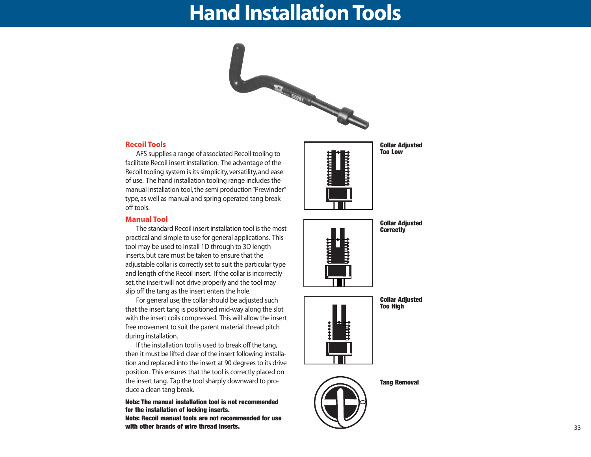### **Hand Installation Tools**



#### **Recoil Tools**

AFS supplies a range of associated Recoil tooling to facilitate Recoil insert installation. The advantage of the Recoil tooling system is its simplicity, versatility, and ease of use. The hand installation tooling range includes the manual installation tool, the semi production "Prewinder" type, as well as manual and spring operated tang break off tools.

#### **Manual Tool**

The standard Recoil insert installation tool is the most practical and simple to use for general applications. This tool may be used to install 1D through to 3D length inserts, but care must be taken to ensure that the adjustable collar is correctly set to suit the particular type and length of the Recoil insert. If the collar is incorrectly set, the insert will not drive properly and the tool may slip off the tang as the insert enters the hole.

For general use, the collar should be adjusted such that the insert tang is positioned mid-way along the slot with the insert coils compressed. This will allow the insert free movement to suit the parent material thread pitch during installation.

If the installation tool is used to break off the tang, then it must be lifted clear of the insert following installation and replaced into the insert at 90 degrees to its drive position. This ensures that the tool is correctly placed on the insert tang. Tap the tool sharply downward to produce a clean tang break.

**Note: The manual installation tool is not recommended for the installation of locking inserts.**

**Note: Recoil manual tools are not recommended for use with other brands of wire thread inserts.**



**Collar Adjusted Too Low**



**Collar Adjusted Correctly**

**Collar Adjusted Too High**



**Tang Removal**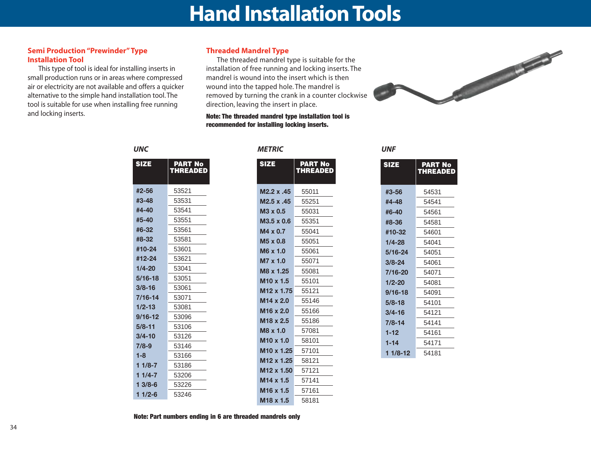### **Hand Installation Tools**

#### **Semi Production "Prewinder" Type Installation Tool**

This type of tool is ideal for installing inserts in small production runs or in areas where compressed air or electricity are not available and offers a quicker alternative to the simple hand installation tool. The tool is suitable for use when installing free running and locking inserts.

#### **Threaded Mandrel Type**

The threaded mandrel type is suitable for the installation of free running and locking inserts. The mandrel is wound into the insert which is then wound into the tapped hole. The mandrel is removed by turning the crank in a counter clockwise direction, leaving the insert in place.

**Note: The threaded mandrel type installation tool is recommended for installing locking inserts.**



|             | <b>THREADED</b> |
|-------------|-----------------|
| #2-56       | 53521           |
| #3-48       | 53531           |
| #4-40       | 53541           |
| #5-40       | 53551           |
| #6-32       | 53561           |
| #8-32       | 53581           |
| #10-24      | 53601           |
| #12-24      | 53621           |
| $1/4 - 20$  | 53041           |
| $5/16 - 18$ | 53051           |
| $3/8 - 16$  | 53061           |
| 7/16-14     | 53071           |
| $1/2 - 13$  | 53081           |
| $9/16 - 12$ | 53096           |
| $5/8 - 11$  | 53106           |
| 3/4-10      | 53126           |
| $7/8-9$     | 53146           |
| $1 - 8$     | 53166           |
| 1 1/8-7     | 53186           |
| 1 1/4-7     | 53206           |
| $13/8-6$    | 53226           |

**SIZE PART No**

**1 1/2-6** 53246

#### *UNC METRIC UNF*

| <b>PART No</b><br>THREADED |
|----------------------------|
|                            |
| 55011                      |
| 55251                      |
| 55031                      |
| 55351                      |
| 55041                      |
| 55051                      |
| 55061                      |
| 55071                      |
| 55081                      |
| 55101                      |
| 55121                      |
| 55146                      |
| 55166                      |
| 55186                      |
| 57081                      |
| 58101                      |
| 57101                      |
| 58121                      |
| 57121                      |
| 57141                      |
| 57161                      |
| 58181                      |
|                            |

| <b>SIZE</b> | <b>PART No</b><br><b>THREADED</b> |
|-------------|-----------------------------------|
| #3-56       | 54531                             |
| #4-48       | 54541                             |
| #6-40       | 54561                             |
| #8-36       | 54581                             |
| #10-32      | 54601                             |
| 1/4-28      | 54041                             |
| 5/16-24     | 54051                             |
| $3/8 - 24$  | 54061                             |
| 7/16-20     | 54071                             |
| $1/2 - 20$  | 54081                             |
| $9/16 - 18$ | 54091                             |
| $5/8 - 18$  | 54101                             |
| 3/4-16      | 54121                             |
| $7/8 - 14$  | 54141                             |
| $1 - 12$    | 54161                             |
| $1 - 14$    | 54171                             |
| 1 1/8-12    | 54181                             |

**Note: Part numbers ending in 6 are threaded mandrels only**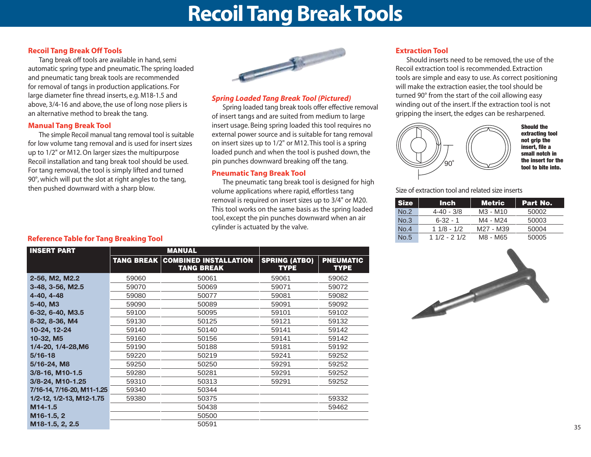### **Recoil Tang Break Tools**

#### **Recoil Tang Break Off Tools**

Tang break off tools are available in hand, semi automatic spring type and pneumatic. The spring loaded and pneumatic tang break tools are recommended for removal of tangs in production applications. For large diameter fine thread inserts, e.g. M18-1.5 and above, 3/4-16 and above, the use of long nose pliers is an alternative method to break the tang.

#### **Manual Tang Break Tool**

The simple Recoil manual tang removal tool is suitable for low volume tang removal and is used for insert sizes up to 1/2" or M12. On larger sizes the multipurpose Recoil installation and tang break tool should be used. For tang removal, the tool is simply lifted and turned 90°, which will put the slot at right angles to the tang, then pushed downward with a sharp blow.



#### *Spring Loaded Tang Break Tool (Pictured)*

Spring loaded tang break tools offer effective removal of insert tangs and are suited from medium to large insert usage. Being spring loaded this tool requires no external power source and is suitable for tang removal on insert sizes up to 1/2" or M12. This tool is a spring loaded punch and when the tool is pushed down, the pin punches downward breaking off the tang.

#### **Pneumatic Tang Break Tool**

The pneumatic tang break tool is designed for high volume applications where rapid, effortless tang removal is required on insert sizes up to 3/4" or M20. This tool works on the same basis as the spring loaded tool, except the pin punches downward when an air cylinder is actuated by the valve.

#### **Extraction Tool**

Should inserts need to be removed, the use of the Recoil extraction tool is recommended. Extraction tools are simple and easy to use. As correct positioning will make the extraction easier, the tool should be turned 90° from the start of the coil allowing easy winding out of the insert. If the extraction tool is not gripping the insert, the edges can be resharpened.



**Should the extracting tool not grip the insert, file a small notch in the insert for the tool to bite into.**

Size of extraction tool and related size inserts

| <b>Size</b> | <b>Inch</b>    | <b>Metric</b> | Part No. |
|-------------|----------------|---------------|----------|
| No.2        | $4 - 40 - 3/8$ | M3 - M10      | 50002    |
| No.3        | $6 - 32 - 1$   | M4 - M24      | 50003    |
| No.4        | $11/8 - 1/2$   | M27 - M39     | 50004    |
| No.5        | $11/2 - 21/2$  | M8 - M65      | 50005    |

#### **Reference Table for Tang Breaking Tool**

| <b>INSERT PART</b>         |       | <b>MANUAL</b>                                                |                                     |                                 |
|----------------------------|-------|--------------------------------------------------------------|-------------------------------------|---------------------------------|
|                            |       | <b>TANG BREAK COMBINED INSTALLATION</b><br><b>TANG BREAK</b> | <b>SPRING (ATBO)</b><br><b>TYPE</b> | <b>PNEUMATIC</b><br><b>TYPE</b> |
| 2-56, M2, M2.2             | 59060 | 50061                                                        | 59061                               | 59062                           |
| 3-48, 3-56, M2.5           | 59070 | 50069                                                        | 59071                               | 59072                           |
| 4-40, 4-48                 | 59080 | 50077                                                        | 59081                               | 59082                           |
| 5-40, M3                   | 59090 | 50089                                                        | 59091                               | 59092                           |
| 6-32, 6-40, M3.5           | 59100 | 50095                                                        | 59101                               | 59102                           |
| 8-32, 8-36, M4             | 59130 | 50125                                                        | 59121                               | 59132                           |
| 10-24, 12-24               | 59140 | 50140                                                        | 59141                               | 59142                           |
| 10-32, M5                  | 59160 | 50156                                                        | 59141                               | 59142                           |
| 1/4-20, 1/4-28, M6         | 59190 | 50188                                                        | 59181                               | 59192                           |
| $5/16 - 18$                | 59220 | 50219                                                        | 59241                               | 59252                           |
| 5/16-24, M8                | 59250 | 50250                                                        | 59291                               | 59252                           |
| 3/8-16, M10-1.5            | 59280 | 50281                                                        | 59291                               | 59252                           |
| 3/8-24, M10-1.25           | 59310 | 50313                                                        | 59291                               | 59252                           |
| 7/16-14, 7/16-20, M11-1.25 | 59340 | 50344                                                        |                                     |                                 |
| 1/2-12, 1/2-13, M12-1.75   | 59380 | 50375                                                        |                                     | 59332                           |
| $M14-1.5$                  |       | 50438                                                        |                                     | 59462                           |
| M <sub>16</sub> -1.5, 2    |       | 50500                                                        |                                     |                                 |
| M18-1.5, 2, 2.5            |       | 50591                                                        |                                     |                                 |

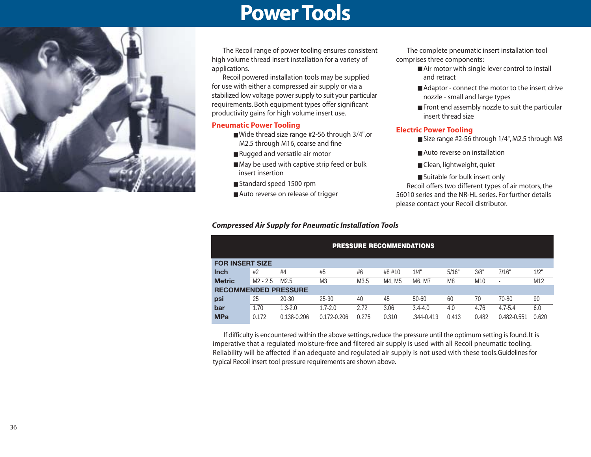### **Power Tools**



The Recoil range of power tooling ensures consistent high volume thread insert installation for a variety of applications.

Recoil powered installation tools may be supplied for use with either a compressed air supply or via a stabilized low voltage power supply to suit your particular requirements. Both equipment types offer significant productivity gains for high volume insert use.

#### **Pneumatic Power Tooling**

- Wide thread size range #2-56 through 3/4",or M2.5 through M16, coarse and fine
- Rugged and versatile air motor
- May be used with captive strip feed or bulk insert insertion
- Standard speed 1500 rpm
- Auto reverse on release of trigger

#### *Compressed Air Supply for Pneumatic Installation Tools*

The complete pneumatic insert installation tool comprises three components:

- Air motor with single lever control to install and retract
- Adaptor connect the motor to the insert drive nozzle - small and large types
- Front end assembly nozzle to suit the particular insert thread size

#### **Electric Power Tooling**

- Size range #2-56 through 1/4", M2.5 through M8
- Auto reverse on installation
- Clean, lightweight, quiet

■ Suitable for bulk insert only Recoil offers two different types of air motors, the 56010 series and the NR-HL series. For further details please contact your Recoil distributor.

|                             | <b>PRESSURE RECOMMENDATIONS</b> |             |                |       |        |                |       |                 |                          |       |  |  |
|-----------------------------|---------------------------------|-------------|----------------|-------|--------|----------------|-------|-----------------|--------------------------|-------|--|--|
| <b>FOR INSERT SIZE</b>      |                                 |             |                |       |        |                |       |                 |                          |       |  |  |
| <b>Inch</b>                 | #2                              | #4          | #5             | #6    | #8 #10 | 1/4"           | 5/16" | 3/8"            | 7/16"                    | 1/2"  |  |  |
| <b>Metric</b>               | $M2 - 2.5$                      | M2.5        | M <sub>3</sub> | M3.5  | M4. M5 | M6. M7         | M8    | M <sub>10</sub> | $\overline{\phantom{a}}$ | M12   |  |  |
| <b>RECOMMENDED PRESSURE</b> |                                 |             |                |       |        |                |       |                 |                          |       |  |  |
| psi                         | 25                              | 20-30       | $25 - 30$      | 40    | 45     | 50-60          | 60    | 70              | 70-80                    | 90    |  |  |
| bar                         | 1.70                            | $1.3 - 2.0$ | $1.7 - 2.0$    | 2.72  | 3.06   | $3.4 - 4.0$    | 4.0   | 4.76            | $4.7 - 5.4$              | 6.0   |  |  |
| <b>MPa</b>                  | 0.172                           | 0.138-0.206 | 0.172-0.206    | 0.275 | 0.310  | $.344 - 0.413$ | 0.413 | 0.482           | 0.482-0.551              | 0.620 |  |  |

If difficulty is encountered within the above settings, reduce the pressure until the optimum setting is found. It is imperative that a regulated moisture-free and filtered air supply is used with all Recoil pneumatic tooling. Reliability will be affected if an adequate and regulated air supply is not used with these tools.Guidelines for typical Recoil insert tool pressure requirements are shown above.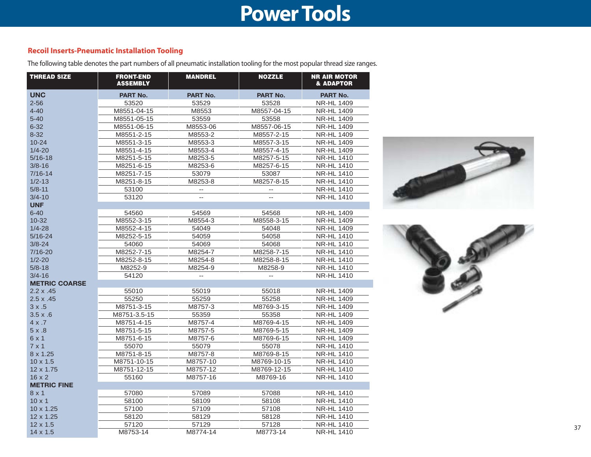### **Power Tools**

### **Recoil Inserts-Pneumatic Installation Tooling**

The following table denotes the part numbers of all pneumatic installation tooling for the most popular thread size ranges.

| <b>THREAD SIZE</b>   | <b>FRONT-END</b><br><b>ASSEMBLY</b> | <b>MANDREL</b>           | <b>NOZZLE</b>            | <b>NR AIR MOTOR</b><br><b>&amp; ADAPTOR</b> |
|----------------------|-------------------------------------|--------------------------|--------------------------|---------------------------------------------|
| <b>UNC</b>           | <b>PART No.</b>                     | PART No.                 | PART No.                 | <b>PART No.</b>                             |
| $2 - 56$             | 53520                               | 53529                    | 53528                    | <b>NR-HL 1409</b>                           |
| $4 - 40$             | M8551-04-15                         | M8553                    | M8557-04-15              | <b>NR-HL 1409</b>                           |
| $5 - 40$             | M8551-05-15                         | 53559                    | 53558                    | <b>NR-HL 1409</b>                           |
| $6 - 32$             | M8551-06-15                         | M8553-06                 | M8557-06-15              | <b>NR-HL 1409</b>                           |
| $8 - 32$             | M8551-2-15                          | M8553-2                  | M8557-2-15               | <b>NR-HL 1409</b>                           |
| $10 - 24$            | M8551-3-15                          | M8553-3                  | M8557-3-15               | <b>NR-HL 1409</b>                           |
| $1/4 - 20$           | M8551-4-15                          | M8553-4                  | M8557-4-15               | <b>NR-HL 1409</b>                           |
| $5/16 - 18$          | M8251-5-15                          | M8253-5                  | M8257-5-15               | <b>NR-HL 1410</b>                           |
| $3/8 - 16$           | M8251-6-15                          | M8253-6                  | M8257-6-15               | <b>NR-HL 1410</b>                           |
| $7/16 - 14$          | M8251-7-15                          | 53079                    | 53087                    | <b>NR-HL 1410</b>                           |
| $1/2 - 13$           | M8251-8-15                          | M8253-8                  | M8257-8-15               | <b>NR-HL 1410</b>                           |
| $5/8 - 11$           | 53100                               | $\overline{\phantom{a}}$ |                          | <b>NR-HL 1410</b>                           |
| $3/4 - 10$           | 53120                               | $\overline{a}$           | $\overline{\phantom{a}}$ | <b>NR-HL 1410</b>                           |
| <b>UNF</b>           |                                     |                          |                          |                                             |
| $6 - 40$             | 54560                               | 54569                    | 54568                    | <b>NR-HL 1409</b>                           |
| $10 - 32$            | M8552-3-15                          | M8554-3                  | M8558-3-15               | <b>NR-HL 1409</b>                           |
| $1/4 - 28$           | M8552-4-15                          | 54049                    | 54048                    | <b>NR-HL 1409</b>                           |
| $5/16 - 24$          | M8252-5-15                          | 54059                    | 54058                    | <b>NR-HL 1410</b>                           |
| $3/8 - 24$           | 54060                               | 54069                    | 54068                    | <b>NR-HL 1410</b>                           |
| $7/16 - 20$          | M8252-7-15                          | M8254-7                  | M8258-7-15               | <b>NR-HL 1410</b>                           |
| $1/2 - 20$           | M8252-8-15                          | M8254-8                  | M8258-8-15               | <b>NR-HL 1410</b>                           |
| $5/8 - 18$           | M8252-9                             | M8254-9                  | M8258-9                  | <b>NR-HL 1410</b>                           |
| $3/4 - 16$           | 54120                               | $\overline{\phantom{a}}$ | $\overline{\phantom{a}}$ | <b>NR-HL 1410</b>                           |
| <b>METRIC COARSE</b> |                                     |                          |                          |                                             |
| $2.2 \times .45$     | 55010                               | 55019                    | 55018                    | <b>NR-HL 1409</b>                           |
| $2.5 \times .45$     | 55250                               | 55259                    | 55258                    | <b>NR-HL 1409</b>                           |
| 3x.5                 | M8751-3-15                          | M8757-3                  | M8769-3-15               | <b>NR-HL 1409</b>                           |
| $3.5 \times .6$      | M8751-3.5-15                        | 55359                    | 55358                    | <b>NR-HL 1409</b>                           |
| $4 \times .7$        | M8751-4-15                          | M8757-4                  | M8769-4-15               | <b>NR-HL 1409</b>                           |
| 5x.8                 | M8751-5-15                          | M8757-5                  | M8769-5-15               | <b>NR-HL 1409</b>                           |
| 6x1                  | M8751-6-15                          | M8757-6                  | M8769-6-15               | <b>NR-HL 1409</b>                           |
| $7 \times 1$         | 55070                               | 55079                    | 55078                    | <b>NR-HL 1410</b>                           |
| 8 x 1.25             | M8751-8-15                          | M8757-8                  | M8769-8-15               | <b>NR-HL 1410</b>                           |
| $10 \times 1.5$      | M8751-10-15                         | M8757-10                 | M8769-10-15              | <b>NR-HL 1410</b>                           |
| $12 \times 1.75$     | M8751-12-15                         | M8757-12                 | M8769-12-15              | <b>NR-HL 1410</b>                           |
| $16 \times 2$        | 55160                               | M8757-16                 | M8769-16                 | <b>NR-HL 1410</b>                           |
| <b>METRIC FINE</b>   |                                     |                          |                          |                                             |
| 8x1                  | 57080                               | 57089                    | 57088                    | <b>NR-HL 1410</b>                           |
| $10 \times 1$        | 58100                               | 58109                    | 58108                    | <b>NR-HL 1410</b>                           |
| 10 x 1.25            | 57100                               | 57109                    | 57108                    | <b>NR-HL 1410</b>                           |
| 12 x 1.25            | 58120                               | 58129                    | 58128                    | <b>NR-HL 1410</b>                           |
| 12 x 1.5             | 57120                               | 57129                    | 57128                    | <b>NR-HL 1410</b>                           |
| $14 \times 1.5$      | M8753-14                            | M8774-14                 | M8773-14                 | <b>NR-HL 1410</b>                           |



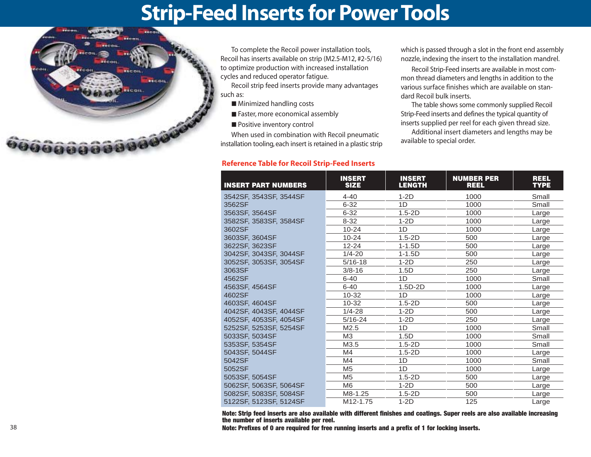### **Strip-Feed Inserts for Power Tools**



To complete the Recoil power installation tools, Recoil has inserts available on strip (M2.5-M12, #2-5/16) to optimize production with increased installation cycles and reduced operator fatigue.

Recoil strip feed inserts provide many advantages such as:

- Minimized handling costs
- Faster, more economical assembly
- Positive inventory control

When used in combination with Recoil pneumatic installation tooling, each insert is retained in a plastic strip

#### **Reference Table for Recoil Strip-Feed Inserts**

which is passed through a slot in the front end assembly nozzle, indexing the insert to the installation mandrel.

Recoil Strip-Feed inserts are available in most common thread diameters and lengths in addition to the various surface finishes which are available on standard Recoil bulk inserts.

The table shows some commonly supplied Recoil Strip-Feed inserts and defines the typical quantity of inserts supplied per reel for each given thread size.

Additional insert diameters and lengths may be available to special order.

| <b>INSERT PART NUMBERS</b> | <b>INSERT</b><br><b>SIZE</b> | <b>INSERT</b><br><b>LENGTH</b> | <b>NUMBER PER</b><br><b>REEL</b> | <b>REEL</b><br><b>TYPE</b> |
|----------------------------|------------------------------|--------------------------------|----------------------------------|----------------------------|
| 3542SF, 3543SF, 3544SF     | $4 - 40$                     | $1-2D$                         | 1000                             | Small                      |
| 3562SF                     | $6 - 32$                     | 1D                             | 1000                             | Small                      |
| 3563SF, 3564SF             | $6 - 32$                     | $1.5 - 2D$                     | 1000                             | Large                      |
| 3582SF, 3583SF, 3584SF     | $8 - 32$                     | $1-2D$                         | 1000                             | Large                      |
| 3602SF                     | $10 - 24$                    | 1D                             | 1000                             | Large                      |
| 3603SF, 3604SF             | $10 - 24$                    | $1.5 - 2D$                     | 500                              | Large                      |
| 3622SF, 3623SF             | $12 - 24$                    | $1 - 1.5D$                     | 500                              | Large                      |
| 3042SF, 3043SF, 3044SF     | $1/4 - 20$                   | $1 - 1.5D$                     | 500                              | Large                      |
| 3052SF, 3053SF, 3054SF     | $5/16 - 18$                  | $1-2D$                         | 250                              | Large                      |
| 3063SF                     | $3/8 - 16$                   | 1.5D                           | 250                              | Large                      |
| 4562SF                     | $6 - 40$                     | 1D                             | 1000                             | Small                      |
| 4563SF, 4564SF             | $6 - 40$                     | $1.5D-2D$                      | 1000                             | Large                      |
| 4602SF                     | $10 - 32$                    | 1D                             | 1000                             | Large                      |
| 4603SF, 4604SF             | $10 - 32$                    | $1.5 - 2D$                     | 500                              | Large                      |
| 4042SF, 4043SF, 4044SF     | $1/4 - 28$                   | $1-2D$                         | 500                              | Large                      |
| 4052SF, 4053SF, 4054SF     | $5/16 - 24$                  | $1-2D$                         | 250                              | Large                      |
| 5252SF, 5253SF, 5254SF     | M2.5                         | 1D                             | 1000                             | Small                      |
| 5033SF, 5034SF             | MЗ                           | 1.5D                           | 1000                             | Small                      |
| 5353SF, 5354SF             | M3.5                         | $1.5 - 2D$                     | 1000                             | Small                      |
| 5043SF, 5044SF             | M4                           | $1.5 - 2D$                     | 1000                             | Large                      |
| 5042SF                     | M4                           | 1D                             | 1000                             | Small                      |
| 5052SF                     | M <sub>5</sub>               | 1D                             | 1000                             | Large                      |
| 5053SF, 5054SF             | M <sub>5</sub>               | $1.5 - 2D$                     | 500                              | Large                      |
| 5062SF, 5063SF, 5064SF     | M <sub>6</sub>               | $1-2D$                         | 500                              | Large                      |
| 5082SF, 5083SF, 5084SF     | M8-1.25                      | $1.5 - 2D$                     | 500                              | Large                      |
| 5122SF, 5123SF, 5124SF     | M <sub>12</sub> -1.75        | $1-2D$                         | 125                              | Large                      |

**Note: Strip feed inserts are also available with different finishes and coatings. Super reels are also available increasing the number of inserts available per reel.**

**Note: Prefixes of 0 are required for free running inserts and a prefix of 1 for locking inserts.**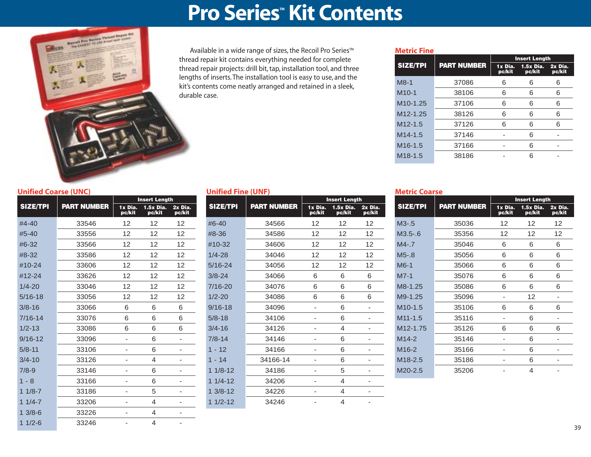### **Pro Series<sup>"</sup> Kit Contents**



Available in a wide range of sizes, the Recoil Pro Series™ thread repair kit contains everything needed for complete thread repair projects: drill bit, tap, installation tool, and three lengths of inserts. The installation tool is easy to use, and the kit's contents come neatly arranged and retained in a sleek, durable case.

#### **Metric Fine**

|                       |                    |                   | <b>Insert Length</b>  |                   |
|-----------------------|--------------------|-------------------|-----------------------|-------------------|
| <b>SIZE/TPI</b>       | <b>PART NUMBER</b> | 1x Dia.<br>pc/kit | $1.5x$ Dia.<br>pc/kit | 2x Dia.<br>pc/kit |
| $M8-1$                | 37086              | 6                 | 6                     | 6                 |
| $M10-1$               | 38106              | 6                 | 6                     | 6                 |
| M <sub>10</sub> -1.25 | 37106              | 6                 | 6                     | 6                 |
| M <sub>12</sub> -1.25 | 38126              | 6                 | 6                     | 6                 |
| $M12 - 1.5$           | 37126              | 6                 | 6                     | 6                 |
| $M14-1.5$             | 37146              |                   | 6                     |                   |
| M <sub>16</sub> -1.5  | 37166              |                   | 6                     |                   |
| M <sub>18</sub> -1.5  | 38186              |                   | հ                     |                   |

#### **Unified Coarse (UNC)**

|                 |                    |                   | <b>Insert Length</b>  |                   |  |
|-----------------|--------------------|-------------------|-----------------------|-------------------|--|
| <b>SIZE/TPI</b> | <b>PART NUMBER</b> | 1x Dia.<br>pc/kit | $1.5x$ Dia.<br>pc/kit | 2x Dia.<br>pc/kit |  |
| $#4 - 40$       | 33546              | 12                | 12                    | 12                |  |
| $#5 - 40$       | 33556              | 12                | 12                    | 12                |  |
| #6-32           | 33566              | 12                | 12                    | 12                |  |
| #8-32           | 33586              | 12                | 12                    | 12                |  |
| $#10-24$        | 33606              | 12                | 12                    | 12                |  |
| #12-24          | 33626              | 12                | 12                    | 12                |  |
| $1/4 - 20$      | 33046              | 12                | 12                    | 12                |  |
| $5/16 - 18$     | 33056              | 12                | 12                    | 12                |  |
| $3/8 - 16$      | 33066              | 6                 | 6                     | 6                 |  |
| $7/16 - 14$     | 33076              | 6                 | 6                     | 6                 |  |
| $1/2 - 13$      | 33086              | 6                 | 6                     | 6                 |  |
| $9/16 - 12$     | 33096              | ٠                 | 6                     |                   |  |
| $5/8 - 11$      | 33106              |                   | 6                     |                   |  |
| $3/4 - 10$      | 33126              |                   | 4                     |                   |  |
| $7/8 - 9$       | 33146              | ۰                 | 6                     |                   |  |
| $1 - 8$         | 33166              |                   | 6                     |                   |  |
| $11/8 - 7$      | 33186              |                   | 5                     |                   |  |
| $1/4 - 7$<br>1. | 33206              |                   | 4                     |                   |  |
| $3/8 - 6$<br>1. | 33226              |                   | 4                     |                   |  |
| $11/2-6$        | 33246              | ٠                 | 4                     |                   |  |

#### **Unified Fine (UNF)**

|                 |                    | <b>Insert Length</b> |                     |                   |  |  |
|-----------------|--------------------|----------------------|---------------------|-------------------|--|--|
| <b>SIZE/TPI</b> | <b>PART NUMBER</b> | 1x Dia.<br>pc/kit    | 1.5x Dia.<br>pc/kit | 2x Dia.<br>pc/kit |  |  |
| #6-40           | 34566              | 12                   | 12                  | 12                |  |  |
| #8-36           | 34586              | 12                   | 12                  | 12                |  |  |
| #10-32          | 34606              | 12                   | 12                  | 12                |  |  |
| $1/4 - 28$      | 34046              | 12                   | 12                  | 12                |  |  |
| 5/16-24         | 34056              | 12                   | 12                  | 12                |  |  |
| $3/8 - 24$      | 34066              | 6                    | 6                   | 6                 |  |  |
| 7/16-20         | 34076              | 6                    | 6                   | 6                 |  |  |
| $1/2 - 20$      | 34086              | 6                    | 6                   | 6                 |  |  |
| 9/16-18         | 34096              |                      | 6                   |                   |  |  |
| $5/8 - 18$      | 34106              |                      | 6                   |                   |  |  |
| 3/4-16          | 34126              |                      | 4                   |                   |  |  |
| $7/8 - 14$      | 34146              |                      | 6                   |                   |  |  |
| $1 - 12$        | 34166              |                      | 6                   |                   |  |  |
| $1 - 14$        | 34166-14           |                      | 6                   |                   |  |  |
| $11/8-12$       | 34186              |                      | 5                   |                   |  |  |
| $11/4-12$       | 34206              |                      | 4                   |                   |  |  |
| $13/8-12$       | 34226              |                      | 4                   |                   |  |  |
| $11/2 - 12$     | 34246              |                      | 4                   |                   |  |  |
|                 |                    |                      |                     |                   |  |  |

#### **Metric Coarse**

|                       |                    |                   | <b>Insert Length</b>  |                   |
|-----------------------|--------------------|-------------------|-----------------------|-------------------|
| <b>SIZE/TPI</b>       | <b>PART NUMBER</b> | 1x Dia.<br>pc/kit | $1.5x$ Dia.<br>pc/kit | 2x Dia.<br>pc/kit |
| $M3 - .5$             | 35036              | 12                | 12                    | 12                |
| $M3.5 - 6$            | 35356              | 12                | 12                    | 12                |
| $M4 - 7$              | 35046              | 6                 | 6                     | 6                 |
| $M5 - 8$              | 35056              | 6                 | 6                     | 6                 |
| $M6-1$                | 35066              | 6                 | 6                     | 6                 |
| $MZ-1$                | 35076              | 6                 | 6                     | 6                 |
| M8-1.25               | 35086              | 6                 | 6                     | 6                 |
| M9-1.25               | 35096              |                   | 12                    |                   |
| $M10-1.5$             | 35106              | 6                 | 6                     | 6                 |
| $M11 - 1.5$           | 35116              |                   | 6                     |                   |
| M <sub>12</sub> -1.75 | 35126              | 6                 | 6                     | 6                 |
| $M14-2$               | 35146              |                   | 6                     |                   |
| M <sub>16</sub> -2    | 35166              |                   | 6                     |                   |
| M <sub>18</sub> -2.5  | 35186              |                   | 6                     |                   |
| $M20-2.5$             | 35206              |                   | 4                     |                   |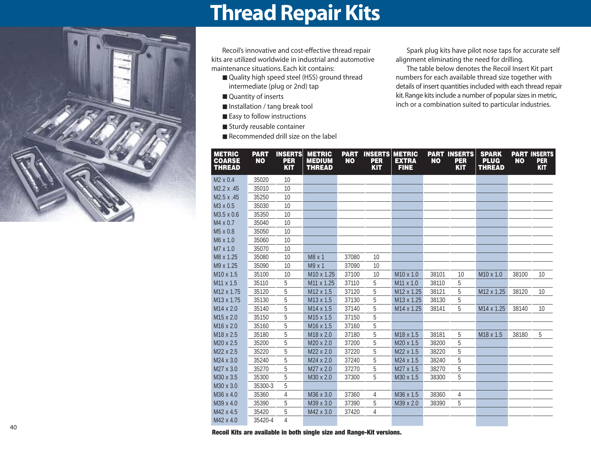

### **Thread Repair Kits**

Recoil's innovative and cost-effective thread repair kits are utilized worldwide in industrial and automotive maintenance situations. Each kit contains:

- Quality high speed steel (HSS) ground thread intermediate (plug or 2nd) tap
- Quantity of inserts
- Installation / tang break tool
- Easy to follow instructions
- Sturdy reusable container
- Recommended drill size on the label

Spark plug kits have pilot nose taps for accurate self alignment eliminating the need for drilling.

The table below denotes the Recoil Insert Kit part numbers for each available thread size together with details of insert quantities included with each thread repair kit. Range kits include a number of popular sizes in metric, inch or a combination suited to particular industries.

| <b>METRIC</b><br><b>COARSE</b><br><b>THREAD</b> | <b>PART</b><br><b>NO</b> | <b>INSERTS</b><br><b>PER</b><br><b>KIT</b> | <b>METRIC</b><br><b>MEDIUM</b><br><b>THREAD</b> | <b>PART</b><br><b>NO</b> | <b>INSERTS</b><br><b>PER</b><br><b>KIT</b> | <b>METRIC</b><br><b>EXTRA</b><br><b>FINE</b> | <b>NO</b> | <b>PART INSERTS</b><br><b>PER</b><br><b>KIT</b> | <b>SPARK</b><br><b>PLUG</b><br><b>THREAD</b> | <b>NO</b> | <b>PART INSERTS</b><br><b>PER</b><br><b>KIT</b> |
|-------------------------------------------------|--------------------------|--------------------------------------------|-------------------------------------------------|--------------------------|--------------------------------------------|----------------------------------------------|-----------|-------------------------------------------------|----------------------------------------------|-----------|-------------------------------------------------|
| $M2 \times 0.4$                                 | 35020                    | 10                                         |                                                 |                          |                                            |                                              |           |                                                 |                                              |           |                                                 |
| M2.2 x .45                                      | 35010                    | 10                                         |                                                 |                          |                                            |                                              |           |                                                 |                                              |           |                                                 |
| M2.5 x .45                                      | 35250                    | 10                                         |                                                 |                          |                                            |                                              |           |                                                 |                                              |           |                                                 |
| M <sub>3</sub> x 0.5                            | 35030                    | 10                                         |                                                 |                          |                                            |                                              |           |                                                 |                                              |           |                                                 |
| M3.5 x 0.6                                      | 35350                    | 10                                         |                                                 |                          |                                            |                                              |           |                                                 |                                              |           |                                                 |
| M4 x 0.7                                        | 35040                    | 10                                         |                                                 |                          |                                            |                                              |           |                                                 |                                              |           |                                                 |
| M <sub>5</sub> x 0.8                            | 35050                    | 10                                         |                                                 |                          |                                            |                                              |           |                                                 |                                              |           |                                                 |
| M6 x 1.0                                        | 35060                    | 10                                         |                                                 |                          |                                            |                                              |           |                                                 |                                              |           |                                                 |
| M7 x 1.0                                        | 35070                    | 10                                         |                                                 |                          |                                            |                                              |           |                                                 |                                              |           |                                                 |
| M8 x 1.25                                       | 35080                    | 10                                         | $M8 \times 1$                                   | 37080                    | 10                                         |                                              |           |                                                 |                                              |           |                                                 |
| M9 x 1.25                                       | 35090                    | 10                                         | M9 x 1                                          | 37090                    | 10                                         |                                              |           |                                                 |                                              |           |                                                 |
| M <sub>10</sub> x 1.5                           | 35100                    | 10                                         | M <sub>10</sub> x 1.25                          | 37100                    | 10                                         | M <sub>10</sub> x 1.0                        | 38101     | 10                                              | M <sub>10</sub> x 1.0                        | 38100     | 10                                              |
| M <sub>11</sub> x 1.5                           | 35110                    | 5                                          | M11 x 1.25                                      | 37110                    | 5                                          | M11 x 1.0                                    | 38110     | 5                                               |                                              |           |                                                 |
| M <sub>12</sub> x 1.75                          | 35120                    | 5                                          | M12 x 1.5                                       | 37120                    | 5                                          | M <sub>12</sub> x 1.25                       | 38121     | 5                                               | M <sub>12</sub> x 1.25                       | 38120     | 10                                              |
| M13 x 1.75                                      | 35130                    | 5                                          | M13 x 1.5                                       | 37130                    | 5                                          | M13 x 1.25                                   | 38130     | 5                                               |                                              |           |                                                 |
| $M14 \times 2.0$                                | 35140                    | 5                                          | M14 x 1.5                                       | 37140                    | 5                                          | M14 x 1.25                                   | 38141     | 5                                               | M <sub>14</sub> x 1.25                       | 38140     | 10                                              |
| M <sub>15</sub> x 2.0                           | 35150                    | 5                                          | M <sub>15</sub> x 1.5                           | 37150                    | 5                                          |                                              |           |                                                 |                                              |           |                                                 |
| M <sub>16</sub> x 2.0                           | 35160                    | 5                                          | M16 x 1.5                                       | 37160                    | 5                                          |                                              |           |                                                 |                                              |           |                                                 |
| M <sub>18</sub> x 2.5                           | 35180                    | 5                                          | M18 x 2.0                                       | 37180                    | 5                                          | M <sub>18</sub> x 1.5                        | 38181     | 5                                               | M <sub>18</sub> x 1.5                        | 38180     | 5                                               |
| M20 x 2.5                                       | 35200                    | 5                                          | M20 x 2.0                                       | 37200                    | 5                                          | M <sub>20</sub> x 1.5                        | 38200     | 5                                               |                                              |           |                                                 |
| M22 x 2.5                                       | 35220                    | 5                                          | M22 x 2.0                                       | 37220                    | 5                                          | M22 x 1.5                                    | 38220     | 5                                               |                                              |           |                                                 |
| M24 x 3.0                                       | 35240                    | 5                                          | M24 x 2.0                                       | 37240                    | 5                                          | M24 x 1.5                                    | 38240     | 5                                               |                                              |           |                                                 |
| M27 x 3.0                                       | 35270                    | 5                                          | M27 x 2.0                                       | 37270                    | 5                                          | M27 x 1.5                                    | 38270     | 5                                               |                                              |           |                                                 |
| M30 x 3.5                                       | 35300                    | 5                                          | M30 x 2.0                                       | 37300                    | 5                                          | M30 x 1.5                                    | 38300     | 5                                               |                                              |           |                                                 |
| M30 x 3.0                                       | 35300-3                  | 5                                          |                                                 |                          |                                            |                                              |           |                                                 |                                              |           |                                                 |
| M36 x 4.0                                       | 35360                    | 4                                          | M36 x 3.0                                       | 37360                    | 4                                          | M36 x 1.5                                    | 38360     | 4                                               |                                              |           |                                                 |
| M39 x 4.0                                       | 35390                    | 5                                          | M39 x 3.0                                       | 37390                    | 5                                          | M39 x 2.0                                    | 38390     | 5                                               |                                              |           |                                                 |
| M42 x 4.5                                       | 35420                    | 5                                          | M42 x 3.0                                       | 37420                    | 4                                          |                                              |           |                                                 |                                              |           |                                                 |
| M42 x 4.0                                       | 35420-4                  | 4                                          |                                                 |                          |                                            |                                              |           |                                                 |                                              |           |                                                 |

**Recoil Kits are available in both single size and Range-Kit versions.**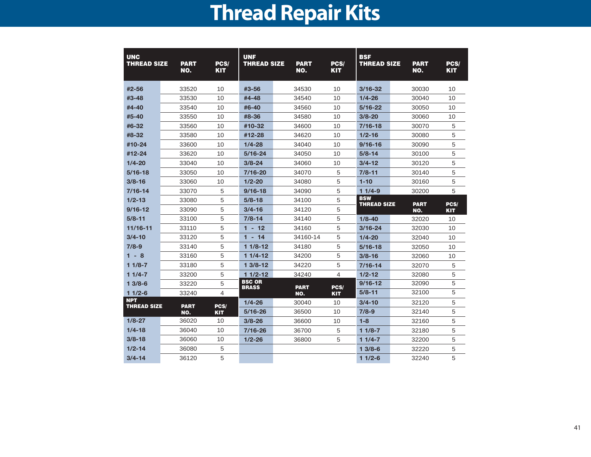# **Thread Repair Kits**

| <b>UNC</b><br><b>THREAD SIZE</b> | <b>PART</b><br><b>NO.</b> | PCS/<br><b>KIT</b> | <b>UNF</b><br><b>THREAD SIZE</b> | <b>PART</b><br>NO. | PCS/<br><b>KIT</b> | <b>BSF</b><br><b>THREAD SIZE</b> | <b>PART</b><br>NO. | PCS/<br><b>KIT</b> |
|----------------------------------|---------------------------|--------------------|----------------------------------|--------------------|--------------------|----------------------------------|--------------------|--------------------|
| #2-56                            | 33520                     | 10                 | #3-56                            | 34530              | 10                 | $3/16 - 32$                      | 30030              | 10                 |
| #3-48                            | 33530                     | 10                 | #4-48                            | 34540              | 10                 | $1/4 - 26$                       | 30040              | 10                 |
| #4-40                            | 33540                     | 10                 | $#6 - 40$                        | 34560              | 10                 | $5/16 - 22$                      | 30050              | 10                 |
| #5-40                            | 33550                     | 10                 | #8-36                            | 34580              | 10                 | $3/8 - 20$                       | 30060              | 10                 |
| #6-32                            | 33560                     | 10                 | #10-32                           | 34600              | 10                 | 7/16-18                          | 30070              | 5                  |
| #8-32                            | 33580                     | 10                 | #12-28                           | 34620              | 10                 | $1/2 - 16$                       | 30080              | 5                  |
| #10-24                           | 33600                     | 10                 | $1/4 - 28$                       | 34040              | 10                 | $9/16 - 16$                      | 30090              | 5                  |
| #12-24                           | 33620                     | 10                 | $5/16 - 24$                      | 34050              | 10                 | $5/8 - 14$                       | 30100              | 5                  |
| $1/4 - 20$                       | 33040                     | 10                 | $3/8 - 24$                       | 34060              | 10                 | $3/4 - 12$                       | 30120              | 5                  |
| $5/16 - 18$                      | 33050                     | 10                 | $7/16 - 20$                      | 34070              | 5                  | $7/8 - 11$                       | 30140              | 5                  |
| $3/8 - 16$                       | 33060                     | 10                 | $1/2 - 20$                       | 34080              | 5                  | $1 - 10$                         | 30160              | 5                  |
| $7/16 - 14$                      | 33070                     | 5                  | $9/16 - 18$                      | 34090              | 5                  | $11/4-9$                         | 30200              | 5                  |
| $1/2 - 13$                       | 33080                     | 5                  | $5/8 - 18$                       | 34100              | 5                  | <b>BSW</b><br><b>THREAD SIZE</b> | <b>PART</b>        | PCS/               |
| $9/16 - 12$                      | 33090                     | 5                  | $3/4 - 16$                       | 34120              | 5                  |                                  | NO.                | <b>KIT</b>         |
| $5/8 - 11$                       | 33100                     | 5                  | $7/8 - 14$                       | 34140              | 5                  | $1/8 - 40$                       | 32020              | 10                 |
| $11/16 - 11$                     | 33110                     | 5                  | $1 - 12$                         | 34160              | 5                  | 3/16-24                          | 32030              | 10                 |
| $3/4 - 10$                       | 33120                     | 5                  | $1 - 14$                         | 34160-14           | 5                  | $1/4 - 20$                       | 32040              | 10                 |
| $7/8-9$                          | 33140                     | 5                  | $11/8-12$                        | 34180              | 5                  | $5/16 - 18$                      | 32050              | 10                 |
| $1 - 8$                          | 33160                     | 5                  | $11/4-12$                        | 34200              | 5                  | $3/8 - 16$                       | 32060              | 10                 |
| $11/8-7$                         | 33180                     | 5                  | $13/8-12$                        | 34220              | 5                  | $7/16 - 14$                      | 32070              | 5                  |
| $11/4-7$                         | 33200                     | 5                  | $11/2 - 12$                      | 34240              | 4                  | $1/2 - 12$                       | 32080              | 5                  |
| $13/8-6$                         | 33220                     | 5                  | <b>BSC OR</b><br><b>BRASS</b>    | <b>PART</b>        | PCS/               | $9/16 - 12$                      | 32090              | 5                  |
| $11/2-6$                         | 33240                     | $\overline{4}$     |                                  | NO.                | <b>KIT</b>         | $5/8 - 11$                       | 32100              | 5                  |
| <b>NPT</b><br><b>THREAD SIZE</b> | <b>PART</b>               | PCS/               | $1/4 - 26$                       | 30040              | 10                 | $3/4 - 10$                       | 32120              | 5                  |
|                                  | NO.                       | <b>KIT</b>         | $5/16 - 26$                      | 36500              | 10                 | $7/8-9$                          | 32140              | 5                  |
| $1/8 - 27$                       | 36020                     | 10                 | $3/8 - 26$                       | 36600              | 10                 | $1 - 8$                          | 32160              | 5                  |
| $1/4 - 18$                       | 36040                     | 10                 | $7/16 - 26$                      | 36700              | 5                  | $11/8-7$                         | 32180              | 5                  |
| $3/8 - 18$                       | 36060                     | 10                 | $1/2 - 26$                       | 36800              | 5                  | $11/4 - 7$                       | 32200              | 5                  |
| $1/2 - 14$                       | 36080                     | 5                  |                                  |                    |                    | $13/8-6$                         | 32220              | 5                  |
| $3/4 - 14$                       | 36120                     | 5                  |                                  |                    |                    | $11/2-6$                         | 32240              | 5                  |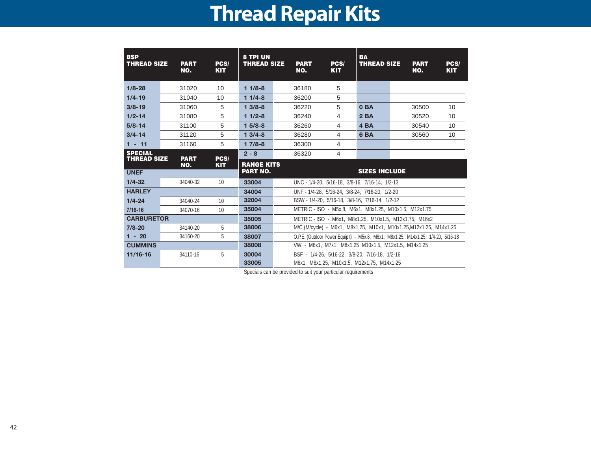# **Thread Repair Kits**

| <b>BSP</b><br><b>THREAD SIZE</b>     | <b>PART</b><br>NO. | PCS/<br><b>KIT</b> | <b>8 TPI UN</b><br><b>THREAD SIZE</b> | <b>PART</b><br>NO. | PCS/<br><b>KIT</b>                                                               | <b>BA</b><br><b>THREAD SIZE</b> | <b>PART</b><br>NO. | PCS/<br><b>KIT</b> |
|--------------------------------------|--------------------|--------------------|---------------------------------------|--------------------|----------------------------------------------------------------------------------|---------------------------------|--------------------|--------------------|
| $1/8 - 28$                           | 31020              | 10                 | $11/8-8$                              | 36180              | 5                                                                                |                                 |                    |                    |
| $1/4 - 19$                           | 31040              | 10                 | $11/4-8$                              | 36200              | 5                                                                                |                                 |                    |                    |
| $3/8 - 19$                           | 31060              | 5                  | $13/8-8$                              | 36220              | 5                                                                                | 0 <sub>BA</sub>                 | 30500              | 10                 |
| $1/2 - 14$                           | 31080              | 5                  | $11/2-8$                              | 36240              | 4                                                                                | 2BA                             | 30520              | 10                 |
| $5/8 - 14$                           | 31100              | 5                  | $15/8-8$                              | 36260              | 4                                                                                | 4 <sub>BA</sub>                 | 30540              | 10                 |
| $3/4 - 14$                           | 31120              | 5                  | $13/4-8$                              | 36280              | 4                                                                                | 6 <sub>BA</sub>                 | 30560              | 10                 |
| $1 - 11$                             | 31160              | 5                  | $17/8-8$                              | 36300              | 4                                                                                |                                 |                    |                    |
| <b>SPECIAL</b><br><b>THREAD SIZE</b> | <b>PART</b>        | PCS/               | $2 - 8$                               | 36320              | 4                                                                                |                                 |                    |                    |
| <b>UNEF</b>                          | NO.                | <b>KIT</b>         | <b>RANGE KITS</b><br><b>PART NO.</b>  |                    |                                                                                  | <b>SIZES INCLUDE</b>            |                    |                    |
| $1/4 - 32$                           | 34040-32           | 10                 | 33004                                 |                    | UNC - 1/4-20, 5/16-18, 3/8-16, 7/16-14, 1/2-13                                   |                                 |                    |                    |
| <b>HARLEY</b>                        |                    |                    | 34004                                 |                    | UNF - 1/4-28, 5/16-24, 3/8-24, 7/16-20, 1/2-20                                   |                                 |                    |                    |
| $1/4 - 24$                           | 34040-24           | 10                 | 32004                                 |                    | BSW - 1/4-20, 5/16-18, 3/8-16, 7/16-14, 1/2-12                                   |                                 |                    |                    |
| $7/16 - 16$                          | 34070-16           | 10                 | 35004                                 |                    | METRIC - ISO - M5x.8, M6x1, M8x1.25, M10x1.5, M12x1.75                           |                                 |                    |                    |
| <b>CARBURETOR</b>                    |                    |                    | 35005                                 |                    | METRIC - ISO - M6x1, M8x1.25, M10x1.5, M12x1.75, M16x2                           |                                 |                    |                    |
| $7/8 - 20$                           | 34140-20           | 5                  | 38006                                 |                    | M/C (M/cycle) - M6x1, M8x1.25, M10x1, M10x1.25, M12x1.25, M14x1.25               |                                 |                    |                    |
| $1 - 20$                             | 34160-20           | 5                  | 38007                                 |                    | O.P.E. (Outdoor Power Equip't) - M5x.8, M6x1, M8x1.25, M14x1.25, 1/4-20, 5/16-18 |                                 |                    |                    |
| <b>CUMMINS</b>                       |                    |                    | 38008                                 |                    | VW - M6x1, M7x1, M8x1.25 M10x1.5, M12x1.5, M14x1.25                              |                                 |                    |                    |
| $11/16 - 16$                         | 34110-16           | 5                  | 30004                                 |                    | BSF - 1/4-26, 5/16-22, 3/8-20, 7/16-18, 1/2-16                                   |                                 |                    |                    |
|                                      |                    |                    | 33005                                 |                    | M6x1, M8x1.25, M10x1.5, M12x1.75, M14x1.25                                       |                                 |                    |                    |

Specials can be provided to suit your particular requirements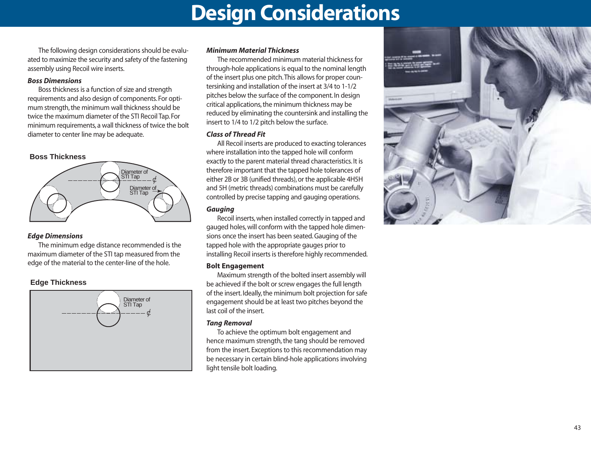### **Design Considerations**

The following design considerations should be evaluated to maximize the security and safety of the fastening assembly using Recoil wire inserts.

#### *Boss Dimensions*

Boss thickness is a function of size and strength requirements and also design of components. For optimum strength, the minimum wall thickness should be twice the maximum diameter of the STI Recoil Tap. For minimum requirements, a wall thickness of twice the bolt diameter to center line may be adequate.

#### **Boss Thickness**



#### *Edge Dimensions*

The minimum edge distance recommended is the maximum diameter of the STI tap measured from the edge of the material to the center-line of the hole.

#### **Edge Thickness**



#### *Minimum Material Thickness*

The recommended minimum material thickness for through-hole applications is equal to the nominal length of the insert plus one pitch.This allows for proper countersinking and installation of the insert at 3/4 to 1-1/2 pitches below the surface of the component. In design critical applications, the minimum thickness may be reduced by eliminating the countersink and installing the insert to 1/4 to 1/2 pitch below the surface.

#### *Class of Thread Fit*

All Recoil inserts are produced to exacting tolerances where installation into the tapped hole will conform exactly to the parent material thread characteristics. It is therefore important that the tapped hole tolerances of either 2B or 3B (unified threads), or the applicable 4H5H and 5H (metric threads) combinations must be carefully controlled by precise tapping and gauging operations.

#### *Gauging*

Recoil inserts, when installed correctly in tapped and gauged holes, will conform with the tapped hole dimensions once the insert has been seated. Gauging of the tapped hole with the appropriate gauges prior to installing Recoil inserts is therefore highly recommended.

#### **Bolt Engagement**

Maximum strength of the bolted insert assembly will be achieved if the bolt or screw engages the full length of the insert. Ideally, the minimum bolt projection for safe engagement should be at least two pitches beyond the last coil of the insert.

#### *Tang Removal*

To achieve the optimum bolt engagement and hence maximum strength, the tang should be removed from the insert. Exceptions to this recommendation may be necessary in certain blind-hole applications involving light tensile bolt loading.

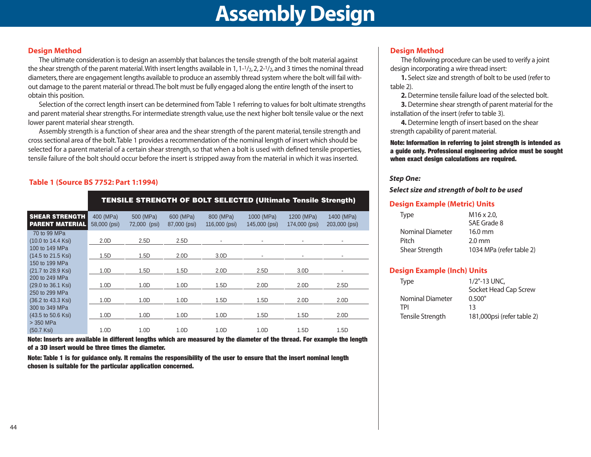#### **Design Method**

The ultimate consideration is to design an assembly that balances the tensile strength of the bolt material against the shear strength of the parent material. With insert lengths available in 1, 1-1/2, 2, 2-1/2, and 3 times the nominal thread diameters, there are engagement lengths available to produce an assembly thread system where the bolt will fail without damage to the parent material or thread.The bolt must be fully engaged along the entire length of the insert to obtain this position.

Selection of the correct length insert can be determined from Table 1 referring to values for bolt ultimate strengths and parent material shear strengths. For intermediate strength value, use the next higher bolt tensile value or the next lower parent material shear strength.

Assembly strength is a function of shear area and the shear strength of the parent material, tensile strength and cross sectional area of the bolt.Table 1 provides a recommendation of the nominal length of insert which should be selected for a parent material of a certain shear strength, so that when a bolt is used with defined tensile properties, tensile failure of the bolt should occur before the insert is stripped away from the material in which it was inserted.

#### **Table 1 (Source BS 7752: Part 1:1994)**

|                                                         | <b>TENSILE STRENGTH OF BOLT SELECTED (Ultimate Tensile Strength)</b> |                           |                           |                            |                             |                             |                             |  |  |  |  |  |
|---------------------------------------------------------|----------------------------------------------------------------------|---------------------------|---------------------------|----------------------------|-----------------------------|-----------------------------|-----------------------------|--|--|--|--|--|
| <b>SHEAR STRENGTH</b><br><b>PARENT MATERIAL</b>         | 400 (MPa)<br>58,000 (psi)                                            | 500 (MPa)<br>72,000 (psi) | 600 (MPa)<br>87,000 (psi) | 800 (MPa)<br>116,000 (psi) | 1000 (MPa)<br>145,000 (psi) | 1200 (MPa)<br>174,000 (psi) | 1400 (MPa)<br>203,000 (psi) |  |  |  |  |  |
| 70 to 99 MPa<br>(10.0 to 14.4 Ksi)                      | 2.0 <sub>D</sub>                                                     | 2.5D                      | 2.5D                      |                            |                             |                             |                             |  |  |  |  |  |
| 100 to 149 MPa<br>(14.5 to 21.5 Ksi)                    | 1.5D                                                                 | 1.5D                      | 2.0 <sub>D</sub>          | 3.0 <sub>D</sub>           |                             |                             |                             |  |  |  |  |  |
| 150 to 199 MPa<br>(21.7 to 28.9 Ksi)                    | 1.0 <sub>D</sub>                                                     | 1.5D                      | 1.5D                      | 2.0 <sub>D</sub>           | 2.5D                        | 3.0 <sub>D</sub>            |                             |  |  |  |  |  |
| 200 to 249 MPa<br>(29.0 to 36.1 Ksi)                    | 1.0 <sub>D</sub>                                                     | 1.0 <sub>D</sub>          | 1.0 <sub>D</sub>          | 1.5D                       | 2.0 <sub>D</sub>            | 2.0D                        | 2.5D                        |  |  |  |  |  |
| 250 to 299 MPa<br>$(36.2 \text{ to } 43.3 \text{ Ksi})$ | 1.0 <sub>D</sub>                                                     | 1.0 <sub>D</sub>          | 1.0 <sub>D</sub>          | 1.5D                       | 1.5D                        | 2.0D                        | 2.0D                        |  |  |  |  |  |
| 300 to 349 MPa<br>(43.5 to 50.6 Ksi)                    | 1.0 <sub>D</sub>                                                     | 1.0 <sub>D</sub>          | 1.0 <sub>D</sub>          | 1.0 <sub>D</sub>           | 1.5D                        | 1.5D                        | 2.0 <sub>D</sub>            |  |  |  |  |  |
| > 350 MPa<br>$(50.7$ Ksi $)$                            | 1.0 <sub>D</sub>                                                     | 1.0 <sub>D</sub>          | 1.0 <sub>D</sub>          | 1.0 <sub>D</sub>           | 1.0 <sub>D</sub>            | 1.5D                        | 1.5D                        |  |  |  |  |  |

**Note: Inserts are available in different lengths which are measured by the diameter of the thread. For example the length of a 3D insert would be three times the diameter.**

**Note: Table 1 is for guidance only. It remains the responsibility of the user to ensure that the insert nominal length chosen is suitable for the particular application concerned.**

#### **Design Method**

The following procedure can be used to verify a joint design incorporating a wire thread insert:

**1.** Select size and strength of bolt to be used (refer to table 2).

**2.** Determine tensile failure load of the selected bolt.

**3.** Determine shear strength of parent material for the installation of the insert (refer to table 3).

**4.** Determine length of insert based on the shear strength capability of parent material.

**Note: Information in referring to joint strength is intended as a guide only. Professional engineering advice must be sought when exact design calculations are required.**

#### *Step One:*

*Select size and strength of bolt to be used* 

#### **Design Example (Metric) Units**

| <b>Type</b> |                  | $M16 \times 2.0$         |
|-------------|------------------|--------------------------|
|             |                  | SAE Grade 8              |
|             | Nominal Diameter | 16.0 mm                  |
| Pitch       |                  | $2.0 \text{ mm}$         |
|             | Shear Strength   | 1034 MPa (refer table 2) |

#### **Design Example (Inch) Units**

| <b>Type</b>      | 1/2"-13 UNC,               |
|------------------|----------------------------|
|                  | Socket Head Cap Screw      |
| Nominal Diameter | 0.500"                     |
| TPI              | 13                         |
| Tensile Strength | 181,000psi (refer table 2) |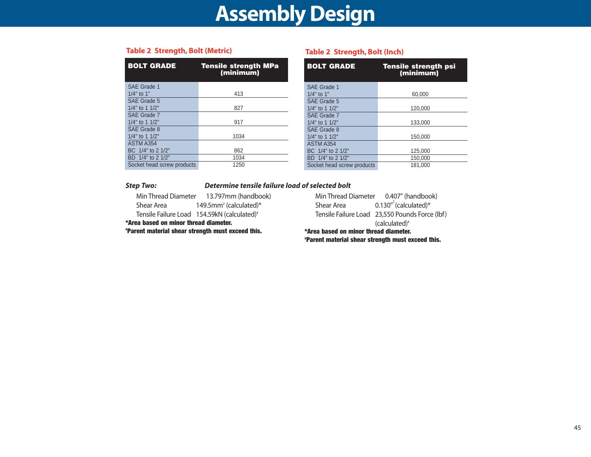| <b>BOLT GRADE</b>          | <b>Tensile strength MPa</b><br>(minimum) |
|----------------------------|------------------------------------------|
| SAE Grade 1                |                                          |
| $1/4"$ to 1"               | 413                                      |
| SAE Grade 5                |                                          |
| $1/4$ " to 1 $1/2$ "       | 827                                      |
| SAE Grade 7                |                                          |
| $1/4$ " to 1 $1/2$ "       | 917                                      |
| SAE Grade 8                |                                          |
| $1/4$ " to 1 $1/2$ "       | 1034                                     |
| ASTM A354                  |                                          |
| BC 1/4" to 2 1/2"          | 862                                      |
| BD 1/4" to 2 1/2"          | 1034                                     |
| Socket head screw products | 1250                                     |

#### **Table 2 Strength, Bolt (Metric)**

#### **Table 2 Strength, Bolt (Inch)**

| <b>BOLT GRADE</b>          | <b>Tensile strength psi</b><br>(minimum) |
|----------------------------|------------------------------------------|
| SAE Grade 1                |                                          |
| $1/4"$ to $1"$             | 60,000                                   |
| SAE Grade 5                |                                          |
| 1/4" to 1 1/2"             | 120,000                                  |
| SAE Grade 7                |                                          |
| 1/4" to 1 1/2"             | 133,000                                  |
| SAE Grade 8                |                                          |
| 1/4" to 1 1/2"             | 150,000                                  |
| ASTM A354                  |                                          |
| BC 1/4" to 2 1/2"          | 125.000                                  |
| BD 1/4" to 2 1/2"          | 150.000                                  |
| Socket head screw products | 181.000                                  |

#### *Step Two: Determine tensile failure load of selected bolt*

Min Thread Diameter 13.797mm (handbook) Shear Area 149.5mm<sup>2</sup> (calculated)\* Tensile Failure Load 154.59kN (calculated)<sup>#</sup>

**\*Area based on minor thread diameter.** 

**#Parent material shear strength must exceed this.**

Min Thread Diameter 0.407" (handbook) Shear Area  $0.130^{n^2}$  (calculated)\* Tensile Failure Load 23,550 Pounds Force (lbf) (calculated)# **\*Area based on minor thread diameter. #Parent material shear strength must exceed this.**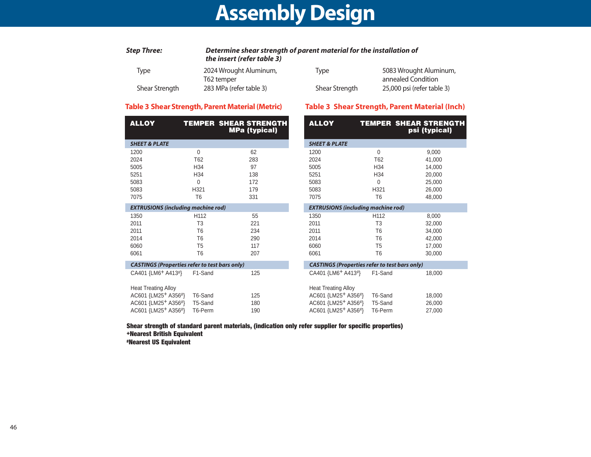| Step Three:    | Determine shear strength of parent material for the installation of<br>the insert (refer table 3) |                |                            |
|----------------|---------------------------------------------------------------------------------------------------|----------------|----------------------------|
| Tvpe           | 2024 Wrought Aluminum,                                                                            | Tvpe           | 5083 Wrought Aluminum,     |
|                | T62 temper                                                                                        |                | annealed Condition         |
| Shear Strength | 283 MPa (refer table 3)                                                                           | Shear Strength | 25,000 psi (refer table 3) |

#### **Table 3 Shear Strength, Parent Material (Metric)**

#### **Table 3 Shear Strength, Parent Material (Inch)**

| <b>ALLOY</b>                                         |                  | <b>TEMPER SHEAR STRENGTH</b><br><b>MPa (typical)</b> | <b>ALLOY</b>                                         |                  | <b>TEMPER SHEAR STRENGTH</b><br>psi (typical) |
|------------------------------------------------------|------------------|------------------------------------------------------|------------------------------------------------------|------------------|-----------------------------------------------|
| <b>SHEET &amp; PLATE</b>                             |                  |                                                      | <b>SHEET &amp; PLATE</b>                             |                  |                                               |
| 1200                                                 | $\mathbf{0}$     | 62                                                   | 1200                                                 | $\Omega$         | 9,000                                         |
| 2024                                                 | T62              | 283                                                  | 2024                                                 | T62              | 41,000                                        |
| 5005                                                 | H <sub>34</sub>  | 97                                                   | 5005                                                 | H34              | 14,000                                        |
| 5251                                                 | H34              | 138                                                  | 5251                                                 | H34              | 20,000                                        |
| 5083                                                 | 0                | 172                                                  | 5083                                                 | $\Omega$         | 25,000                                        |
| 5083                                                 | H321             | 179                                                  | 5083                                                 | H321             | 26,000                                        |
| 7075                                                 | T <sub>6</sub>   | 331                                                  | 7075                                                 | T <sub>6</sub>   | 48,000                                        |
| <b>EXTRUSIONS (including machine rod)</b>            |                  |                                                      | <b>EXTRUSIONS (including machine rod)</b>            |                  |                                               |
| 1350                                                 | H <sub>112</sub> | 55                                                   | 1350                                                 | H <sub>112</sub> | 8,000                                         |
| 2011                                                 | T <sub>3</sub>   | 221                                                  | 2011                                                 | T <sub>3</sub>   | 32,000                                        |
| 2011                                                 | T <sub>6</sub>   | 234                                                  | 2011                                                 | T <sub>6</sub>   | 34,000                                        |
| 2014                                                 | T <sub>6</sub>   | 290                                                  | 2014                                                 | T <sub>6</sub>   | 42,000                                        |
| 6060                                                 | T <sub>5</sub>   | 117                                                  | 6060                                                 | T <sub>5</sub>   | 17,000                                        |
| 6061                                                 | T <sub>6</sub>   | 207                                                  | 6061                                                 | T <sub>6</sub>   | 30,000                                        |
| <b>CASTINGS (Properties refer to test bars only)</b> |                  |                                                      | <b>CASTINGS (Properties refer to test bars only)</b> |                  |                                               |
| CA401 {LM6 <sup>+</sup> A413 <sup>#}</sup>           | F1-Sand          | 125                                                  | CA401 {LM6 <sup>+</sup> A413 <sup>#}</sup>           | F1-Sand          | 18,000                                        |
| <b>Heat Treating Alloy</b>                           |                  |                                                      | <b>Heat Treating Alloy</b>                           |                  |                                               |
| AC601 {LM25 <sup>+</sup> A356 <sup>#}</sup>          | T6-Sand          | 125                                                  | AC601 {LM25 <sup>+</sup> A356 <sup>#</sup> }         | T6-Sand          | 18,000                                        |
| AC601 {LM25 <sup>+</sup> A356 <sup>#}</sup>          | T5-Sand          | 180                                                  | AC601 {LM25+ A356#}                                  | T5-Sand          | 26,000                                        |
| AC601 {LM25+ A356#}                                  | T6-Perm          | 190                                                  | AC601 {LM25+ A356#}                                  | T6-Perm          | 27,000                                        |

**Shear strength of standard parent materials, (indication only refer supplier for specific properties) +Nearest British Equivalent #Nearest US Equivalent**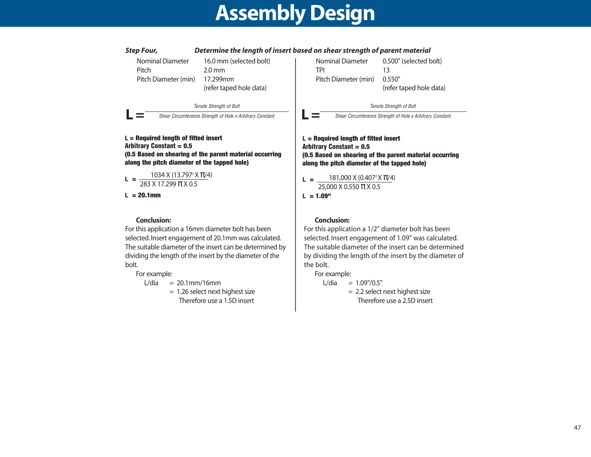

#### **Conclusion:**

For this application a 16mm diameter bolt has been selected. Insert engagement of 20.1mm was calculated. The suitable diameter of the insert can be determined by dividing the length of the insert by the diameter of the bolt.

#### For example:

 $L/dia = 20.1$ mm/16mm

= 1.26 select next highest size Therefore use a 1.5D insert

#### **Conclusion:**

For this application a 1/2" diameter bolt has been selected. Insert engagement of 1.09" was calculated. The suitable diameter of the insert can be determined by dividing the length of the insert by the diameter of the bolt.

For example:

 $L/dia = 1.09''/0.5''$ = 2.2 select next highest size Therefore use a 2.5D insert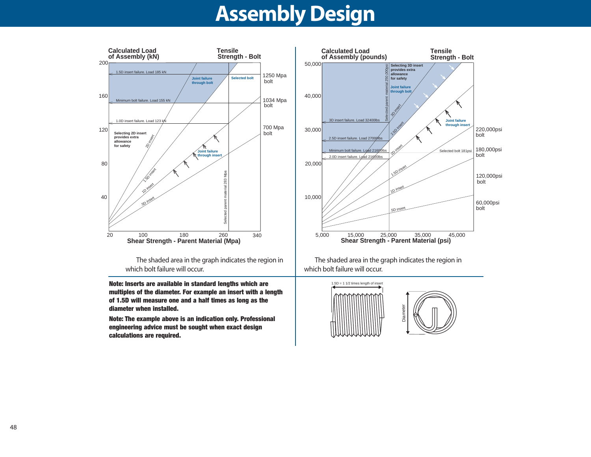

The shaded area in the graph indicates the region in which bolt failure will occur.

**Note: Inserts are available in standard lengths which are multiples of the diameter. For example an insert with a length of 1.5D will measure one and a half times as long as the diameter when installed.**

**Note: The example above is an indication only. Professional engineering advice must be sought when exact design calculations are required.**



The shaded area in the graph indicates the region in which bolt failure will occur.

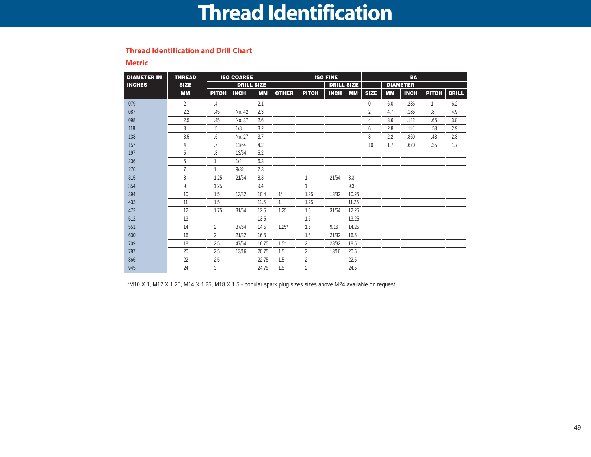### **Thread Identification**

#### **Thread Identification and Drill Chart**

**Metric**

| <b>DIAMETER IN</b> | <b>THREAD</b>  | <b>ISO COARSE</b> |                   |           |              | <b>ISO FINE</b> |                   |           |                | <b>BA</b> |                 |       |              |
|--------------------|----------------|-------------------|-------------------|-----------|--------------|-----------------|-------------------|-----------|----------------|-----------|-----------------|-------|--------------|
| <b>INCHES</b>      | <b>SIZE</b>    |                   | <b>DRILL SIZE</b> |           |              |                 | <b>DRILL SIZE</b> |           |                |           | <b>DIAMETER</b> |       |              |
|                    | <b>MM</b>      | <b>PITCH</b>      | <b>INCH</b>       | <b>MM</b> | <b>OTHER</b> | <b>PITCH</b>    | <b>INCH</b>       | <b>MM</b> | <b>SIZE</b>    | <b>MM</b> | <b>INCH</b>     | PITCH | <b>DRILL</b> |
| .079               | 2              | .4                |                   | 2.1       |              |                 |                   |           | 0              | 6.0       | .236            | 1     | 6.2          |
| .087               | 2.2            | .45               | No. 42            | 2.3       |              |                 |                   |           | $\overline{2}$ | 4.7       | .185            | .8    | 4.9          |
| .098               | 2.5            | .45               | No. 37            | 2.6       |              |                 |                   |           | 4              | 3.6       | .142            | .66   | 3.8          |
| .118               | 3              | $\overline{5}$    | 1/8               | 3.2       |              |                 |                   |           | 6              | 2.8       | .110            | .53   | 2.9          |
| .138               | 3.5            | .6                | No. 27            | 3.7       |              |                 |                   |           | 8              | 2.2       | .860            | .43   | 2.3          |
| .157               | 4              | .7                | 11/64             | 4.2       |              |                 |                   |           | 10             | 1.7       | .670            | .35   | 1.7          |
| .197               | 5              | .8                | 13/64             | 5.2       |              |                 |                   |           |                |           |                 |       |              |
| .236               | 6              |                   | 1/4               | 6.3       |              |                 |                   |           |                |           |                 |       |              |
| .276               | $\overline{7}$ |                   | 9/32              | 7.3       |              |                 |                   |           |                |           |                 |       |              |
| .315               | 8              | 1.25              | 21/64             | 8.3       |              | 1               | 21/64             | 8.3       |                |           |                 |       |              |
| .354               | 9              | 1.25              |                   | 9.4       |              | 1               |                   | 9.3       |                |           |                 |       |              |
| .394               | 10             | 1.5               | 13/32             | 10.4      | $1^*$        | 1.25            | 13/32             | 10.25     |                |           |                 |       |              |
| .433               | 11             | 1.5               |                   | 11.5      |              | 1.25            |                   | 11.25     |                |           |                 |       |              |
| .472               | 12             | 1.75              | 31/64             | 12.5      | 1.25         | 1.5             | 31/64             | 12.25     |                |           |                 |       |              |
| .512               | 13             |                   |                   | 13.5      |              | 1.5             |                   | 13.25     |                |           |                 |       |              |
| .551               | 14             | $\overline{2}$    | 37/64             | 14.5      | $1.25*$      | 1.5             | 9/16              | 14.25     |                |           |                 |       |              |
| .630               | 16             | $\overline{2}$    | 21/32             | 16.5      |              | 1.5             | 21/32             | 16.5      |                |           |                 |       |              |
| .709               | 18             | 2.5               | 47/64             | 18.75     | $1.5*$       | $\overline{2}$  | 23/32             | 18.5      |                |           |                 |       |              |
| .787               | 20             | 2.5               | 13/16             | 20.75     | 1.5          | $\overline{2}$  | 13/16             | 20.5      |                |           |                 |       |              |
| .866               | 22             | 2.5               |                   | 22.75     | 1.5          | $\overline{2}$  |                   | 22.5      |                |           |                 |       |              |
| .945               | 24             | 3                 |                   | 24.75     | 1.5          | $\overline{2}$  |                   | 24.5      |                |           |                 |       |              |

\*M10 X 1, M12 X 1.25, M14 X 1.25, M18 X 1.5 - popular spark plug sizes sizes above M24 available on request.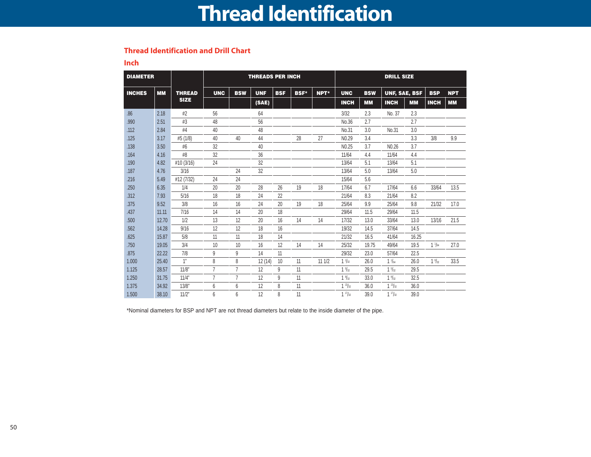### **Thread Identification**

#### **Thread Identification and Drill Chart**

**Inch**

| <b>DIAMETER</b> |           |               |                |                | <b>THREADS PER INCH</b> |            |             |       |                   |            |                      | <b>DRILL SIZE</b> |                 |            |  |
|-----------------|-----------|---------------|----------------|----------------|-------------------------|------------|-------------|-------|-------------------|------------|----------------------|-------------------|-----------------|------------|--|
| <b>INCHES</b>   | <b>MM</b> | <b>THREAD</b> | <b>UNC</b>     | <b>BSW</b>     | <b>UNF</b>              | <b>BSF</b> | <b>BSF*</b> | NPT*  | <b>UNC</b>        | <b>BSW</b> | <b>UNF, SAE, BSF</b> |                   | <b>BSP</b>      | <b>NPT</b> |  |
|                 |           | <b>SIZE</b>   |                |                | (SAE)                   |            |             |       | <b>INCH</b>       | <b>MM</b>  | <b>INCH</b>          | <b>MM</b>         | <b>INCH</b>     | <b>MM</b>  |  |
| .86             | 2.18      | #2            | 56             |                | 64                      |            |             |       | 3/32              | 2.3        | No. 37               | 2.3               |                 |            |  |
| .990            | 2.51      | #3            | 48             |                | 56                      |            |             |       | No.36             | 2.7        |                      | 2.7               |                 |            |  |
| .112            | 2.84      | #4            | 40             |                | 48                      |            |             |       | No.31             | 3.0        | No.31                | 3.0               |                 |            |  |
| .125            | 3.17      | #5 (1/8)      | 40             | 40             | 44                      |            | 28          | 27    | N <sub>0.29</sub> | 3.4        |                      | 3.3               | 3/8             | 9.9        |  |
| .138            | 3.50      | #6            | 32             |                | 40                      |            |             |       | N <sub>0.25</sub> | 3.7        | N <sub>0.26</sub>    | 3.7               |                 |            |  |
| .164            | 4.16      | #8            | 32             |                | 36                      |            |             |       | 11/64             | 4.4        | 11/64                | 4.4               |                 |            |  |
| .190            | 4.82      | #10 (3/16)    | 24             |                | 32                      |            |             |       | 13/64             | 5.1        | 13/64                | 5.1               |                 |            |  |
| .187            | 4.76      | 3/16          |                | 24             | 32                      |            |             |       | 13/64             | 5.0        | 13/64                | 5.0               |                 |            |  |
| .216            | 5.49      | #12 (7/32)    | 24             | 24             |                         |            |             |       | 15/64             | 5.6        |                      |                   |                 |            |  |
| .250            | 6.35      | 1/4           | 20             | 20             | 28                      | 26         | 19          | 18    | 17/64             | 6.7        | 17/64                | 6.6               | 33/64           | 13.5       |  |
| .312            | 7.93      | 5/16          | 18             | 18             | 24                      | 22         |             |       | 21/64             | 8.3        | 21/64                | 8.2               |                 |            |  |
| .375            | 9.52      | 3/8           | 16             | 16             | 24                      | 20         | 19          | 18    | 25/64             | 9.9        | 25/64                | 9.8               | 21/32           | 17.0       |  |
| .437            | 11.11     | 7/16          | 14             | 14             | 20                      | 18         |             |       | 29/64             | 11.5       | 29/64                | 11.5              |                 |            |  |
| .500            | 12.70     | 1/2           | 13             | 12             | 20                      | 16         | 14          | 14    | 17/32             | 13.0       | 33/64                | 13.0              | 13/16           | 21.5       |  |
| .562            | 14.28     | 9/16          | 12             | 12             | 18                      | 16         |             |       | 19/32             | 14.5       | 37/64                | 14.5              |                 |            |  |
| .625            | 15.87     | 5/8           | 11             | 11             | 18                      | 14         |             |       | 21/32             | 16.5       | 41/64                | 16.25             |                 |            |  |
| .750            | 19.05     | 3/4           | 10             | 10             | 16                      | 12         | 14          | 14    | 25/32             | 19.75      | 49/64                | 19.5              | $1\frac{1}{64}$ | 27.0       |  |
| .875            | 22.22     | 7/8           | 9              | 9              | 14                      | 11         |             |       | 29/32             | 23.0       | 57/64                | 22.5              |                 |            |  |
| 1.000           | 25.40     | 1"            | 8              | 8              | 12(14)                  | 10         | 11          | 111/2 | $1^{1/32}$        | 26.0       | $1\frac{1}{64}$      | 26.0              | $1\frac{9}{32}$ | 33.5       |  |
| 1.125           | 28.57     | 11/8"         | $\overline{7}$ | $\overline{7}$ | 12                      | 9          | 11          |       | $1\frac{5}{32}$   | 29.5       | $1\frac{5}{32}$      | 29.5              |                 |            |  |
| 1.250           | 31.75     | 11/4"         | $\overline{7}$ | $\overline{7}$ | 12                      | 9          | 11          |       | $1\frac{9}{32}$   | 33.0       | $1\frac{9}{32}$      | 32.5              |                 |            |  |
| 1.375           | 34.92     | 13/8"         | 6              | 6              | 12                      | 8          | 11          |       | $1^{13}/_{32}$    | 36.0       | $1^{13}/x$           | 36.0              |                 |            |  |
| 1.500           | 38.10     | 11/2"         | 6              | 6              | 12                      | 8          | 11          |       | $1^{17}/_{32}$    | 39.0       | $1^{17}/2$           | 39.0              |                 |            |  |

\*Nominal diameters for BSP and NPT are not thread diameters but relate to the inside diameter of the pipe.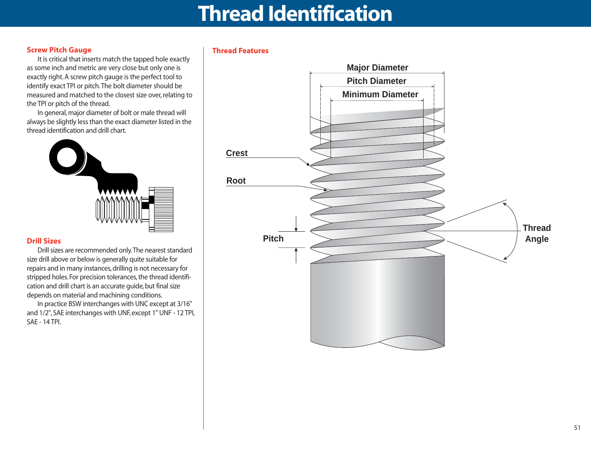### **Thread Identification**

#### **Screw Pitch Gauge**

It is critical that inserts match the tapped hole exactly as some inch and metric are very close but only one is exactly right. A screw pitch gauge is the perfect tool to identify exact TPI or pitch.The bolt diameter should be measured and matched to the closest size over, relating to the TPI or pitch of the thread.

In general, major diameter of bolt or male thread will always be slightly less than the exact diameter listed in the thread identification and drill chart.



#### **Drill Sizes**

Drill sizes are recommended only.The nearest standard size drill above or below is generally quite suitable for repairs and in many instances, drilling is not necessary for stripped holes. For precision tolerances, the thread identification and drill chart is an accurate guide, but final size depends on material and machining conditions.

In practice BSW interchanges with UNC except at 3/16" and 1/2", SAE interchanges with UNF, except 1" UNF - 12 TPI, SAE - 14 TPI.

#### **Thread Features**

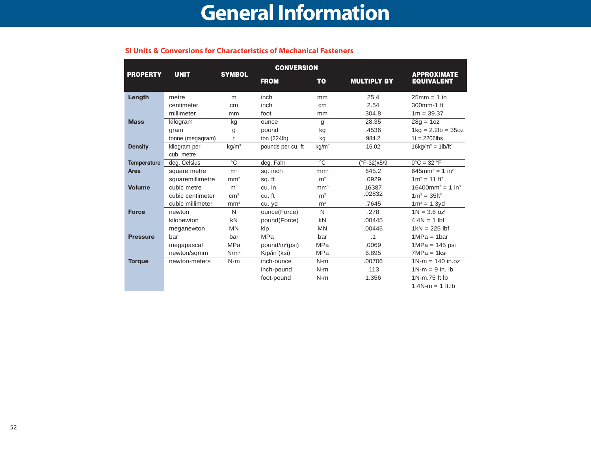#### **SI Units & Conversions for Characteristics of Mechanical Fasteners**

|                    |                  |                   | <b>CONVERSION</b>           |                 |                    |                                                 |
|--------------------|------------------|-------------------|-----------------------------|-----------------|--------------------|-------------------------------------------------|
| <b>PROPERTY</b>    | <b>UNIT</b>      | <b>SYMBOL</b>     | <b>FROM</b>                 | <b>TO</b>       | <b>MULTIPLY BY</b> | <b>APPROXIMATE</b><br><b>EQUIVALENT</b>         |
| Length             | metre            | m                 | inch                        | mm              | 25.4               | $25mm = 1$ in                                   |
|                    | centimeter       | cm                | inch                        | cm              | 2.54               | 300mm-1 ft                                      |
|                    | millimeter       | mm                | foot                        | mm              | 304.8              | $1m = 39.37$                                    |
| <b>Mass</b>        | kilogram         | kg                | ounce                       | g               | 28.35              | $28q = 10z$                                     |
|                    | gram             | g                 | pound                       | kg              | .4536              | $1 \text{kg} = 2.2 \text{lb} = 35 \text{oz}$    |
|                    | tonne (megagram) |                   | ton (224lb)                 | kg              | 984.2              | $1t = 2206$ lbs                                 |
| <b>Density</b>     | kilogram per     | kg/m <sup>3</sup> | pounds per cu. ft           | $kg/m^3$        | 16.02              | $16$ kg/m <sup>3</sup> = $1$ lb/ft <sup>3</sup> |
|                    | cub. metre       |                   |                             |                 |                    |                                                 |
| <b>Temperature</b> | deg. Celsius     | $^{\circ}$ C      | deg. Fahr                   | $\overline{C}$  | (°F-32)x5/9        | $0^{\circ}$ C = 32 $^{\circ}$ F                 |
| Area               | square metre     | m <sup>2</sup>    | sq. inch                    | mm <sup>2</sup> | 645.2              | $645$ mm <sup>2</sup> = 1 in <sup>2</sup>       |
|                    | squaremillimetre | mm <sup>2</sup>   | sq. ft                      | m <sup>2</sup>  | .0929              | $1m^2 = 11$ ft <sup>2</sup>                     |
| <b>Volume</b>      | cubic metre      | m <sup>3</sup>    | cu. in                      | mm <sup>3</sup> | 16387              | $16400$ mm <sup>3</sup> = 1 in <sup>3</sup>     |
|                    | cubic centimeter | cm <sup>3</sup>   | cu. ft                      | m <sup>3</sup>  | .02832             | $1m^3 = 35ft^3$                                 |
|                    | cubic millimeter | mm <sup>3</sup>   | cu. yd                      | m <sup>3</sup>  | .7645              | $1m^3 = 1.3yd$                                  |
| <b>Force</b>       | newton           | N                 | ounce(Force)                | N               | .278               | $1N = 3.6$ oz <sup>f</sup>                      |
|                    | kilonewton       | kN                | pound(Force)                | kN              | .00445             | $4.4N = 1$ lbf                                  |
|                    | meganewton       | <b>MN</b>         | kip                         | <b>MN</b>       | .00445             | $1kN = 225$ lbf                                 |
| <b>Pressure</b>    | bar              | bar               | <b>MPa</b>                  | bar             | $\cdot$ 1          | $1MPa = 1bar$                                   |
|                    | megapascal       | <b>MPa</b>        | pound/in <sup>2</sup> (psi) | <b>MPa</b>      | .0069              | $1MPa = 145$ psi                                |
|                    | newton/sqmm      | N/m <sup>2</sup>  | Kip/in <sup>2</sup> (ksi)   | <b>MPa</b>      | 6.895              | $7MPa = 1$ ksi                                  |
| <b>Torque</b>      | newton-meters    | $N-m$             | inch-ounce                  | $N-m$           | .00706             | $1N-m = 140$ in.oz                              |
|                    |                  |                   | inch-pound                  | $N-m$           | .113               | $1N-m = 9$ in. ib                               |
|                    |                  |                   | foot-pound                  | $N-m$           | 1.356              | 1N-m.75 ft lb                                   |
|                    |                  |                   |                             |                 |                    | $1.4N-m = 1$ ft.lb                              |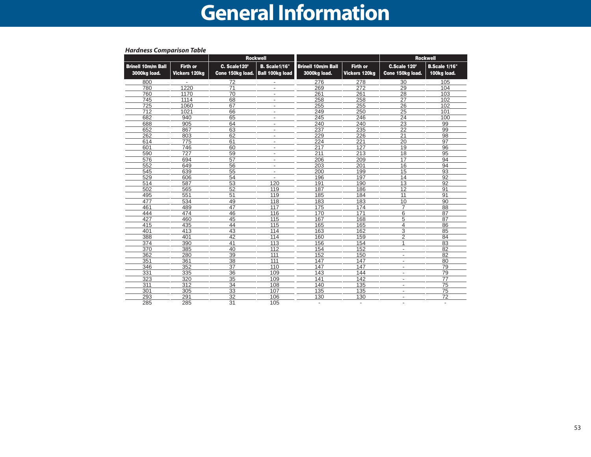### **Recoil Information**

|                                           |                                         |                                  | <b>Rockwell</b>                                |                                           |                                  |                                  | <b>Rockwell</b>              |
|-------------------------------------------|-----------------------------------------|----------------------------------|------------------------------------------------|-------------------------------------------|----------------------------------|----------------------------------|------------------------------|
| <b>Brinell 10m/m Ball</b><br>3000kg load. | <b>Firth or</b><br><b>Vickers 120kg</b> | C. Scale120°<br>Cone 150kg load. | <b>B.</b> Scale1/16"<br><b>Ball 100kg load</b> | <b>Brinell 10m/m Ball</b><br>3000kg load. | <b>Firth or</b><br>Vickers 120kg | C.Scale 120°<br>Cone 150kg load. | B.Scale 1/16"<br>100kg load. |
| 800                                       |                                         | 72                               | $\overline{\phantom{a}}$                       | 276                                       | 278                              | 30                               | 105                          |
| 780                                       | 1220                                    | $\overline{71}$                  | $\overline{\phantom{a}}$                       | 269                                       | 272                              | 29                               | 104                          |
| 760                                       | 1170                                    | 70                               | $\overline{\phantom{a}}$                       | 261                                       | 261                              | $\overline{28}$                  | 103                          |
| 745                                       | 1114                                    | 68                               | $\overline{\phantom{a}}$                       | 258                                       | 258                              | 27                               | 102                          |
| 725                                       | 1060                                    | 67                               | $\overline{\phantom{a}}$                       | 255                                       | 255                              | 26                               | 102                          |
| 712                                       | 1021                                    | 66                               | $\overline{\phantom{a}}$                       | 249                                       | 250                              | 25                               | 101                          |
| 682                                       | 940                                     | 65                               | $\overline{\phantom{a}}$                       | 245                                       | 246                              | 24                               | 100                          |
| 688                                       | 905                                     | 64                               | $\overline{\phantom{a}}$                       | 240                                       | 240                              | 23                               | 99                           |
| 652                                       | 867                                     | 63                               | $\overline{\phantom{a}}$                       | 237                                       | 235                              | $\overline{22}$                  | 99                           |
| 262                                       | 803                                     | 62                               | $\overline{\phantom{a}}$                       | 229                                       | 226                              | $\overline{21}$                  | 98                           |
| 614                                       | 775                                     | 61                               | $\overline{\phantom{a}}$                       | 224                                       | 221                              | 20                               | 97                           |
| 601                                       | 746                                     | 60                               | $\overline{\phantom{a}}$                       | 217                                       | 127                              | 19                               | 96                           |
| 590                                       | 727                                     | 59                               | $\overline{\phantom{a}}$                       | 211                                       | 213                              | 18                               | 95                           |
| 576                                       | 694                                     | 57                               | $\overline{\phantom{a}}$                       | 206                                       | 209                              | 17                               | 94                           |
| 552                                       | 649                                     | 56                               | $\overline{\phantom{a}}$                       | 203                                       | 201                              | 16                               | 94                           |
| 545                                       | 639                                     | 55                               | $\overline{\phantom{a}}$                       | 200                                       | 199                              | 15                               | 93                           |
| 529                                       | 606                                     | 54                               | $\overline{\phantom{a}}$                       | 196                                       | 197                              | $\overline{14}$                  | $\overline{92}$              |
| 514                                       | 587                                     | 53                               | 120                                            | 191                                       | 190                              | 13                               | $\overline{92}$              |
| 502                                       | 565                                     | 52                               | 119                                            | 187                                       | 186                              | 12                               | 91                           |
| 495                                       | 551                                     | 51                               | 119                                            | 185                                       | 184                              | 11                               | 91                           |
| 477                                       | 534                                     | 49                               | 118                                            | 183                                       | 183                              | 10                               | 90                           |
| 461                                       | 489                                     | 47                               | 117                                            | 175                                       | 174                              | $\overline{7}$                   | 88                           |
| 444                                       | 474                                     | 46                               | 116                                            | 170                                       | 171                              | 6                                | 87                           |
| 427                                       | 460                                     | 45                               | 115                                            | 167                                       | 168                              | 5                                | 87                           |
| 415                                       | 435                                     | 44                               | 115                                            | 165                                       | 165                              | 4                                | 86                           |
| 401                                       | 413                                     | 43                               | 114                                            | 163                                       | 162                              | $\overline{3}$                   | $\overline{85}$              |
| 388                                       | 401                                     | 42                               | 114                                            | 160                                       | 159                              | $\overline{2}$                   | 84                           |
| 374                                       | 390                                     | 41                               | 113                                            | 156                                       | 154                              | 1                                | 83                           |
| 370                                       | 385                                     | 40                               | 112                                            | 154                                       | 152                              | $\overline{a}$                   | 82                           |
| 362                                       | 280                                     | 39                               | 111                                            | 152                                       | 150                              | $\overline{\phantom{a}}$         | $\overline{82}$              |
| 351                                       | 361                                     | 38                               | 111                                            | 147                                       | 147                              | $\overline{\phantom{a}}$         | 80                           |
| 346                                       | 352                                     | $\overline{37}$                  | 110                                            | 147                                       | 147                              | $\overline{\phantom{a}}$         | 79                           |
| 331                                       | 335                                     | 36                               | 109                                            | 143                                       | 144                              | $\overline{\phantom{a}}$         | 79                           |
| 323                                       | 320                                     | 35                               | 109                                            | 141                                       | 142                              | $\overline{\phantom{a}}$         | $\overline{77}$              |
| 311                                       | $\overline{312}$                        | $\overline{34}$                  | 108                                            | 140                                       | 135                              | $\overline{\phantom{a}}$         | $\overline{75}$              |
| 301                                       | 305                                     | 33                               | 107                                            | 135                                       | 135                              | $\overline{\phantom{a}}$         | 75                           |
| 293                                       | 291                                     | 32                               | 106                                            | 130                                       | 130                              | $\overline{\phantom{a}}$         | $\overline{72}$              |
| 285                                       | 285                                     | 31                               | 105                                            | $\overline{\phantom{a}}$                  | $\overline{\phantom{a}}$         |                                  |                              |

#### *Hardness Comparison Table*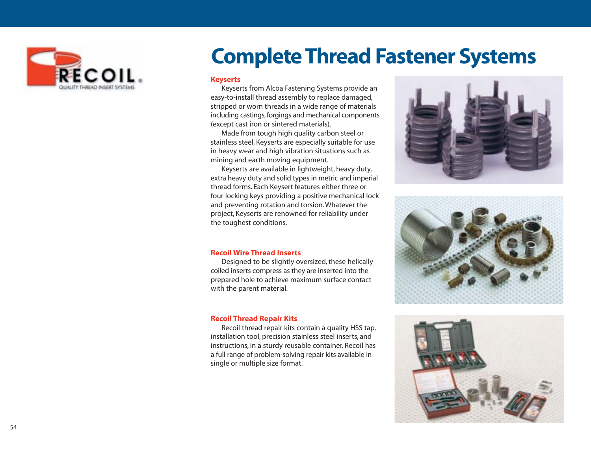

### **Complete Thread Fastener Systems**

#### **Keyserts**

Keyserts from Alcoa Fastening Systems provide an easy-to-install thread assembly to replace damaged, stripped or worn threads in a wide range of materials including castings, forgings and mechanical components (except cast iron or sintered materials).

Made from tough high quality carbon steel or stainless steel, Keyserts are especially suitable for use in heavy wear and high vibration situations such as mining and earth moving equipment.

Keyserts are available in lightweight, heavy duty, extra heavy duty and solid types in metric and imperial thread forms. Each Keysert features either three or four locking keys providing a positive mechanical lock and preventing rotation and torsion. Whatever the project, Keyserts are renowned for reliability under the toughest conditions.

#### **Recoil Wire Thread Inserts**

Designed to be slightly oversized, these helically coiled inserts compress as they are inserted into the prepared hole to achieve maximum surface contact with the parent material.

#### **Recoil Thread Repair Kits**

Recoil thread repair kits contain a quality HSS tap, installation tool, precision stainless steel inserts, and instructions, in a sturdy reusable container. Recoil has a full range of problem-solving repair kits available in single or multiple size format.





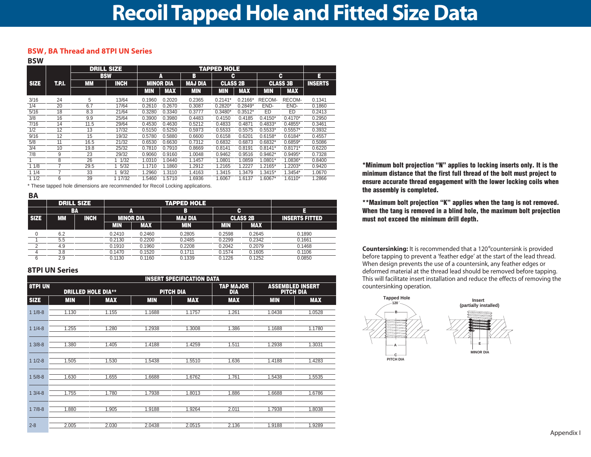#### **BSW , BA Thread and 8TPI UN Series**

**BSW**

|             |        | <b>DRILL SIZE</b><br><b>TAPPED HOLE</b> |             |                  |            |                |           |                 |           |                 |                |
|-------------|--------|-----------------------------------------|-------------|------------------|------------|----------------|-----------|-----------------|-----------|-----------------|----------------|
|             |        |                                         | <b>BSW</b>  |                  | A          | В              |           | c               |           | c               | E              |
| <b>SIZE</b> | T.P.I. | <b>MM</b>                               | <b>INCH</b> | <b>MINOR DIA</b> |            | <b>MAJ DIA</b> |           | <b>CLASS 2B</b> |           | <b>CLASS 3B</b> | <b>INSERTS</b> |
|             |        |                                         |             | MIN              | <b>MAX</b> | <b>MIN</b>     | MIN       | <b>MAX</b>      | MIN       | <b>MAX</b>      |                |
| 3/16        | 24     | 5                                       | 13/64       | 0.1960           | 0.2020     | 0.2365         | $0.2141*$ | $0.2166*$       | RECOM-    | RECOM-          | 0.1341         |
| 1/4         | 20     | 6.7                                     | 17/64       | 0.2610           | 0.2670     | 0.3087         | $0.2820*$ | $0.2849*$       | END-      | END-            | 0.1860         |
| 5/16        | 18     | 8.3                                     | 21/64       | 0.3280           | 0.3340     | 0.3777         | $0.3480*$ | $0.3512*$       | ED        | ED              | 0.2413         |
| 3/8         | 16     | 9.9                                     | 25/64       | 0.3900           | 0.3980     | 0.4483         | 0.4150    | 0.4185          | $0.4150*$ | $0.4170*$       | 0.2950         |
| 7/16        | 14     | 11.5                                    | 29/64       | 0.4530           | 0.4630     | 0.5212         | 0.4833    | 0.4871          | $0.4833*$ | $0.4855*$       | 0.3461         |
| 1/2         | 12     | 13                                      | 17/32       | 0.5150           | 0.5250     | 0.5973         | 0.5533    | 0.5575          | $0.5533*$ | $0.5557*$       | 0.3932         |
| 9/16        | 12     | 15                                      | 19/32       | 0.5780           | 0.5880     | 0.6600         | 0.6158    | 0.6201          | $0.6158*$ | $0.6184*$       | 0.4557         |
| 5/8         | 11     | 16.5                                    | 21/32       | 0.6530           | 0.6630     | 0.7312         | 0.6832    | 0.6873          | $0.6832*$ | $0.6859*$       | 0.5086         |
| 3/4         | 10     | 19.8                                    | 25/32       | 0.7810           | 0.7910     | 0.8669         | 0.8141    | 0.8191          | $0.8141*$ | $0.8171*$       | 0.6220         |
| 7/8         | 9      | 23                                      | 29/32       | 0.9060           | 0.9160     | 1.0048         | 0.9462    | 0.9516          | $0.9462*$ | $0.9495*$       | 0.7328         |
|             | 8      | 26                                      | 1/32        | 1.0310           | .0440      | 1.1457         | 1.0801    | 1.0859          | $1.0801*$ | 1.0836*         | 0.8400         |
| 11/8        |        | 29.5                                    | 5/32        | 1.1710           | 1.1860     | 1.2912         | 1.2165    | .2227           | 1.2165*   | $1.2203*$       | 0.9420         |
| 11/4        |        | 33                                      | 9/32        | 1.2960           | .3110      | 1.4163         | 1.3415    | 1.3479          | $.3415*$  | 1.3454*         | 1.0670         |
| 11/2        | 6      | 39                                      | 1 17/32     | .5460            | .5710      | 1.6936         | 1.6067    | 1.6137          | $.6067*$  | 1.6110*         | 1.2866         |

\* These tapped hole dimensions are recommended for Recoil Locking applications.

|           |             |                                            |        | <b>TAPPED HOLE</b> |            |            |                       |
|-----------|-------------|--------------------------------------------|--------|--------------------|------------|------------|-----------------------|
|           |             |                                            |        | в                  |            |            |                       |
| <b>MM</b> | <b>INCH</b> | А<br><b>MINOR DIA</b><br><b>MAX</b><br>MIN |        | <b>MAJ DIA</b>     |            |            | <b>INSERTS FITTED</b> |
|           |             |                                            |        | <b>MIN</b>         | <b>MIN</b> | <b>MAX</b> |                       |
| 6.2       |             | 0.2410                                     | 0.2460 | 0.2805             | 0.2598     | 0.2645     | 0.1890                |
| 5.5       |             | 0.2130                                     | 0.2200 | 0.2485             | 0.2299     | 0.2342     | 0.1661                |
| 4.9       |             | 0.1910                                     | 0.1960 | 0.2208             | 0.2042     | 0.2079     | 0.1468                |
| 3.8       |             | 0.1470                                     | 0.1520 | 0.1711             | 0.1574     | 0.1605     | 0.1106                |
| 2.9       |             | 0.1130                                     | 0.1160 | 0.1339             | 0.1226     | 0.1252     | 0.0850                |
|           |             | <b>DRILL SIZE</b><br>BA                    |        |                    |            |            | C<br><b>CLASS 2B</b>  |

#### **8TPI UN Series**

|                |            |                           |            | <b>INSERT SPECIFICATION DATA</b> |                                |                                             |            |
|----------------|------------|---------------------------|------------|----------------------------------|--------------------------------|---------------------------------------------|------------|
| <b>8TPI UN</b> |            | <b>DRILLED HOLE DIA**</b> |            | PITCH DIA                        | <b>TAP MAJOR</b><br><b>DIA</b> | <b>ASSEMBLED INSERT</b><br><b>PITCH DIA</b> |            |
| <b>SIZE</b>    | <b>MIN</b> | <b>MAX</b>                | <b>MIN</b> | <b>MAX</b>                       | <b>MAX</b>                     | <b>MIN</b>                                  | <b>MAX</b> |
| $11/8-8$       | 1.130      | 1.155                     | 1.1688     | 1.1757                           | 1.261                          | 1.0438                                      | 1.0528     |
| $11/4-8$       | 1.255      | 1.280                     | 1.2938     | 1.3008                           | 1.386                          | 1.1688                                      | 1.1780     |
| $13/8-8$       | 1.380      | 1.405                     | 1.4188     | 1.4259                           | 1.511                          | 1.2938                                      | 1.3031     |
| $11/2-8$       | 1.505      | 1.530                     | 1.5438     | 1.5510                           | 1.636                          | 1.4188                                      | 1.4283     |
| $15/8-8$       | 1.630      | 1.655                     | 1.6688     | 1.6762                           | 1.761                          | 1.5438                                      | 1.5535     |
| $13/4-8$       | 1.755      | 1.780                     | 1.7938     | 1.8013                           | 1.886                          | 1.6688                                      | 1.6786     |
| $17/8-8$       | 1.880      | 1.905                     | 1.9188     | 1.9264                           | 2.011                          | 1.7938                                      | 1.8038     |
| $2 - 8$        | 2.005      | 2.030                     | 2.0438     | 2.0515                           | 2.136                          | 1.9188                                      | 1.9289     |

**\*Minimum bolt projection "N" applies to locking inserts only. It is the minimum distance that the first full thread of the bolt must project to ensure accurate thread engagement with the lower locking coils when the assembly is completed.** 

**\*\*Maximum bolt projection "K" applies when the tang is not removed. When the tang is removed in a blind hole, the maximum bolt projection must not exceed the minimum drill depth.**

**Countersinking:** It is recommended that a 120°countersink is provided before tapping to prevent a 'feather edge' at the start of the lead thread. When design prevents the use of a countersink, any feather edges or deformed material at the thread lead should be removed before tapping. This will facilitate insert installation and reduce the effects of removing the countersinking operation.

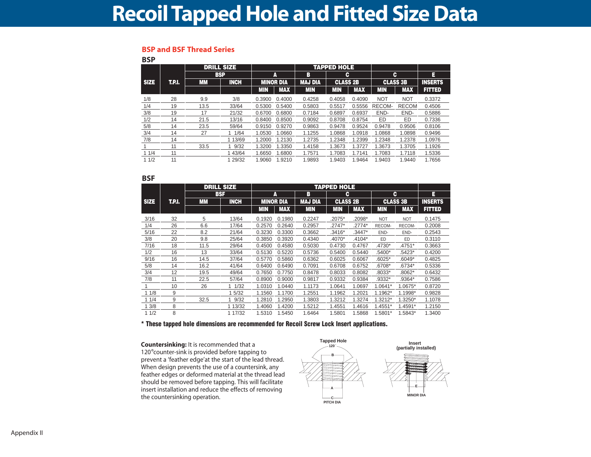### **Recoil Tapped Hole and Fitted Size Data**

#### **BSP and BSF Thread Series**

**BSP**

| ועט         |        |           |                   |            |                  |                |                    |            |            |                 |                |
|-------------|--------|-----------|-------------------|------------|------------------|----------------|--------------------|------------|------------|-----------------|----------------|
|             |        |           | <b>DRILL SIZE</b> |            |                  |                | <b>TAPPED HOLE</b> |            |            |                 |                |
|             |        |           | <b>BSP</b>        |            | A                | в              | c                  |            | c          |                 | E              |
| <b>SIZE</b> | T.P.I. | <b>MM</b> | <b>INCH</b>       |            | <b>MINOR DIA</b> | <b>MAJ DIA</b> | <b>CLASS 2B</b>    |            |            | <b>CLASS 3B</b> | <b>INSERTS</b> |
|             |        |           |                   | <b>MIN</b> | <b>MAX</b>       | <b>MIN</b>     | <b>MIN</b>         | <b>MAX</b> | <b>MIN</b> | <b>MAX</b>      | <b>FITTED</b>  |
| 1/8         | 28     | 9.9       | 3/8               | 0.3900     | 0.4000           | 0.4258         | 0.4058             | 0.4090     | <b>NOT</b> | <b>NOT</b>      | 0.3372         |
| 1/4         | 19     | 13.5      | 33/64             | 0.5300     | 0.5400           | 0.5803         | 0.5517             | 0.5556     | RECOM-     | <b>RECOM</b>    | 0.4506         |
| 3/8         | 19     | 17        | 21/32             | 0.6700     | 0.6800           | 0.7184         | 0.6897             | 0.6937     | END-       | END-            | 0.5886         |
| 1/2         | 14     | 21.5      | 13/16             | 0.8400     | 0.8500           | 0.9092         | 0.8708             | 0.8754     | ED         | ED              | 0.7336         |
| 5/8         | 14     | 23.5      | 59/64             | 0.9150     | 0.9270           | 0.9863         | 0.9478             | 0.9524     | 0.9478     | 0.9506          | 0.8106         |
| 3/4         | 14     | 27        | 11/64             | 1.0530     | 1.0660           | 1.1255         | 1.0868             | 1.0918     | 1.0868     | 1.0898          | 0.9496         |
| 7/8         | 14     |           | 1 13/69           | 1.2000     | 1.2130           | 1.2735         | 1.2348             | 1.2399     | 1.2348     | 1.2378          | 1.0976         |
|             | 11     | 33.5      | 9/32              | 1.3200     | 1.3350           | 1.4158         | 1.3673             | 1.3727     | 1.3673     | 1.3705          | 1.1926         |
| 11/4        | 11     |           | 1 43/64           | 1.6650     | 1.6800           | 1.7571         | 1.7083             | 1.7141     | 1.7083     | 1.7118          | 1.5336         |
| 11/2        | 11     |           | 1 29/32           | 1.9060     | 1.9210           | 1.9893         | 1.9403             | 1.9464     | 1.9403     | 1.9440          | 1.7656         |

#### **BSF**

|             |        |      | <b>DRILL SIZE</b> |            |                  |                | <b>TAPPED HOLE</b> |            |            |                 |                |
|-------------|--------|------|-------------------|------------|------------------|----------------|--------------------|------------|------------|-----------------|----------------|
|             |        |      | <b>BSF</b>        |            | A                | в              | c                  |            |            | c               | E              |
| <b>SIZE</b> | T.P.I. | MМ   | <b>INCH</b>       |            | <b>MINOR DIA</b> | <b>MAJ DIA</b> | <b>CLASS 2B</b>    |            |            | <b>CLASS 3B</b> | <b>INSERTS</b> |
|             |        |      |                   | <b>MIN</b> | <b>MAX</b>       | <b>MIN</b>     | <b>MIN</b>         | <b>MAX</b> | <b>MIN</b> | <b>MAX</b>      | <b>FITTED</b>  |
| 3/16        | 32     | 5    | 13/64             | 0.1920     | 0.1980           | 0.2247         | .2075*             | .2098*     | <b>NOT</b> | <b>NOT</b>      | 0.1475         |
| 1/4         | 26     | 6.6  | 17/64             | 0.2570     | 0.2640           | 0.2957         | $.2747*$           | .2774*     | RECOM-     | RECOM-          | 0.2008         |
| 5/16        | 22     | 8.2  | 21/64             | 0.3230     | 0.3300           | 0.3662         | .3416*             | $.3447*$   | END-       | END-            | 0.2543         |
| 3/8         | 20     | 9.8  | 25/64             | 0.3850     | 0.3920           | 0.4340         | .4070*             | .4104*     | ED.        | ED              | 0.3110         |
| 7/16        | 18     | 11.5 | 29/64             | 0.4500     | 0.4580           | 0.5030         | 0.4730             | 0.4767     | .4730*     | .4751*          | 0.3663         |
| 1/2         | 16     | 13   | 33/64             | 0.5130     | 0.5220           | 0.5736         | 0.5400             | 0.5440     | $.5400*$   | .5423*          | 0.4200         |
| 9/16        | 16     | 14.5 | 37/64             | 0.5770     | 0.5860           | 0.6362         | 0.6025             | 0.6067     | $.6025*$   | .6049*          | 0.4825         |
| 5/8         | 14     | 16.2 | 41/64             | 0.6400     | 0.6490           | 0.7091         | 0.6708             | 0.6752     | .6708*     | .6734*          | 0.5336         |
| 3/4         | 12     | 19.5 | 49/64             | 0.7650     | 0.7750           | 0.8478         | 0.8033             | 0.8082     | .8033*     | .8062*          | 0.6432         |
| 7/8         | 11     | 22.5 | 57/64             | 0.8900     | 0.9000           | 0.9817         | 0.9332             | 0.9384     | .9332*     | .9364*          | 0.7586         |
|             | 10     | 26   | 1/32              | 1.0310     | 1.0440           | 1.1173         | 1.0641             | 1.0697     | 1.0641*    | 1.0675*         | 0.8720         |
| 11/8        | 9      |      | 1 5/32            | 1.1560     | 1.1700           | 1.2551         | 1.1962             | 1.2021     | 1.1962*    | 1.1998*         | 0.9828         |
| 11/4        | 9      | 32.5 | 9/32              | 1.2810     | 1.2950           | 1.3803         | 1.3212             | 1.3274     | 1.3212*    | $1.3250*$       | 1.1078         |
| 13/8        | 8      |      | 1 13/32           | 1.4060     | 1.4200           | 1.5212         | 1.4551             | 1.4616     | 1.4551*    | 1.4591*         | 1.2150         |
| 11/2        | 8      |      | 1 17/32           | 1.5310     | 1.5450           | 1.6464         | 1.5801             | 1.5868     | 1.5801*    | 1.5843*         | 1.3400         |

**\* These tapped hole dimensions are recommended for Recoil Screw Lock Insert applications.**

**Countersinking:** It is recommended that a 120°counter-sink is provided before tapping to prevent a 'feather edge'at the start of the lead thread. When design prevents the use of a countersink, any feather edges or deformed material at the thread lead should be removed before tapping. This will facilitate insert installation and reduce the effects of removing the countersinking operation.

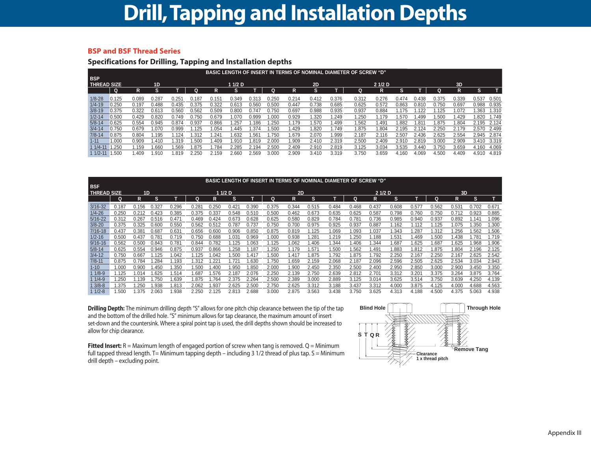### **Drill,Tapping and Installation Depths**

#### **BSP and BSF Thread Series**

#### **Specifications for Drilling, Tapping and Installation depths**

|                    | <b>BASIC LENGTH OF INSERT IN TERMS OF NOMINAL DIAMETER OF SCREW "D"</b> |       |                |       |       |       |         |       |       |       |       |       |       |       |       |       |       |        |       |       |
|--------------------|-------------------------------------------------------------------------|-------|----------------|-------|-------|-------|---------|-------|-------|-------|-------|-------|-------|-------|-------|-------|-------|--------|-------|-------|
| <b>BSP</b>         |                                                                         |       |                |       |       |       |         |       |       |       |       |       |       |       |       |       |       |        |       |       |
| <b>THREAD SIZE</b> |                                                                         |       | 1 <sub>D</sub> |       |       |       | 1 1/2 D |       |       |       | 2D    |       |       | 21/2D |       |       |       | 3D     |       |       |
|                    | Q                                                                       | R     | s              |       | n     | R     | s       |       | Ω     | R     | s     |       | a     | R     | S     |       |       | R      | s     |       |
| $1/8 - 28$         | 0.125                                                                   | 0.089 | 0.287          | 0.251 | 0.187 | 0.151 | 0.349   | 0.313 | 1.250 | 0.214 | 0.412 | 0.376 | 0.312 | 0.276 | 0.474 | 0.438 | 0.375 | 0.339  | 0.537 | 0.501 |
| $1/4 - 19$         | 0.250                                                                   | 0.197 | 0.488          | 0.435 | 0.375 | 0.322 | 0.613   | 0.560 | 0.500 | 0.447 | 0.738 | 0.685 | 0.625 | 0.572 | 0.863 | 0.81C | 0.750 | 0.697  | 0.988 | 0.935 |
| $3/8 - 19$         | 0.375                                                                   | 0.322 | 0.613          | 0.560 | 0.562 | 0.509 | 0.800   | 0.747 | 1.750 | 0.697 | 0.988 | 0.935 | 0.937 | 0.884 | .175  | .122  | .125  | 1.072  | .363  | 1.310 |
| $1/2 - 14$         | 0.500                                                                   | 0.429 | 0.820          | 0.749 | 0.750 | 0.679 | .070    | 0.999 | .000  | 0.929 | .320  | .249  | .250  | 1.179 | .570  | .499  | .500  | 429. ا | .820  | 1.749 |
| $5/8 - 14$         | 0.625                                                                   | 0.554 | 0.945          | 0.874 | 0.937 | 0.866 | 1.257   | .186  | .250  | .179  | .570  | .499  | .562  | 491   | .882  | 1.81  | .875  | 1.804  | 2.195 | 2.124 |
| $3/4 - 14$         | 0.750                                                                   | 0.679 | 1.070          | 0.999 | 1.125 | .054  | .445    | .374  | .500  | .429  | .820  | .749  | 1.875 | 1.804 | 2.195 | 2.124 | 2.250 | 2.179  | 2.570 | 2.499 |
| $7/8 - 14$         | 0.875                                                                   | 0.804 | .195           | l.124 | .312  | 24'   | .632    | .56'  | .750  | .679  | 2.070 | .999  | 2.187 | 2.116 | 2.507 | 2.436 | 2.625 | 2.554  | 2.945 | 2.874 |
| $1 - 11$           | .000.                                                                   | 0.909 | 1.410          | l.319 | .500  | .409  | .91(    | .819  | 2.000 | .909  | 2.410 | 2.319 | 2.500 | 2.409 | 2.910 | 2.819 | 3.000 | 2.909  | 3.410 | 3.319 |
| $11/4 - 1'$        | .250                                                                    | .159  | .660           | .569  | .875  | .784  | 2.285   | 2.194 | 2.500 | 2.409 | 2.910 | 2.819 | 3.125 | 3.034 | 3.535 | 3.440 | 3.750 | 3.659  | 4.160 | 4.069 |
| $11/2 - 11$        | .500                                                                    | .409  | 910. ا         | .819  | 2.250 | 2.159 | 2.660   | 2.569 | 3.000 | 2.909 | 3.410 | 3.319 | 3.750 | 3.659 | 4.160 | 4.069 | 4.500 | 4.409  | 4.910 | 4.819 |

|                    | <b>BASIC LENGTH OF INSERT IN TERMS OF NOMINAL DIAMETER OF SCREW "D"</b> |                |       |       |                |       |                  |                  |       |       |               |       |       |              |       |       |       |       |       |       |
|--------------------|-------------------------------------------------------------------------|----------------|-------|-------|----------------|-------|------------------|------------------|-------|-------|---------------|-------|-------|--------------|-------|-------|-------|-------|-------|-------|
| <b>BSF</b>         | 11/2 <sub>D</sub>                                                       |                |       |       |                |       |                  |                  |       |       |               |       |       |              |       |       |       |       |       |       |
| <b>THREAD SIZE</b> |                                                                         | 1D             |       |       |                |       |                  |                  |       | 2D    |               |       |       | 21/2D        |       |       |       | 3D    |       |       |
|                    | Q                                                                       | R              | s     |       | Q              | R     | s                |                  | Q     | R     | s             |       | Q     | R            | s     |       |       | R     | s     |       |
| $3/16 - 32$        | 0.187                                                                   | 0.156          | 0.327 | 0.296 | $0.28^{\circ}$ | 0.250 | $0.42^{\circ}$   | 0.390            | 0.375 | 0.344 | 0.515         | 0.484 | 0.468 | 0.437        | 0.608 | 0.577 | 0.562 | 0.53' | 0.702 | 0.671 |
| $1/4 - 26$         | 0.250                                                                   | 0.212          | 0.423 | 0.385 | 0.375          | 0.337 | 0.548            | 0.510            | 0.500 | 0.462 | 0.673         | 0.635 | 0.625 | 0.587        | 0.798 | 0.760 | 0.750 | 0.712 | 0.923 | 0.885 |
| $5/16 - 22$        | 0.312                                                                   | 0.267          | 0.516 | 0.471 | 0.469          | 0.424 | 0.673            | 0.628            | 0.625 | 0.580 | 0.829         | 0.784 | 0.781 | 0.736        | 0.985 | 0.940 | 0.937 | 0.892 | .141  | 1.096 |
| $3/8 - 20$         | 0.375                                                                   | 0.325          | 0.600 | 0.550 | 0.562          | 0.512 | 0.787            | 0.737            | 0.750 | 0.700 | 0.975         | 0.925 | 0.937 | 0.887        | 1.162 | .112  | 1.125 | 1.075 | 1.350 | .300  |
| $7/16 - 18$        | 0.437                                                                   | $0.38^{\circ}$ | 0.687 | 0.631 | 0.656          | 0.60( | 0.906            | 0.850            | 0.875 | 0.819 | 1.125         | 1.069 | .093  | 1.037        | 1.343 | .287  | 1.312 | .256  | 1.562 | 1.506 |
| $1/2 - 16$         | 0.500                                                                   | 0.437          | 0.781 | 0.719 | 0.750          | 0.688 | 1.031            | 0.969            | 1.000 | 0.938 | $.28^{\circ}$ | 1.219 | .250  | 1.188        | 1.531 | .469  | .500  | 1.438 | 1.781 | 1.719 |
| $9/16 - 16$        | 0.562                                                                   | 0.500          | 0.843 | 0.781 | 0.844          | 0.782 | .125             | .063             | 1.125 | .062  | .406          | 1.344 | .406  | .344         | 1.687 | .625  | .687  | 1.625 | .968  | 1.906 |
| $5/8 - 14$         | 0.625                                                                   | 0.554          | 0.946 | 0.875 | 0.937          | 0.866 | .258             | 1.187            | 1.250 | 1.179 | .57'          | 1.500 | .562  | <b>1.491</b> | 1.883 | .812  | 1.875 | 1.804 | 2.196 | 2.125 |
| $3/4 - 12$         | 0.750                                                                   | 0.667          | 1.125 | .042  | 1.125          | .042  | .500             | 1.417            | 1.500 | 1.417 | 1.875         | 1.792 | .875  | 1.792        | 2.250 | 2.167 | 2.250 | 2.167 | 2.625 | 2.542 |
| $7/8 - 11$         | 0.875                                                                   | 0.784          | .284  | .193  | 1.312          | .22   | .72 <sup>°</sup> | .63 <sub>C</sub> | 1.750 | .659  | 2.159         | 2.068 | 2.187 | 2.096        | 2.596 | 2.505 | 2.625 | 2.534 | 3.034 | 2.943 |
| $1 - 10$           | 1.000                                                                   | 0.900          | 1.450 | .350  | 1.500          | .400  | .950             | .850             | 2.000 | .900  | 2.450         | 2.350 | 2.500 | 2.400        | 2.950 | 2.850 | 3.000 | 2.900 | 3.450 | 3.350 |
| $11/8-9$           | 1.125                                                                   | .014           | .625  | .514  | 1.687          | .576  | 2.187            | 2.076            | 2.250 | 2.139 | 2.750         | 2.639 | 2.812 | 2.701        | 3.312 | 3.201 | 3.375 | 3.264 | 3.875 | 3.764 |
| $11/4-9$           | .250                                                                    | 1.139          | .750  | .639  | 1.875          | .764  | 2.375            | 2.264            | 2.500 | 2.389 | 3.000         | 2.889 | 3.125 | 3.014        | 3.625 | 3.514 | 3.750 | 3.639 | 4.250 | 4.139 |
| $13/8-8$           | .375                                                                    | .250           | .938  | .813  | 2.062          | .93   | 2.625            | 2.500            | 2.750 | 2.625 | 3.312         | 3.188 | 3.437 | 3.312        | 4.000 | 3.875 | 4.125 | 4.000 | 4.688 | 4.563 |
| $11/2-8$           | .500                                                                    | .375           | 2.063 | .938  | 2.250          | 2.125 | 2.813            | 2.688            | 3.000 | 2.875 | 3.563         | 3.438 | 3.750 | 3.625        | 4.313 | 4.188 | 4.500 | 4.375 | 5.063 | 4.938 |

**Drilling Depth:** The minimum drilling depth "S" allows for one pitch chip clearance between the tip of the tap and the bottom of the drilled hole. "S" minimum allows for tap clearance, the maximum amount of insert set-down and the countersink. Where a spiral point tap is used, the drill depths shown should be increased to allow for chip clearance.

**Fitted Insert:** R = Maximum length of engaged portion of screw when tang is removed. Q = Minimum full tapped thread length. T= Minimum tapping depth – including 3 1/2 thread of plus tap. S = Minimum drill depth – excluding point.

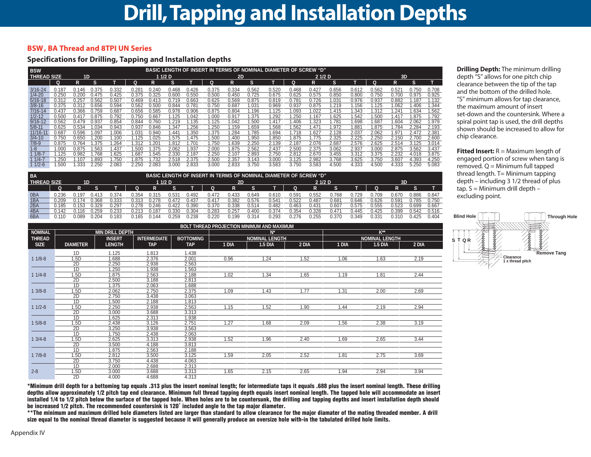#### **BSW , BA Thread and 8TPI UN Series**

#### **Specifications for Drilling, Tapping and Installation depths**

| <b>BSW</b>         |        |       |                  |       |                   |               |         |       | <b>BASIC LENGTH OF INSERT IN TERMS OF NOMINAL DIAMETER OF SCREW "D"</b> |       |                  |       |                  |       |       |                |       |                |       |       |
|--------------------|--------|-------|------------------|-------|-------------------|---------------|---------|-------|-------------------------------------------------------------------------|-------|------------------|-------|------------------|-------|-------|----------------|-------|----------------|-------|-------|
| <b>THREAD SIZE</b> |        | 1D    |                  |       |                   |               | 1 1/2 D |       |                                                                         | 2D    |                  |       |                  | 21/2D |       |                |       | 3D             |       |       |
|                    |        | R     | s                |       |                   |               | s       |       | Q                                                                       | R     | s                |       |                  | R     | s     |                |       |                | s     |       |
| $3/16 - 24$        | 0.187  | 0.146 | 0.375            | 0.332 | 0.28 <sup>°</sup> | 0.240         | 0.468   | 0.426 | 0.375                                                                   | 0.334 | 0.562            | 0.520 | 0.468            | 0.427 | 0.656 | 0.612          | 0.562 | $0.52^{\circ}$ | 0.750 | 0.708 |
| $1/4 - 20$         | 0.250  | 0.200 | 0.475            | 0.425 | 0.375             | 0.325         | 0.600   | 0.550 | 0.500                                                                   | 0.450 | 0.725            | 0.675 | 0.625            | 0.575 | 0.850 | 0.800          | 0.750 | 0.700          | 0.975 | 0.925 |
| $5/16 - 18$        | 0.312  | 0.257 | 0.562            | 0.507 | 0.469             | 0.413         | 0.719   | 0.663 | 0.625                                                                   | 0.569 | 0.875            | 0.819 | 0.781            | 0.726 | 1.031 | 0.976          | 0.937 | 0.882          | .187  | 1.132 |
| $3/8 - 16$         | 0.375  | 0.312 | 0.656            | 0.594 | 0.562             | 0.50(         | 0.844   | 0.781 | 0.750                                                                   | 0.687 | .031             | 0.969 | 0.937            | 0.875 | .219  | 1.156          | .125  | 1.062          | .406  | .344  |
| $7/16 - 14$        | 0.437  | 0.366 | 0.759            | 0.687 | 0.656             | 0.585         | 0.978   | 0.906 | 0.875                                                                   | 0.804 | .196             | .125  | .093             | 1.022 | 1.415 | .343           | .312  | $.24^{\circ}$  | .634  | .562  |
| $1/2 - 12$         | 0.500  | 0.417 | 0.875            | 0.792 | 0.750             | 0.667         | 1.125   | .042  | 1.000                                                                   | 0.917 | .375             | .292  | .25 <sub>0</sub> | 1.167 | 1.625 | 1.542          | .500  | 417ء ا         | .875  | .792  |
| $9/16 - 12$        | 0.562  | 0.479 | 0.937            | 0.854 | 0.844             | 0.760         | .219    | .135  | 1.125                                                                   | .042  | .500             | l.417 | .406             | 1.323 | 1.781 | 1.698          | .687  | 1.604          | 2.062 | .979  |
| $5/8 - 11$         | 0.625  | 0.534 | .034             | 0.943 | 0.937             | 0.846         | .347    | .256  | .250                                                                    | .159  | .659             | .568  | .562             | . 471 | 1.972 | $1.88^{\circ}$ | .875  | 1.784          | 2.284 | 2.193 |
| $11/16 - 1$        | 0.687  | 0.596 | .097             | .006  | 1.03              | 0.940         | .44     | .350  | 1.375                                                                   | .284  | .785             | .694  | .718             | . 627 | 2.128 | 2.037          | 2.062 | 1.97           | 2.472 | 2.38  |
| $3/4 - 10$         | 0.750  | 0.650 | .20 <sub>C</sub> | .100  | 1.125             | .025          | .575    | 1.475 | 1.500                                                                   | .400  | .95 <sub>C</sub> | 1.850 | .875             | 1.775 | 2.325 | 2.225          | 2.250 | 2.150          | 2.700 | 2.600 |
| $7/8 - 9$          | 0.875  | 0.764 | .375             | .264  | .312              | $.20^{\circ}$ | .812    | .701  | i.750                                                                   | .639  | 2.250            | 2.139 | 2.187            | 2.076 | 2.687 | 2.576          | 2.625 | 2.514          | 3.125 | 3.014 |
| $1 - 8$            | 1.000  | 0.875 | .563             | .437  | 500. ا            | .375          | 2.062   | i.937 | 2.000                                                                   | .875  | 2.562            | 2.437 | 2.500            | 2.375 | 3.062 | 2.937          | 3.000 | 2.875          | 3.562 | 3.437 |
| $1/8-7$            | l.125  | 0.982 | .768             | .625  | .687              | 1.545         | 2.330   | 2.187 | 2.250                                                                   | 2.107 | 2.893            | 2.750 | 2.812            | 2.670 | 3.455 | 3.312          | 3.375 | 2.232          | 4.018 | 3.875 |
| $1/4 - 7$          | .250   | .107  | .893             | .750  | .875              | 1.732         | 2.518   | 2.375 | 2.500                                                                   | 2.357 | 3.143            | 3.000 | 3.125            | 2.982 | 3.768 | 3.625          | 3.750 | 3.607          | 4.393 | 4.250 |
| $1/2 - 6$          | 500. ا | .333  | 2.250            | 2.083 | 2.25 <sub>0</sub> | 2.083         | 3.000   | 2.833 | 3.000                                                                   | 2.833 | 3.750            | 3.583 | 3.750            | 3.583 | 4.500 | 4.333          | 4.500 | 4.333          | 5.250 | 5.083 |

| <b>BA</b>          | BASIC LENGTH OF INSERT IN TERMS OF NOMINAL DIAMETER OF SCREW "D" |       |       |       |       |          |         |       |        |       |       |                |                |                   |       |        |       |                |       |       |
|--------------------|------------------------------------------------------------------|-------|-------|-------|-------|----------|---------|-------|--------|-------|-------|----------------|----------------|-------------------|-------|--------|-------|----------------|-------|-------|
| <b>THREAD SIZE</b> |                                                                  | 1D    |       |       |       | 1 1/2 D  |         |       |        | 2D    |       |                |                | 21/2 <sub>D</sub> |       |        |       | 3D             |       |       |
|                    |                                                                  |       |       |       |       |          |         |       |        |       |       |                |                |                   |       |        |       |                |       |       |
| 0 <sub>B</sub> A   | 0.236                                                            | .19   | 0.413 | 0.374 | J.354 | 0.315    | $0.53*$ | 0.492 | 0.472  | 0.433 | 0.649 | 0.610          | $0.59^{\circ}$ | 0.552             | 0.768 | .729   | 0.709 | 0.670          | 0.886 | 0.847 |
| 1BA                | 0.209                                                            |       | 368.ر | 0.333 | 0.313 | 0.278    | 0.472   | J.437 | 417. ل | 0.382 | 0.576 | $0.54^{\circ}$ | 0.522          | 0.487             | 0.681 | 0.646  | 0.626 | $0.59^{\circ}$ | 0.785 | 0.750 |
| 2BA                | 0.185                                                            |       | 0.329 | 0.297 | 0.278 | 0.246    | ን.422   | 0.390 | 0.370  | 0.338 | 0.514 | 0.482          | 0.463          | 0.431             | 0.607 | 0.575  | 0.555 | 0.523          | 0.699 | 0.667 |
| 4BA                | 0.142                                                            |       | 259.ر | 0.233 | ገ.213 | $0.18^-$ | 0.330   | 0.304 | 0.283  | 0.257 | 0.400 | 0.374          | 0.354          | 0.328             | 471.ں | 44. ١  | 0.425 | 0.399          | 0.542 | 0.516 |
| 6BA                | 0.110                                                            | 0.089 | 204.د | 0.183 | 0.165 | 0.144    | 0.259   | 0.238 | 220. ل | 0.199 | 0.314 | 0.293          | ገ.276          | 0.255             | 0.370 | 349. ل | 0.331 | 0.310          | 0.425 | 0.404 |

|                |                 |                        |                     |                  |       | BOLT THREAD PROJECTION MINIMUM AND MAXIMUM |       |       |                       |       |
|----------------|-----------------|------------------------|---------------------|------------------|-------|--------------------------------------------|-------|-------|-----------------------|-------|
| <b>NOMINAL</b> |                 | <b>MIN DRILL DEPTH</b> |                     |                  |       |                                            |       |       | $K^{\star\star}$      |       |
| <b>THREAD</b>  |                 | <b>INSERT</b>          | <b>INTERMEDIATE</b> | <b>BOTTOMING</b> |       | <b>NOMINAL LENGTH</b>                      |       |       | <b>NOMINAL LENGTH</b> |       |
| <b>SIZE</b>    | <b>DIAMETER</b> | <b>LENGTH</b>          | <b>TAP</b>          | <b>TAP</b>       | 1 DIA | <b>1.5 DIA</b>                             | 2 DIA | 1 DIA | <b>1.5 DIA</b>        | 2 DIA |
|                | 1D              | 1.125                  | 1.813               | 1.438            |       |                                            |       |       |                       |       |
| $11/8-8$       | 1.5D            | 1.688                  | 2.376               | 2.001            | 0.96  | 1.24                                       | 1.52  | 1.06  | 1.63                  | 2.19  |
|                | 2D              | 2.250                  | 2.938               | 2.563            |       |                                            |       |       |                       |       |
|                | 1D              | .250                   | 1.938               | 1.563            |       |                                            |       |       |                       |       |
| $11/4-8$       | 1.5D            | 1.875                  | 2.563               | 2.188            | 1.02  | 1.34                                       | 1.65  | 1.19  | 1.81                  | 2.44  |
|                | 2D              | 2.500                  | 3.188               | 2.813            |       |                                            |       |       |                       |       |
|                | 1D              | 1.375                  | 2.063               | 1.688            |       |                                            |       |       |                       |       |
| $13/8-8$       | 1.5D            | 2.062                  | 2.750               | 2.375            | 1.09  | 1.43                                       | 1.77  | 1.31  | 2.00                  | 2.69  |
|                | 2D              | 2.750                  | 3.438               | 3.063            |       |                                            |       |       |                       |       |
|                | 1D              | 1.500                  | 2.188               | 1.813            |       |                                            |       |       |                       |       |
| $11/2-8$       | 1.5D            | 2.250                  | 2.938               | 2.563            | 1.15  | 1.52                                       | 1.90  | 1.44  | 2.19                  | 2.94  |
|                | 2D              | 3.000                  | 3.688               | 3.313            |       |                                            |       |       |                       |       |
|                | 1D              | 1.625                  | 2.313               | 1.938            |       |                                            |       |       |                       |       |
| $15/8-8$       | 1.5D            | 2.438                  | 3.126               | 2.751            | 1.27  | 1.68                                       | 2.09  | 1.56  | 2.38                  | 3.19  |
|                | 2D              | 3.250                  | 3.938               | 3.563            |       |                                            |       |       |                       |       |
|                | 1D              | 1.750                  | 2.438               | 2.063            |       |                                            |       |       |                       |       |
| $13/4-8$       | 1.5D            | 2.625                  | 3.313               | 2.938            | 1.52  | 1.96                                       | 2.40  | 1.69  | 2.65                  | 3.44  |
|                | 2D              | 3.500                  | 4.188               | 3.813            |       |                                            |       |       |                       |       |
|                | 1D              | 1.875                  | 2.563               | 2.188            |       |                                            |       |       |                       |       |
| $17/8-8$       | 1.5D            | 2.812                  | 3.500               | 3.125            | 1.59  | 2.05                                       | 2.52  | 1.81  | 2.75                  | 3.69  |
|                | 2D              | 3.750                  | 4.438               | 4.063            |       |                                            |       |       |                       |       |
|                | 1D              | 2.000                  | 2.688               | 2.313            |       |                                            |       |       |                       |       |
| $2 - 8$        | 1.5D            | 3.000                  | 3.688               | 3.313            | 1.65  | 2.15                                       | 2.65  | 1.94  | 2.94                  | 3.94  |
|                | 2D              | 4.000                  | 4.688               | 4.313            |       |                                            |       |       |                       |       |

**Drilling Depth:** The minimum drilling depth "S" allows for one pitch chip clearance between the tip of the tap and the bottom of the drilled hole. "S" minimum allows for tap clearance, the maximum amount of insert set-down and the countersink. Where a spiral point tap is used, the drill depths shown should be increased to allow for chip clearance.

**Fitted Insert:** R = Maximum length of engaged portion of screw when tang is  $re moved. Q = Minimum full trapped$ thread length. T= Minimum tapping depth – including 3 1/2 thread of plus tap. S = Minimum drill depth – excluding point.



**\*Minimum drill depth for a bottoming tap equals .313 plus the insert nominal length; for intermediate taps it equals .688 plus the insert nominal length. These drilling depths allow approximately 1/2 pitch tap end clearance. Minimum full thread tapping depth equals insert nominal length. The tapped hole will accommodate an insert installed 1/4 to 1/2 pitch below the surface of the tapped hole. When holes are to be countersunk, the drilling and tapping depths and insert installation depth should be increased 1/2 pitch. The recommended countersink is 120˚ included angle to the tap major diameter.** 

**\*\*The minimum and maximum drilled hole diameters listed are larger than standard to allow clearance for the major diamater of the mating threaded member. A drill size equal to the nominal thread diameter is suggested because it will generally produce an oversize hole with-in the tabulated drilled hole limits.**